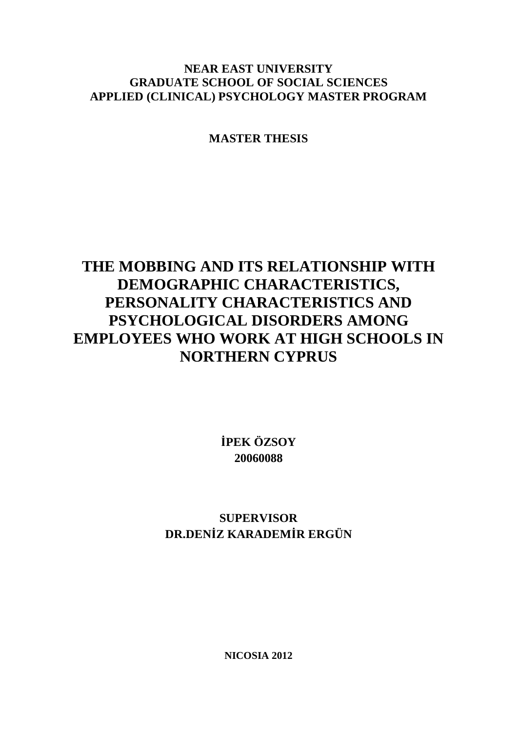# **NEAR EAST UNIVERSITY GRADUATE SCHOOL OF SOCIAL SCIENCES APPLIED (CLINICAL) PSYCHOLOGY MASTER PROGRAM**

**MASTER THESIS** 

# **THE MOBBING AND ITS RELATIONSHIP WITH DEMOGRAPHIC CHARACTERISTICS, PERSONALITY CHARACTERISTICS AND PSYCHOLOGICAL DISORDERS AMONG EMPLOYEES WHO WORK AT HIGH SCHOOLS IN NORTHERN CYPRUS**

**İPEK ÖZSOY 20060088** 

**SUPERVISOR DR.DENİZ KARADEMİR ERGÜN** 

**NICOSIA 2012**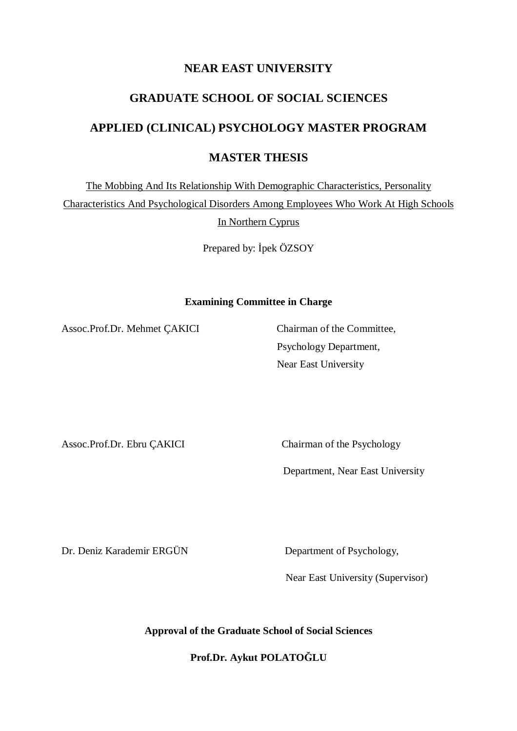# **NEAR EAST UNIVERSITY**

# **GRADUATE SCHOOL OF SOCIAL SCIENCES**

# **APPLIED (CLINICAL) PSYCHOLOGY MASTER PROGRAM**

# **MASTER THESIS**

The Mobbing And Its Relationship With Demographic Characteristics, Personality

Characteristics And Psychological Disorders Among Employees Who Work At High Schools In Northern Cyprus

Prepared by: İpek ÖZSOY

#### **Examining Committee in Charge**

Assoc.Prof.Dr. Mehmet ÇAKICI Chairman of the Committee,

Psychology Department, Near East University

Assoc.Prof.Dr. Ebru ÇAKICI Chairman of the Psychology

Department, Near East University

Dr. Deniz Karademir ERGÜN Department of Psychology,

Near East University (Supervisor)

**Approval of the Graduate School of Social Sciences** 

**Prof.Dr. Aykut POLATOĞLU**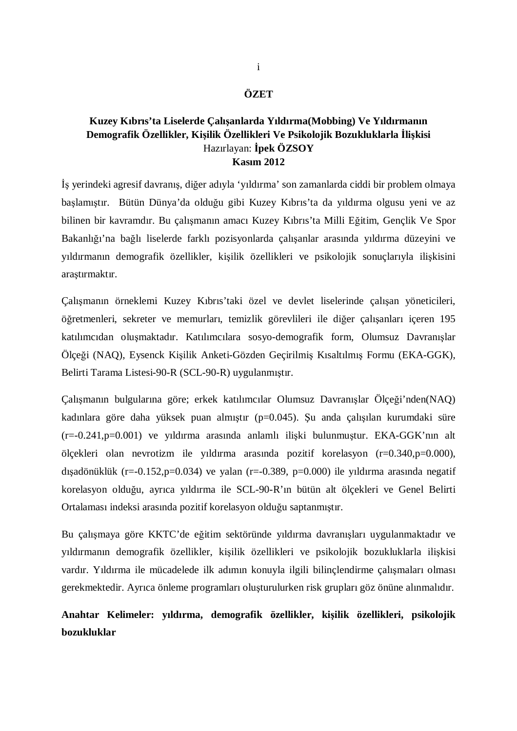#### **ÖZET**

### **Kuzey Kıbrıs'ta Liselerde Çalışanlarda Yıldırma(Mobbing) Ve Yıldırmanın Demografik Özellikler, Kişilik Özellikleri Ve Psikolojik Bozukluklarla İlişkisi**  Hazırlayan: **İpek ÖZSOY Kasım 2012**

İş yerindeki agresif davranış, diğer adıyla 'yıldırma' son zamanlarda ciddi bir problem olmaya başlamıştır. Bütün Dünya'da olduğu gibi Kuzey Kıbrıs'ta da yıldırma olgusu yeni ve az bilinen bir kavramdır. Bu çalışmanın amacı Kuzey Kıbrıs'ta Milli Eğitim, Gençlik Ve Spor Bakanlığı'na bağlı liselerde farklı pozisyonlarda çalışanlar arasında yıldırma düzeyini ve yıldırmanın demografik özellikler, kişilik özellikleri ve psikolojik sonuçlarıyla ilişkisini araştırmaktır.

Çalışmanın örneklemi Kuzey Kıbrıs'taki özel ve devlet liselerinde çalışan yöneticileri, öğretmenleri, sekreter ve memurları, temizlik görevlileri ile diğer çalışanları içeren 195 katılımcıdan oluşmaktadır. Katılımcılara sosyo-demografik form, Olumsuz Davranışlar Ölçeği (NAQ), Eysenck Kişilik Anketi-Gözden Geçirilmiş Kısaltılmış Formu (EKA-GGK), Belirti Tarama Listesi-90-R (SCL-90-R) uygulanmıştır.

Çalışmanın bulgularına göre; erkek katılımcılar Olumsuz Davranışlar Ölçeği'nden(NAQ) kadınlara göre daha yüksek puan almıştır (p=0.045). Şu anda çalışılan kurumdaki süre (r=-0.241,p=0.001) ve yıldırma arasında anlamlı ilişki bulunmuştur. EKA-GGK'nın alt ölçekleri olan nevrotizm ile yıldırma arasında pozitif korelasyon (r=0.340,p=0.000), dışadönüklük (r=-0.152,p=0.034) ve yalan (r=-0.389, p=0.000) ile yıldırma arasında negatif korelasyon olduğu, ayrıca yıldırma ile SCL-90-R'ın bütün alt ölçekleri ve Genel Belirti Ortalaması indeksi arasında pozitif korelasyon olduğu saptanmıştır.

Bu çalışmaya göre KKTC'de eğitim sektöründe yıldırma davranışları uygulanmaktadır ve yıldırmanın demografik özellikler, kişilik özellikleri ve psikolojik bozukluklarla ilişkisi vardır. Yıldırma ile mücadelede ilk adımın konuyla ilgili bilinçlendirme çalışmaları olması gerekmektedir. Ayrıca önleme programları oluşturulurken risk grupları göz önüne alınmalıdır.

# **Anahtar Kelimeler: yıldırma, demografik özellikler, kişilik özellikleri, psikolojik bozukluklar**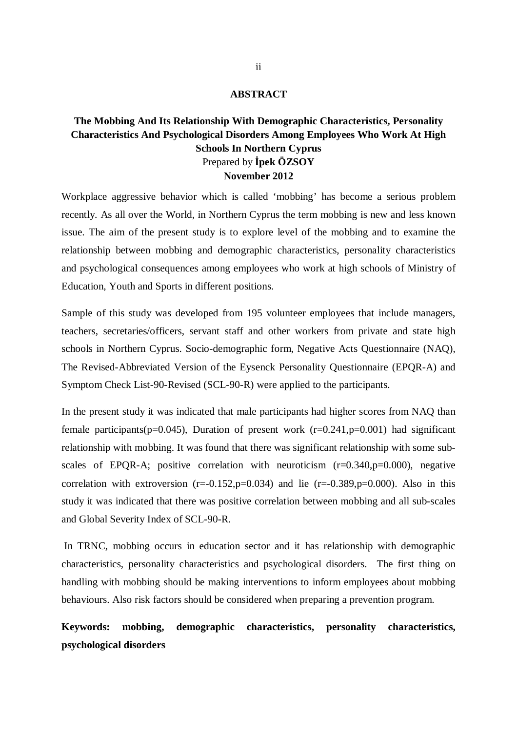#### **ABSTRACT**

# **The Mobbing And Its Relationship With Demographic Characteristics, Personality Characteristics And Psychological Disorders Among Employees Who Work At High Schools In Northern Cyprus**  Prepared by **İpek ÖZSOY November 2012**

Workplace aggressive behavior which is called 'mobbing' has become a serious problem recently. As all over the World, in Northern Cyprus the term mobbing is new and less known issue. The aim of the present study is to explore level of the mobbing and to examine the relationship between mobbing and demographic characteristics, personality characteristics and psychological consequences among employees who work at high schools of Ministry of Education, Youth and Sports in different positions.

Sample of this study was developed from 195 volunteer employees that include managers, teachers, secretaries/officers, servant staff and other workers from private and state high schools in Northern Cyprus. Socio-demographic form, Negative Acts Questionnaire (NAQ), The Revised-Abbreviated Version of the Eysenck Personality Questionnaire (EPQR-A) and Symptom Check List-90-Revised (SCL-90-R) were applied to the participants.

In the present study it was indicated that male participants had higher scores from NAQ than female participants(p=0.045), Duration of present work ( $r=0.241$ ,  $p=0.001$ ) had significant relationship with mobbing. It was found that there was significant relationship with some subscales of EPQR-A; positive correlation with neuroticism  $(r=0.340, p=0.000)$ , negative correlation with extroversion  $(r=-0.152, p=0.034)$  and lie  $(r=-0.389, p=0.000)$ . Also in this study it was indicated that there was positive correlation between mobbing and all sub-scales and Global Severity Index of SCL-90-R.

 In TRNC, mobbing occurs in education sector and it has relationship with demographic characteristics, personality characteristics and psychological disorders. The first thing on handling with mobbing should be making interventions to inform employees about mobbing behaviours. Also risk factors should be considered when preparing a prevention program.

**Keywords: mobbing, demographic characteristics, personality characteristics, psychological disorders**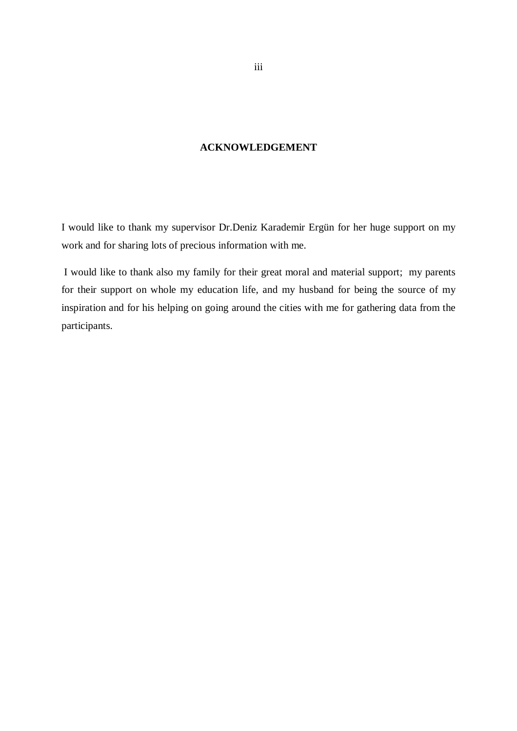### **ACKNOWLEDGEMENT**

I would like to thank my supervisor Dr.Deniz Karademir Ergün for her huge support on my work and for sharing lots of precious information with me.

 I would like to thank also my family for their great moral and material support; my parents for their support on whole my education life, and my husband for being the source of my inspiration and for his helping on going around the cities with me for gathering data from the participants.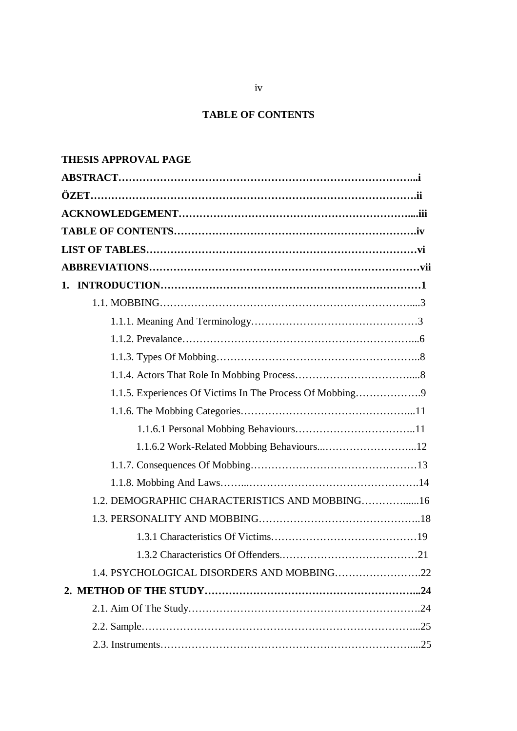# **TABLE OF CONTENTS**

# **THESIS APPROVAL PAGE**

| 1.1.5. Experiences Of Victims In The Process Of Mobbing |  |
|---------------------------------------------------------|--|
|                                                         |  |
|                                                         |  |
|                                                         |  |
|                                                         |  |
|                                                         |  |
| 1.2. DEMOGRAPHIC CHARACTERISTICS AND MOBBING16          |  |
|                                                         |  |
|                                                         |  |
|                                                         |  |
|                                                         |  |
|                                                         |  |
|                                                         |  |
|                                                         |  |
|                                                         |  |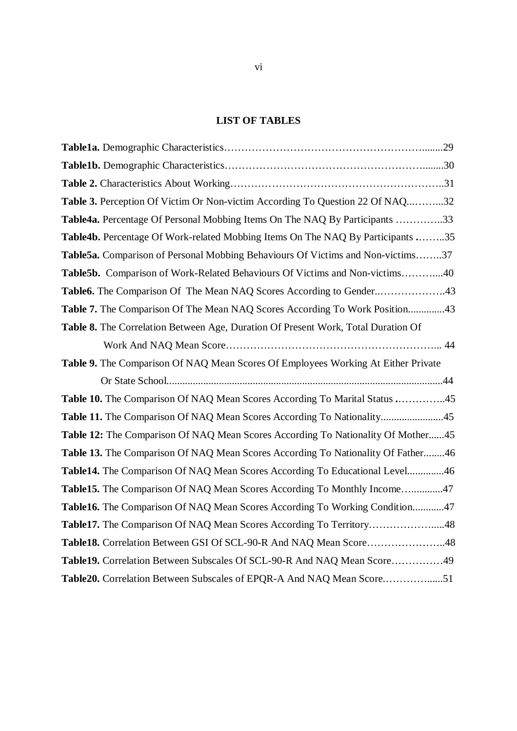# **LIST OF TABLES**

| Table 3. Perception Of Victim Or Non-victim According To Question 22 Of NAQ32     |
|-----------------------------------------------------------------------------------|
| Table4a. Percentage Of Personal Mobbing Items On The NAQ By Participants 33       |
| Table4b. Percentage Of Work-related Mobbing Items On The NAQ By Participants 35   |
| Table5a. Comparison of Personal Mobbing Behaviours Of Victims and Non-victims37   |
| Table5b. Comparison of Work-Related Behaviours Of Victims and Non-victims40       |
| Table6. The Comparison Of The Mean NAQ Scores According to Gender43               |
| Table 7. The Comparison Of The Mean NAQ Scores According To Work Position43       |
| Table 8. The Correlation Between Age, Duration Of Present Work, Total Duration Of |
|                                                                                   |
| Table 9. The Comparison Of NAQ Mean Scores Of Employees Working At Either Private |
|                                                                                   |
| Table 10. The Comparison Of NAQ Mean Scores According To Marital Status 45        |
| Table 11. The Comparison Of NAQ Mean Scores According To Nationality45            |
| Table 12: The Comparison Of NAQ Mean Scores According To Nationality Of Mother45  |
| Table 13. The Comparison Of NAQ Mean Scores According To Nationality Of Father46  |
| Table14. The Comparison Of NAQ Mean Scores According To Educational Level46       |
| Table15. The Comparison Of NAQ Mean Scores According To Monthly Income47          |
| Table16. The Comparison Of NAQ Mean Scores According To Working Condition47       |
| Table17. The Comparison Of NAQ Mean Scores According To Territory48               |
| Table18. Correlation Between GSI Of SCL-90-R And NAQ Mean Score48                 |
| Table19. Correlation Between Subscales Of SCL-90-R And NAQ Mean Score49           |
| Table20. Correlation Between Subscales of EPQR-A And NAQ Mean Score51             |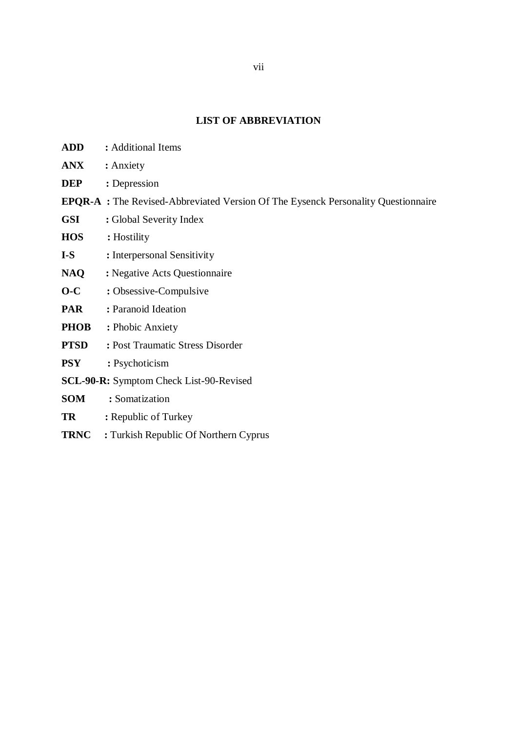# **LIST OF ABBREVIATION**

| <b>ADD</b>  | : Additional Items                                                                       |
|-------------|------------------------------------------------------------------------------------------|
| <b>ANX</b>  | : Anxiety                                                                                |
| <b>DEP</b>  | : Depression                                                                             |
|             | <b>EPQR-A</b> : The Revised-Abbreviated Version Of The Eysenck Personality Questionnaire |
| <b>GSI</b>  | : Global Severity Index                                                                  |
| <b>HOS</b>  | : Hostility                                                                              |
| $I-S$       | : Interpersonal Sensitivity                                                              |
| <b>NAQ</b>  | : Negative Acts Questionnaire                                                            |
| $O-C$       | : Obsessive-Compulsive                                                                   |
| <b>PAR</b>  | : Paranoid Ideation                                                                      |
| <b>PHOB</b> | : Phobic Anxiety                                                                         |
| <b>PTSD</b> | : Post Traumatic Stress Disorder                                                         |
| <b>PSY</b>  | : Psychoticism                                                                           |
|             | <b>SCL-90-R:</b> Symptom Check List-90-Revised                                           |
| <b>SOM</b>  | : Somatization                                                                           |
| <b>TR</b>   | : Republic of Turkey                                                                     |
| <b>TRNC</b> | : Turkish Republic Of Northern Cyprus                                                    |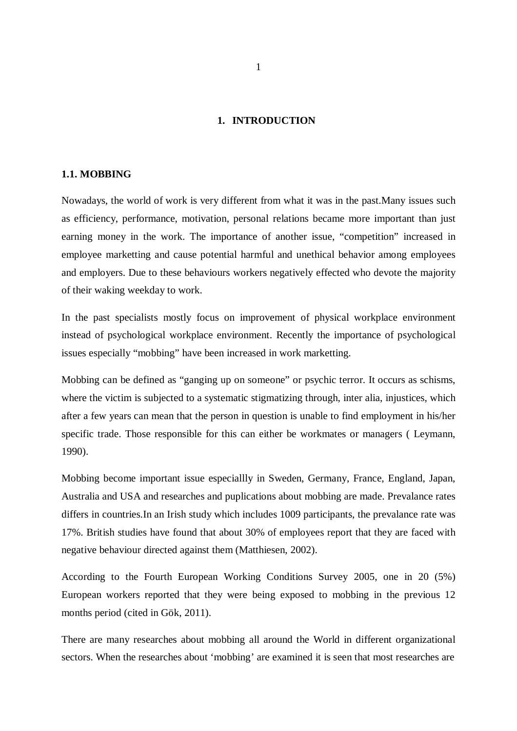#### **1. INTRODUCTION**

#### **1.1. MOBBING**

Nowadays, the world of work is very different from what it was in the past.Many issues such as efficiency, performance, motivation, personal relations became more important than just earning money in the work. The importance of another issue, "competition" increased in employee marketting and cause potential harmful and unethical behavior among employees and employers. Due to these behaviours workers negatively effected who devote the majority of their waking weekday to work.

In the past specialists mostly focus on improvement of physical workplace environment instead of psychological workplace environment. Recently the importance of psychological issues especially "mobbing" have been increased in work marketting.

Mobbing can be defined as "ganging up on someone" or psychic terror. It occurs as schisms, where the victim is subjected to a systematic stigmatizing through, inter alia, injustices, which after a few years can mean that the person in question is unable to find employment in his/her specific trade. Those responsible for this can either be workmates or managers ( Leymann, 1990).

Mobbing become important issue especiallly in Sweden, Germany, France, England, Japan, Australia and USA and researches and puplications about mobbing are made. Prevalance rates differs in countries.In an Irish study which includes 1009 participants, the prevalance rate was 17%. British studies have found that about 30% of employees report that they are faced with negative behaviour directed against them (Matthiesen, 2002).

According to the Fourth European Working Conditions Survey 2005, one in 20 (5%) European workers reported that they were being exposed to mobbing in the previous 12 months period (cited in Gök, 2011).

There are many researches about mobbing all around the World in different organizational sectors. When the researches about 'mobbing' are examined it is seen that most researches are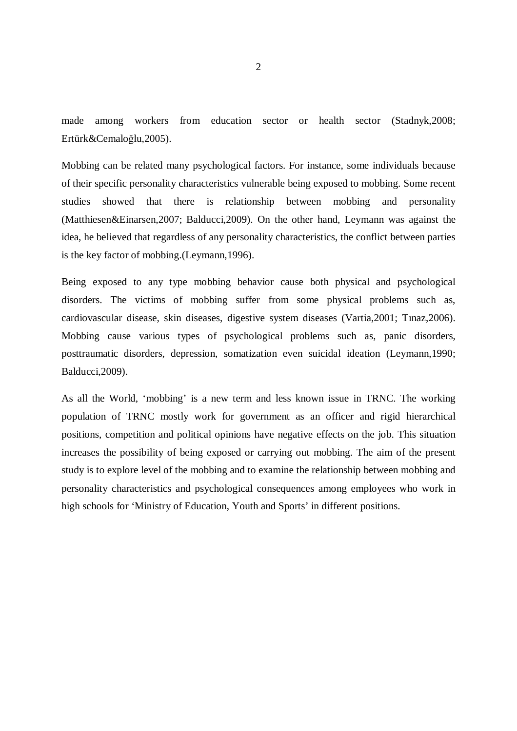made among workers from education sector or health sector (Stadnyk,2008; Ertürk&Cemaloğlu,2005).

Mobbing can be related many psychological factors. For instance, some individuals because of their specific personality characteristics vulnerable being exposed to mobbing. Some recent studies showed that there is relationship between mobbing and personality (Matthiesen&Einarsen,2007; Balducci,2009). On the other hand, Leymann was against the idea, he believed that regardless of any personality characteristics, the conflict between parties is the key factor of mobbing.(Leymann,1996).

Being exposed to any type mobbing behavior cause both physical and psychological disorders. The victims of mobbing suffer from some physical problems such as, cardiovascular disease, skin diseases, digestive system diseases (Vartia,2001; Tınaz,2006). Mobbing cause various types of psychological problems such as, panic disorders, posttraumatic disorders, depression, somatization even suicidal ideation (Leymann,1990; Balducci,2009).

As all the World, 'mobbing' is a new term and less known issue in TRNC. The working population of TRNC mostly work for government as an officer and rigid hierarchical positions, competition and political opinions have negative effects on the job. This situation increases the possibility of being exposed or carrying out mobbing. The aim of the present study is to explore level of the mobbing and to examine the relationship between mobbing and personality characteristics and psychological consequences among employees who work in high schools for 'Ministry of Education, Youth and Sports' in different positions.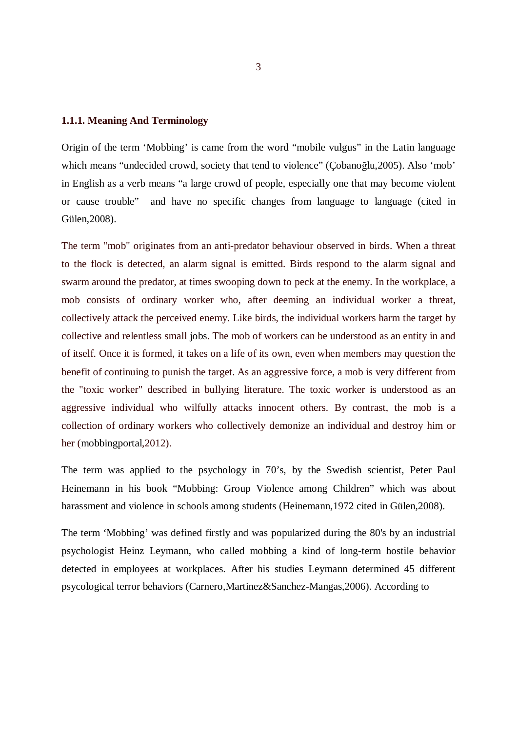#### **1.1.1. Meaning And Terminology**

Origin of the term 'Mobbing' is came from the word "mobile vulgus" in the Latin language which means "undecided crowd, society that tend to violence" (Çobanoğlu,2005). Also 'mob' in English as a verb means "a large crowd of people, especially one that may become violent or cause trouble" and have no specific changes from language to language (cited in Gülen,2008).

The term "mob" originates from an anti-predator behaviour observed in birds. When a threat to the flock is detected, an alarm signal is emitted. Birds respond to the alarm signal and swarm around the predator, at times swooping down to peck at the enemy. In the workplace, a mob consists of ordinary worker who, after deeming an individual worker a threat, collectively attack the perceived enemy. Like birds, the individual workers harm the target by collective and relentless small jobs. The mob of workers can be understood as an entity in and of itself. Once it is formed, it takes on a life of its own, even when members may question the benefit of continuing to punish the target. As an aggressive force, a mob is very different from the "toxic worker" described in bullying literature. The toxic worker is understood as an aggressive individual who wilfully attacks innocent others. By contrast, the mob is a collection of ordinary workers who collectively demonize an individual and destroy him or her (mobbingportal,2012).

The term was applied to the psychology in 70's, by the Swedish scientist, Peter Paul Heinemann in his book "Mobbing: Group Violence among Children" which was about harassment and violence in schools among students (Heinemann,1972 cited in Gülen,2008).

The term 'Mobbing' was defined firstly and was popularized during the 80's by an industrial psychologist Heinz Leymann, who called mobbing a kind of long-term hostile behavior detected in employees at workplaces. After his studies Leymann determined 45 different psycological terror behaviors (Carnero,Martinez&Sanchez-Mangas,2006). According to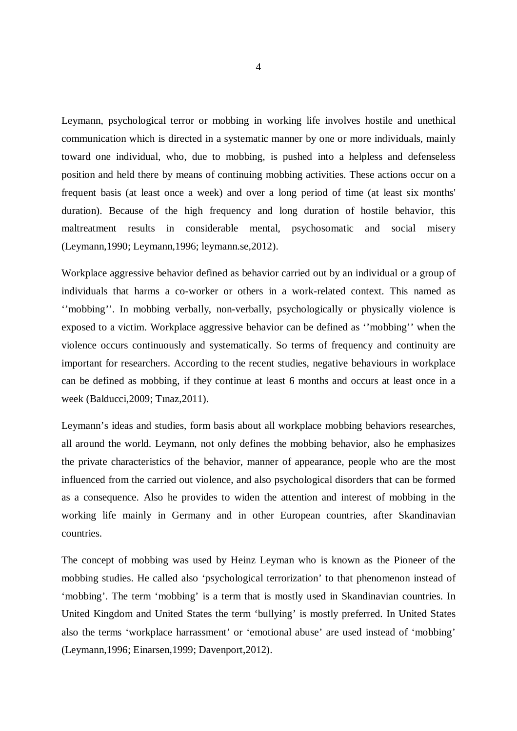Leymann, psychological terror or mobbing in working life involves hostile and unethical communication which is directed in a systematic manner by one or more individuals, mainly toward one individual, who, due to mobbing, is pushed into a helpless and defenseless position and held there by means of continuing mobbing activities. These actions occur on a frequent basis (at least once a week) and over a long period of time (at least six months' duration). Because of the high frequency and long duration of hostile behavior, this maltreatment results in considerable mental, psychosomatic and social misery (Leymann,1990; Leymann,1996; leymann.se,2012).

Workplace aggressive behavior defined as behavior carried out by an individual or a group of individuals that harms a co-worker or others in a work-related context. This named as ''mobbing''. In mobbing verbally, non-verbally, psychologically or physically violence is exposed to a victim. Workplace aggressive behavior can be defined as ''mobbing'' when the violence occurs continuously and systematically. So terms of frequency and continuity are important for researchers. According to the recent studies, negative behaviours in workplace can be defined as mobbing, if they continue at least 6 months and occurs at least once in a week (Balducci,2009; Tınaz,2011).

Leymann's ideas and studies, form basis about all workplace mobbing behaviors researches, all around the world. Leymann, not only defines the mobbing behavior, also he emphasizes the private characteristics of the behavior, manner of appearance, people who are the most influenced from the carried out violence, and also psychological disorders that can be formed as a consequence. Also he provides to widen the attention and interest of mobbing in the working life mainly in Germany and in other European countries, after Skandinavian countries.

The concept of mobbing was used by Heinz Leyman who is known as the Pioneer of the mobbing studies. He called also 'psychological terrorization' to that phenomenon instead of 'mobbing'. The term 'mobbing' is a term that is mostly used in Skandinavian countries. In United Kingdom and United States the term 'bullying' is mostly preferred. In United States also the terms 'workplace harrassment' or 'emotional abuse' are used instead of 'mobbing' (Leymann,1996; Einarsen,1999; Davenport,2012).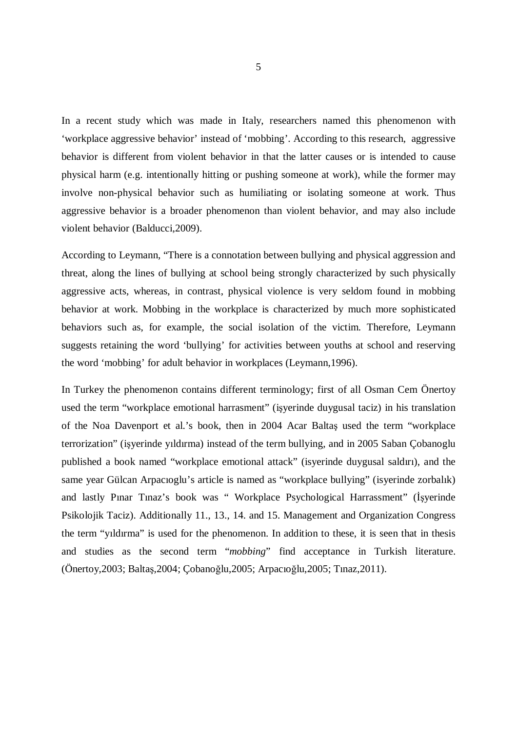In a recent study which was made in Italy, researchers named this phenomenon with 'workplace aggressive behavior' instead of 'mobbing'. According to this research, aggressive behavior is different from violent behavior in that the latter causes or is intended to cause physical harm (e.g. intentionally hitting or pushing someone at work), while the former may involve non-physical behavior such as humiliating or isolating someone at work. Thus aggressive behavior is a broader phenomenon than violent behavior, and may also include violent behavior (Balducci,2009).

According to Leymann, "There is a connotation between bullying and physical aggression and threat, along the lines of bullying at school being strongly characterized by such physically aggressive acts, whereas, in contrast, physical violence is very seldom found in mobbing behavior at work. Mobbing in the workplace is characterized by much more sophisticated behaviors such as, for example, the social isolation of the victim. Therefore, Leymann suggests retaining the word 'bullying' for activities between youths at school and reserving the word 'mobbing' for adult behavior in workplaces (Leymann,1996).

In Turkey the phenomenon contains different terminology; first of all Osman Cem Önertoy used the term "workplace emotional harrasment" (işyerinde duygusal taciz) in his translation of the Noa Davenport et al.'s book, then in 2004 Acar Baltaş used the term "workplace terrorization" (işyerinde yıldırma) instead of the term bullying, and in 2005 Saban Çobanoglu published a book named "workplace emotional attack" (isyerinde duygusal saldırı), and the same year Gülcan Arpacıoglu's article is named as "workplace bullying" (isyerinde zorbalık) and lastly Pınar Tınaz's book was " Workplace Psychological Harrassment" (İşyerinde Psikolojik Taciz). Additionally 11., 13., 14. and 15. Management and Organization Congress the term "yıldırma" is used for the phenomenon. In addition to these, it is seen that in thesis and studies as the second term "*mobbing*" find acceptance in Turkish literature. (Önertoy,2003; Baltaş,2004; Çobanoğlu,2005; Arpacıoğlu,2005; Tınaz,2011).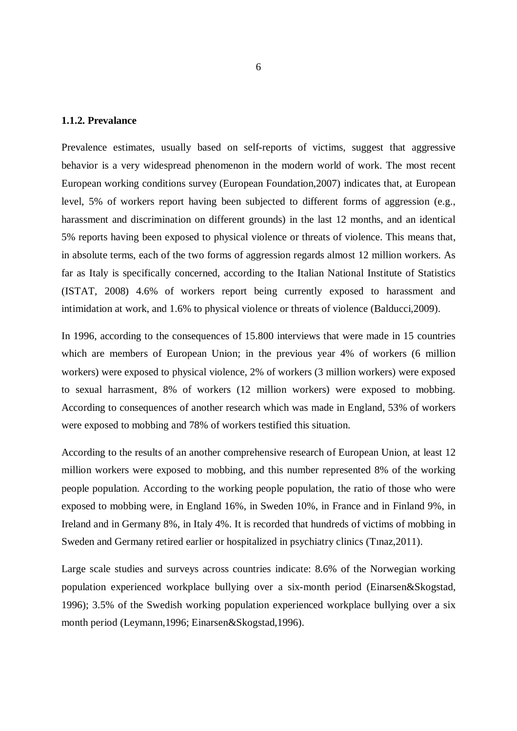#### **1.1.2. Prevalance**

Prevalence estimates, usually based on self-reports of victims, suggest that aggressive behavior is a very widespread phenomenon in the modern world of work. The most recent European working conditions survey (European Foundation,2007) indicates that, at European level, 5% of workers report having been subjected to different forms of aggression (e.g., harassment and discrimination on different grounds) in the last 12 months, and an identical 5% reports having been exposed to physical violence or threats of violence. This means that, in absolute terms, each of the two forms of aggression regards almost 12 million workers. As far as Italy is specifically concerned, according to the Italian National Institute of Statistics (ISTAT, 2008) 4.6% of workers report being currently exposed to harassment and intimidation at work, and 1.6% to physical violence or threats of violence (Balducci,2009).

In 1996, according to the consequences of 15.800 interviews that were made in 15 countries which are members of European Union; in the previous year 4% of workers (6 million workers) were exposed to physical violence, 2% of workers (3 million workers) were exposed to sexual harrasment, 8% of workers (12 million workers) were exposed to mobbing. According to consequences of another research which was made in England, 53% of workers were exposed to mobbing and 78% of workers testified this situation.

According to the results of an another comprehensive research of European Union, at least 12 million workers were exposed to mobbing, and this number represented 8% of the working people population. According to the working people population, the ratio of those who were exposed to mobbing were, in England 16%, in Sweden 10%, in France and in Finland 9%, in Ireland and in Germany 8%, in Italy 4%. It is recorded that hundreds of victims of mobbing in Sweden and Germany retired earlier or hospitalized in psychiatry clinics (Tınaz,2011).

Large scale studies and surveys across countries indicate: 8.6% of the Norwegian working population experienced workplace bullying over a six-month period (Einarsen&Skogstad, 1996); 3.5% of the Swedish working population experienced workplace bullying over a six month period (Leymann,1996; Einarsen&Skogstad,1996).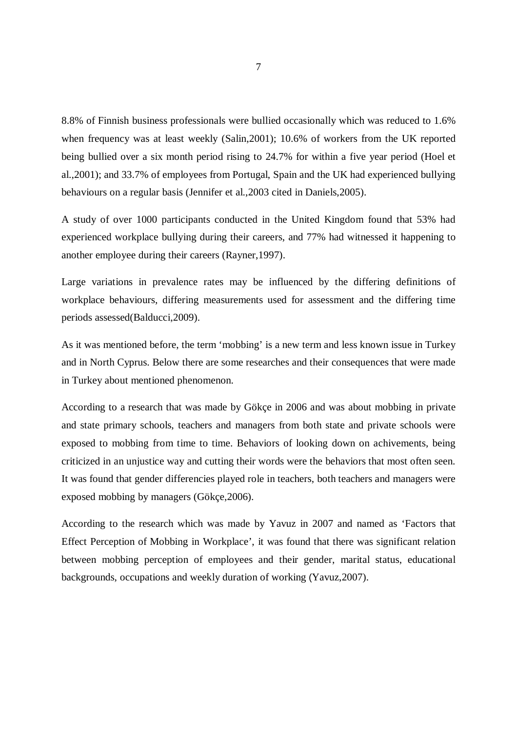8.8% of Finnish business professionals were bullied occasionally which was reduced to 1.6% when frequency was at least weekly (Salin,2001); 10.6% of workers from the UK reported being bullied over a six month period rising to 24.7% for within a five year period (Hoel et al.,2001); and 33.7% of employees from Portugal, Spain and the UK had experienced bullying behaviours on a regular basis (Jennifer et al.,2003 cited in Daniels,2005).

A study of over 1000 participants conducted in the United Kingdom found that 53% had experienced workplace bullying during their careers, and 77% had witnessed it happening to another employee during their careers (Rayner,1997).

Large variations in prevalence rates may be influenced by the differing definitions of workplace behaviours, differing measurements used for assessment and the differing time periods assessed(Balducci,2009).

As it was mentioned before, the term 'mobbing' is a new term and less known issue in Turkey and in North Cyprus. Below there are some researches and their consequences that were made in Turkey about mentioned phenomenon.

According to a research that was made by Gökçe in 2006 and was about mobbing in private and state primary schools, teachers and managers from both state and private schools were exposed to mobbing from time to time. Behaviors of looking down on achivements, being criticized in an unjustice way and cutting their words were the behaviors that most often seen. It was found that gender differencies played role in teachers, both teachers and managers were exposed mobbing by managers (Gökçe,2006).

According to the research which was made by Yavuz in 2007 and named as 'Factors that Effect Perception of Mobbing in Workplace', it was found that there was significant relation between mobbing perception of employees and their gender, marital status, educational backgrounds, occupations and weekly duration of working (Yavuz,2007).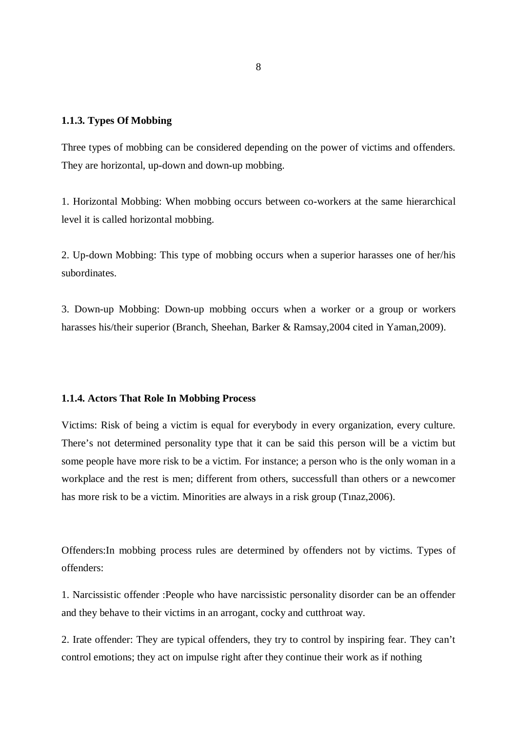#### **1.1.3. Types Of Mobbing**

Three types of mobbing can be considered depending on the power of victims and offenders. They are horizontal, up-down and down-up mobbing.

1. Horizontal Mobbing: When mobbing occurs between co-workers at the same hierarchical level it is called horizontal mobbing.

2. Up-down Mobbing: This type of mobbing occurs when a superior harasses one of her/his subordinates.

3. Down-up Mobbing: Down-up mobbing occurs when a worker or a group or workers harasses his/their superior (Branch, Sheehan, Barker & Ramsay,2004 cited in Yaman,2009).

#### **1.1.4. Actors That Role In Mobbing Process**

Victims: Risk of being a victim is equal for everybody in every organization, every culture. There's not determined personality type that it can be said this person will be a victim but some people have more risk to be a victim. For instance; a person who is the only woman in a workplace and the rest is men; different from others, successfull than others or a newcomer has more risk to be a victim. Minorities are always in a risk group (Tinaz, 2006).

Offenders:In mobbing process rules are determined by offenders not by victims. Types of offenders:

1. Narcissistic offender :People who have narcissistic personality disorder can be an offender and they behave to their victims in an arrogant, cocky and cutthroat way.

2. Irate offender: They are typical offenders, they try to control by inspiring fear. They can't control emotions; they act on impulse right after they continue their work as if nothing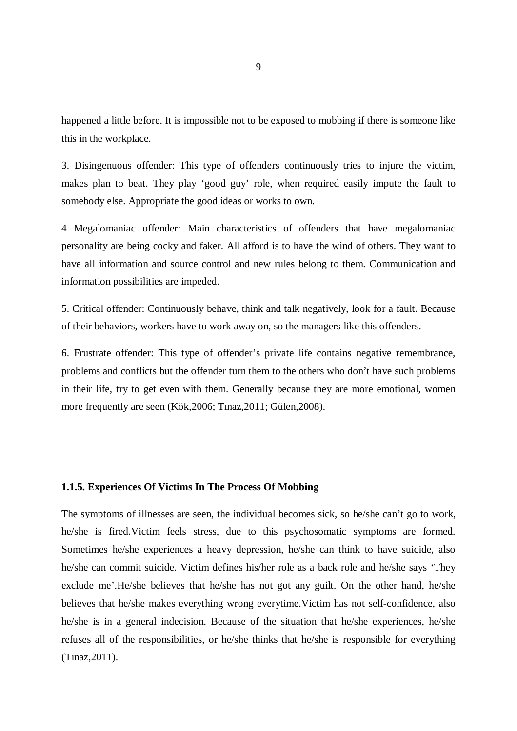happened a little before. It is impossible not to be exposed to mobbing if there is someone like this in the workplace.

3. Disingenuous offender: This type of offenders continuously tries to injure the victim, makes plan to beat. They play 'good guy' role, when required easily impute the fault to somebody else. Appropriate the good ideas or works to own.

4 Megalomaniac offender: Main characteristics of offenders that have megalomaniac personality are being cocky and faker. All afford is to have the wind of others. They want to have all information and source control and new rules belong to them. Communication and information possibilities are impeded.

5. Critical offender: Continuously behave, think and talk negatively, look for a fault. Because of their behaviors, workers have to work away on, so the managers like this offenders.

6. Frustrate offender: This type of offender's private life contains negative remembrance, problems and conflicts but the offender turn them to the others who don't have such problems in their life, try to get even with them. Generally because they are more emotional, women more frequently are seen (Kök,2006; Tınaz,2011; Gülen,2008).

#### **1.1.5. Experiences Of Victims In The Process Of Mobbing**

The symptoms of illnesses are seen, the individual becomes sick, so he/she can't go to work, he/she is fired.Victim feels stress, due to this psychosomatic symptoms are formed. Sometimes he/she experiences a heavy depression, he/she can think to have suicide, also he/she can commit suicide. Victim defines his/her role as a back role and he/she says 'They exclude me'.He/she believes that he/she has not got any guilt. On the other hand, he/she believes that he/she makes everything wrong everytime.Victim has not self-confidence, also he/she is in a general indecision. Because of the situation that he/she experiences, he/she refuses all of the responsibilities, or he/she thinks that he/she is responsible for everything (Tınaz,2011).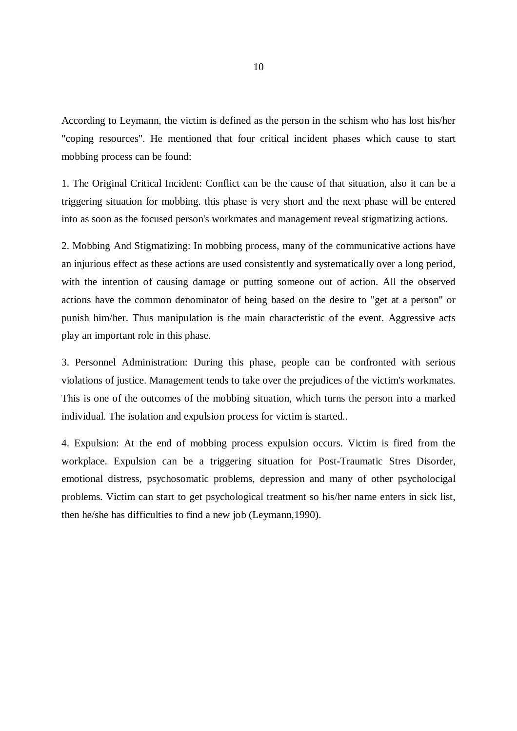According to Leymann, the victim is defined as the person in the schism who has lost his/her "coping resources". He mentioned that four critical incident phases which cause to start mobbing process can be found:

1. The Original Critical Incident: Conflict can be the cause of that situation, also it can be a triggering situation for mobbing. this phase is very short and the next phase will be entered into as soon as the focused person's workmates and management reveal stigmatizing actions.

2. Mobbing And Stigmatizing: In mobbing process, many of the communicative actions have an injurious effect as these actions are used consistently and systematically over a long period, with the intention of causing damage or putting someone out of action. All the observed actions have the common denominator of being based on the desire to "get at a person" or punish him/her. Thus manipulation is the main characteristic of the event. Aggressive acts play an important role in this phase.

3. Personnel Administration: During this phase, people can be confronted with serious violations of justice. Management tends to take over the prejudices of the victim's workmates. This is one of the outcomes of the mobbing situation, which turns the person into a marked individual. The isolation and expulsion process for victim is started..

4. Expulsion: At the end of mobbing process expulsion occurs. Victim is fired from the workplace. Expulsion can be a triggering situation for Post-Traumatic Stres Disorder, emotional distress, psychosomatic problems, depression and many of other psycholocigal problems. Victim can start to get psychological treatment so his/her name enters in sick list, then he/she has difficulties to find a new job (Leymann,1990).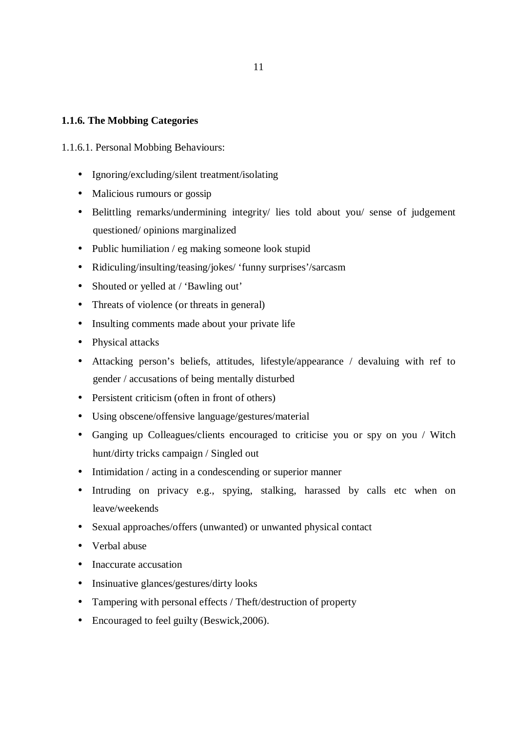#### **1.1.6. The Mobbing Categories**

#### 1.1.6.1. Personal Mobbing Behaviours:

- Ignoring/excluding/silent treatment/isolating
- Malicious rumours or gossip
- Belittling remarks/undermining integrity/ lies told about you/ sense of judgement questioned/ opinions marginalized
- Public humiliation / eg making someone look stupid
- Ridiculing/insulting/teasing/jokes/ 'funny surprises'/sarcasm
- Shouted or yelled at / 'Bawling out'
- Threats of violence (or threats in general)
- Insulting comments made about your private life
- Physical attacks
- Attacking person's beliefs, attitudes, lifestyle/appearance / devaluing with ref to gender / accusations of being mentally disturbed
- Persistent criticism (often in front of others)
- Using obscene/offensive language/gestures/material
- Ganging up Colleagues/clients encouraged to criticise you or spy on you / Witch hunt/dirty tricks campaign / Singled out
- Intimidation / acting in a condescending or superior manner
- Intruding on privacy e.g., spying, stalking, harassed by calls etc when on leave/weekends
- Sexual approaches/offers (unwanted) or unwanted physical contact
- Verbal abuse
- Inaccurate accusation
- Insinuative glances/gestures/dirty looks
- Tampering with personal effects / Theft/destruction of property
- Encouraged to feel guilty (Beswick, 2006).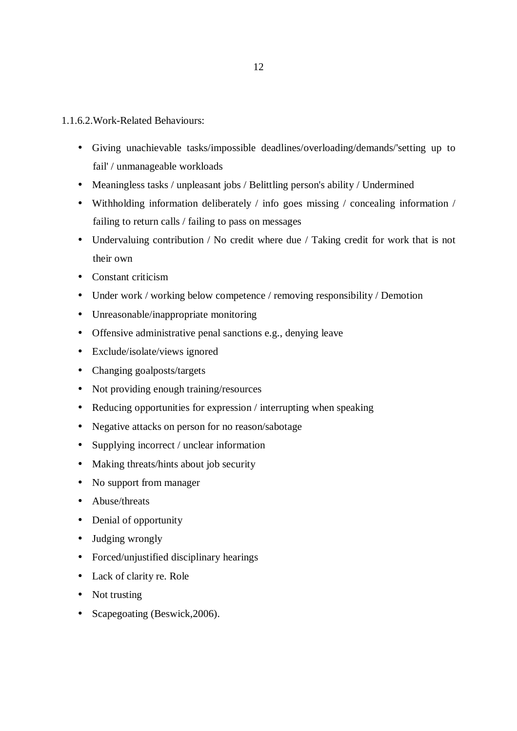- 1.1.6.2.Work-Related Behaviours:
	- Giving unachievable tasks/impossible deadlines/overloading/demands/'setting up to fail' / unmanageable workloads
	- Meaningless tasks / unpleasant jobs / Belittling person's ability / Undermined
	- Withholding information deliberately / info goes missing / concealing information / failing to return calls / failing to pass on messages
	- Undervaluing contribution / No credit where due / Taking credit for work that is not their own
	- Constant criticism
	- Under work / working below competence / removing responsibility / Demotion
	- Unreasonable/inappropriate monitoring
	- Offensive administrative penal sanctions e.g., denying leave
	- Exclude/isolate/views ignored
	- Changing goalposts/targets
	- Not providing enough training/resources
	- Reducing opportunities for expression / interrupting when speaking
	- Negative attacks on person for no reason/sabotage
	- Supplying incorrect / unclear information
	- Making threats/hints about job security
	- No support from manager
	- Abuse/threats
	- Denial of opportunity
	- Judging wrongly
	- Forced/unjustified disciplinary hearings
	- Lack of clarity re. Role
	- Not trusting
	- Scapegoating (Beswick, 2006).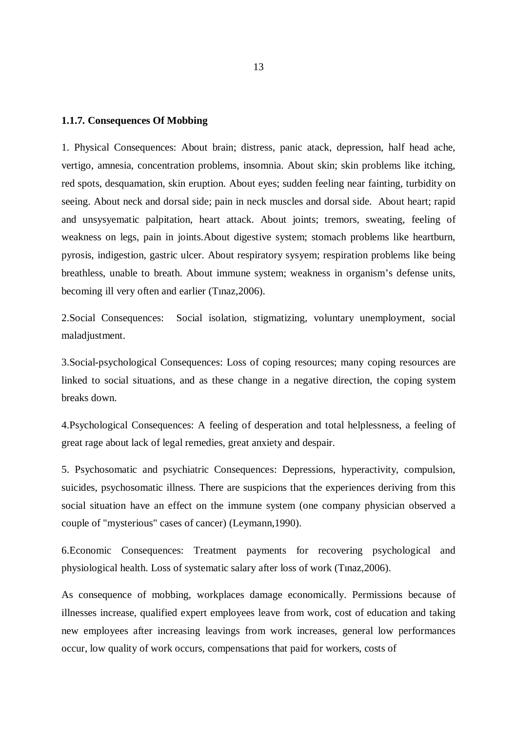#### **1.1.7. Consequences Of Mobbing**

1. Physical Consequences: About brain; distress, panic atack, depression, half head ache, vertigo, amnesia, concentration problems, insomnia. About skin; skin problems like itching, red spots, desquamation, skin eruption. About eyes; sudden feeling near fainting, turbidity on seeing. About neck and dorsal side; pain in neck muscles and dorsal side. About heart; rapid and unsysyematic palpitation, heart attack. About joints; tremors, sweating, feeling of weakness on legs, pain in joints.About digestive system; stomach problems like heartburn, pyrosis, indigestion, gastric ulcer. About respiratory sysyem; respiration problems like being breathless, unable to breath. About immune system; weakness in organism's defense units, becoming ill very often and earlier (Tınaz,2006).

2.Social Consequences: Social isolation, stigmatizing, voluntary unemployment, social maladjustment.

3.Social-psychological Consequences: Loss of coping resources; many coping resources are linked to social situations, and as these change in a negative direction, the coping system breaks down.

4.Psychological Consequences: A feeling of desperation and total helplessness, a feeling of great rage about lack of legal remedies, great anxiety and despair.

5. Psychosomatic and psychiatric Consequences: Depressions, hyperactivity, compulsion, suicides, psychosomatic illness. There are suspicions that the experiences deriving from this social situation have an effect on the immune system (one company physician observed a couple of "mysterious" cases of cancer) (Leymann,1990).

6.Economic Consequences: Treatment payments for recovering psychological and physiological health. Loss of systematic salary after loss of work (Tınaz,2006).

As consequence of mobbing, workplaces damage economically. Permissions because of illnesses increase, qualified expert employees leave from work, cost of education and taking new employees after increasing leavings from work increases, general low performances occur, low quality of work occurs, compensations that paid for workers, costs of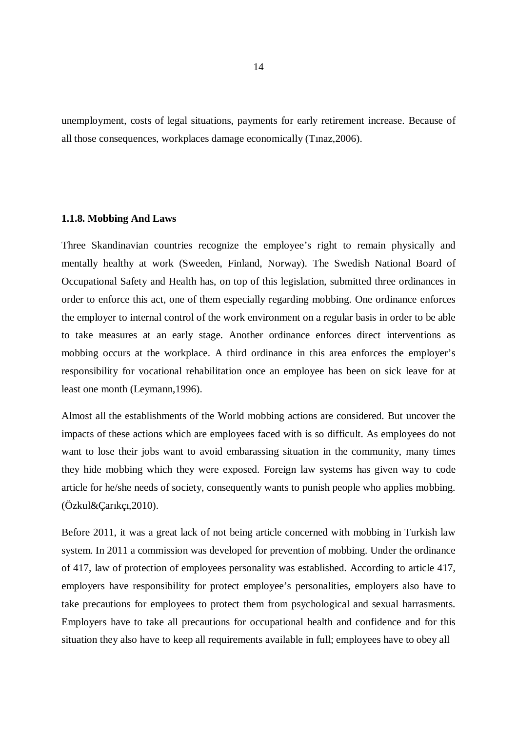unemployment, costs of legal situations, payments for early retirement increase. Because of all those consequences, workplaces damage economically (Tınaz,2006).

#### **1.1.8. Mobbing And Laws**

Three Skandinavian countries recognize the employee's right to remain physically and mentally healthy at work (Sweeden, Finland, Norway). The Swedish National Board of Occupational Safety and Health has, on top of this legislation, submitted three ordinances in order to enforce this act, one of them especially regarding mobbing. One ordinance enforces the employer to internal control of the work environment on a regular basis in order to be able to take measures at an early stage. Another ordinance enforces direct interventions as mobbing occurs at the workplace. A third ordinance in this area enforces the employer's responsibility for vocational rehabilitation once an employee has been on sick leave for at least one month (Leymann,1996).

Almost all the establishments of the World mobbing actions are considered. But uncover the impacts of these actions which are employees faced with is so difficult. As employees do not want to lose their jobs want to avoid embarassing situation in the community, many times they hide mobbing which they were exposed. Foreign law systems has given way to code article for he/she needs of society, consequently wants to punish people who applies mobbing. (Özkul&Çarıkçı,2010).

Before 2011, it was a great lack of not being article concerned with mobbing in Turkish law system. In 2011 a commission was developed for prevention of mobbing. Under the ordinance of 417, law of protection of employees personality was established. According to article 417, employers have responsibility for protect employee's personalities, employers also have to take precautions for employees to protect them from psychological and sexual harrasments. Employers have to take all precautions for occupational health and confidence and for this situation they also have to keep all requirements available in full; employees have to obey all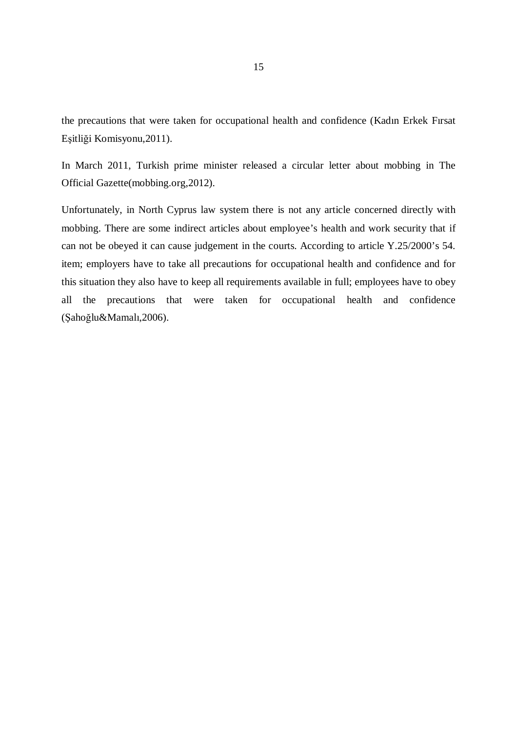the precautions that were taken for occupational health and confidence (Kadın Erkek Fırsat Eşitliği Komisyonu,2011).

In March 2011, Turkish prime minister released a circular letter about mobbing in The Official Gazette(mobbing.org,2012).

Unfortunately, in North Cyprus law system there is not any article concerned directly with mobbing. There are some indirect articles about employee's health and work security that if can not be obeyed it can cause judgement in the courts. According to article Y.25/2000's 54. item; employers have to take all precautions for occupational health and confidence and for this situation they also have to keep all requirements available in full; employees have to obey all the precautions that were taken for occupational health and confidence (Şahoğlu&Mamalı,2006).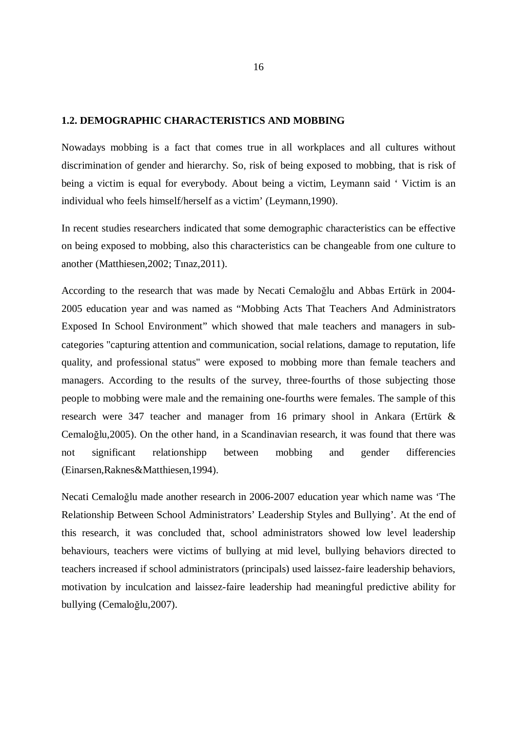#### **1.2. DEMOGRAPHIC CHARACTERISTICS AND MOBBING**

Nowadays mobbing is a fact that comes true in all workplaces and all cultures without discrimination of gender and hierarchy. So, risk of being exposed to mobbing, that is risk of being a victim is equal for everybody. About being a victim, Leymann said ' Victim is an individual who feels himself/herself as a victim' (Leymann,1990).

In recent studies researchers indicated that some demographic characteristics can be effective on being exposed to mobbing, also this characteristics can be changeable from one culture to another (Matthiesen,2002; Tınaz,2011).

According to the research that was made by Necati Cemaloğlu and Abbas Ertürk in 2004- 2005 education year and was named as "Mobbing Acts That Teachers And Administrators Exposed In School Environment" which showed that male teachers and managers in subcategories "capturing attention and communication, social relations, damage to reputation, life quality, and professional status" were exposed to mobbing more than female teachers and managers. According to the results of the survey, three-fourths of those subjecting those people to mobbing were male and the remaining one-fourths were females. The sample of this research were 347 teacher and manager from 16 primary shool in Ankara (Ertürk & Cemaloğlu,2005). On the other hand, in a Scandinavian research, it was found that there was not significant relationshipp between mobbing and gender differencies (Einarsen,Raknes&Matthiesen,1994).

Necati Cemaloğlu made another research in 2006-2007 education year which name was 'The Relationship Between School Administrators' Leadership Styles and Bullying'. At the end of this research, it was concluded that, school administrators showed low level leadership behaviours, teachers were victims of bullying at mid level, bullying behaviors directed to teachers increased if school administrators (principals) used laissez-faire leadership behaviors, motivation by inculcation and laissez-faire leadership had meaningful predictive ability for bullying (Cemaloğlu,2007).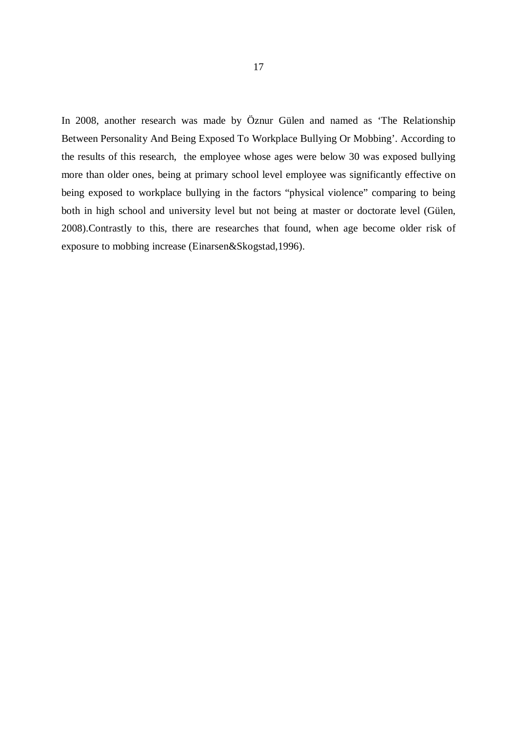In 2008, another research was made by Öznur Gülen and named as 'The Relationship Between Personality And Being Exposed To Workplace Bullying Or Mobbing'. According to the results of this research, the employee whose ages were below 30 was exposed bullying more than older ones, being at primary school level employee was significantly effective on being exposed to workplace bullying in the factors "physical violence" comparing to being both in high school and university level but not being at master or doctorate level (Gülen, 2008).Contrastly to this, there are researches that found, when age become older risk of exposure to mobbing increase (Einarsen&Skogstad,1996).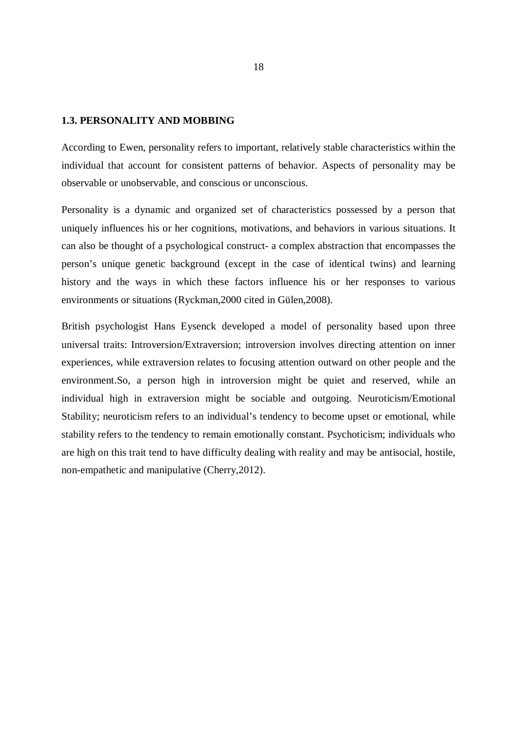#### **1.3. PERSONALITY AND MOBBING**

According to Ewen, personality refers to important, relatively stable characteristics within the individual that account for consistent patterns of behavior. Aspects of personality may be observable or unobservable, and conscious or unconscious.

Personality is a dynamic and organized set of characteristics possessed by a person that uniquely influences his or her cognitions, motivations, and behaviors in various situations. It can also be thought of a psychological construct- a complex abstraction that encompasses the person's unique genetic background (except in the case of identical twins) and learning history and the ways in which these factors influence his or her responses to various environments or situations (Ryckman,2000 cited in Gülen,2008).

British psychologist Hans Eysenck developed a model of personality based upon three universal traits: Introversion/Extraversion; introversion involves directing attention on inner experiences, while extraversion relates to focusing attention outward on other people and the environment.So, a person high in introversion might be quiet and reserved, while an individual high in extraversion might be sociable and outgoing. Neuroticism/Emotional Stability; neuroticism refers to an individual's tendency to become upset or emotional, while stability refers to the tendency to remain emotionally constant. Psychoticism; individuals who are high on this trait tend to have difficulty dealing with reality and may be antisocial, hostile, non-empathetic and manipulative (Cherry,2012).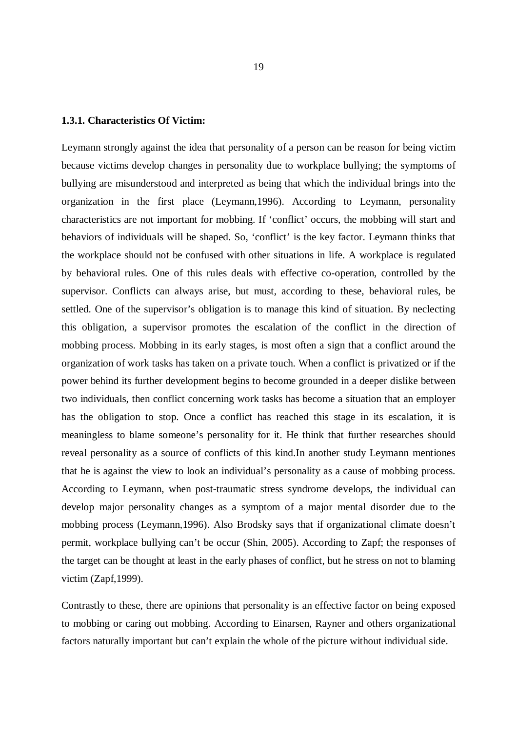#### **1.3.1. Characteristics Of Victim:**

Leymann strongly against the idea that personality of a person can be reason for being victim because victims develop changes in personality due to workplace bullying; the symptoms of bullying are misunderstood and interpreted as being that which the individual brings into the organization in the first place (Leymann,1996). According to Leymann, personality characteristics are not important for mobbing. If 'conflict' occurs, the mobbing will start and behaviors of individuals will be shaped. So, 'conflict' is the key factor. Leymann thinks that the workplace should not be confused with other situations in life. A workplace is regulated by behavioral rules. One of this rules deals with effective co-operation, controlled by the supervisor. Conflicts can always arise, but must, according to these, behavioral rules, be settled. One of the supervisor's obligation is to manage this kind of situation. By neclecting this obligation, a supervisor promotes the escalation of the conflict in the direction of mobbing process. Mobbing in its early stages, is most often a sign that a conflict around the organization of work tasks has taken on a private touch. When a conflict is privatized or if the power behind its further development begins to become grounded in a deeper dislike between two individuals, then conflict concerning work tasks has become a situation that an employer has the obligation to stop. Once a conflict has reached this stage in its escalation, it is meaningless to blame someone's personality for it. He think that further researches should reveal personality as a source of conflicts of this kind.In another study Leymann mentiones that he is against the view to look an individual's personality as a cause of mobbing process. According to Leymann, when post-traumatic stress syndrome develops, the individual can develop major personality changes as a symptom of a major mental disorder due to the mobbing process (Leymann,1996). Also Brodsky says that if organizational climate doesn't permit, workplace bullying can't be occur (Shin, 2005). According to Zapf; the responses of the target can be thought at least in the early phases of conflict, but he stress on not to blaming victim (Zapf,1999).

Contrastly to these, there are opinions that personality is an effective factor on being exposed to mobbing or caring out mobbing. According to Einarsen, Rayner and others organizational factors naturally important but can't explain the whole of the picture without individual side.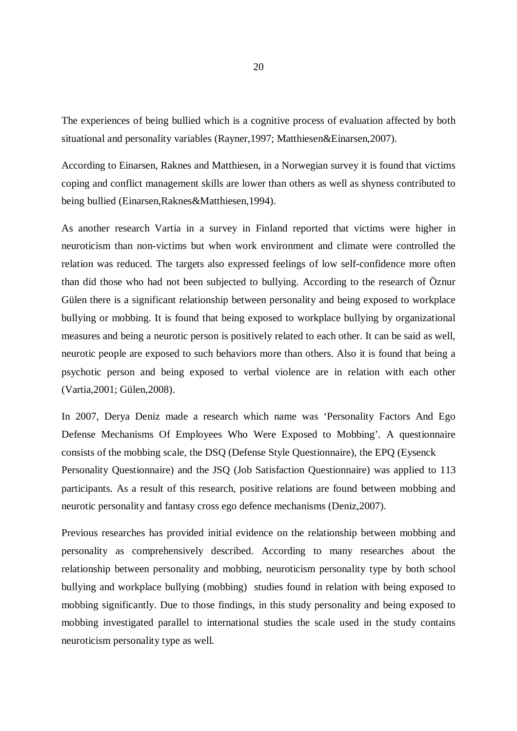The experiences of being bullied which is a cognitive process of evaluation affected by both situational and personality variables (Rayner,1997; Matthiesen&Einarsen,2007).

According to Einarsen, Raknes and Matthiesen, in a Norwegian survey it is found that victims coping and conflict management skills are lower than others as well as shyness contributed to being bullied (Einarsen,Raknes&Matthiesen,1994).

As another research Vartia in a survey in Finland reported that victims were higher in neuroticism than non-victims but when work environment and climate were controlled the relation was reduced. The targets also expressed feelings of low self-confidence more often than did those who had not been subjected to bullying. According to the research of Öznur Gülen there is a significant relationship between personality and being exposed to workplace bullying or mobbing. It is found that being exposed to workplace bullying by organizational measures and being a neurotic person is positively related to each other. It can be said as well, neurotic people are exposed to such behaviors more than others. Also it is found that being a psychotic person and being exposed to verbal violence are in relation with each other (Vartia,2001; Gülen,2008).

In 2007, Derya Deniz made a research which name was 'Personality Factors And Ego Defense Mechanisms Of Employees Who Were Exposed to Mobbing'. A questionnaire consists of the mobbing scale, the DSQ (Defense Style Questionnaire), the EPQ (Eysenck Personality Questionnaire) and the JSQ (Job Satisfaction Questionnaire) was applied to 113 participants. As a result of this research, positive relations are found between mobbing and neurotic personality and fantasy cross ego defence mechanisms (Deniz,2007).

Previous researches has provided initial evidence on the relationship between mobbing and personality as comprehensively described. According to many researches about the relationship between personality and mobbing, neuroticism personality type by both school bullying and workplace bullying (mobbing) studies found in relation with being exposed to mobbing significantly. Due to those findings, in this study personality and being exposed to mobbing investigated parallel to international studies the scale used in the study contains neuroticism personality type as well.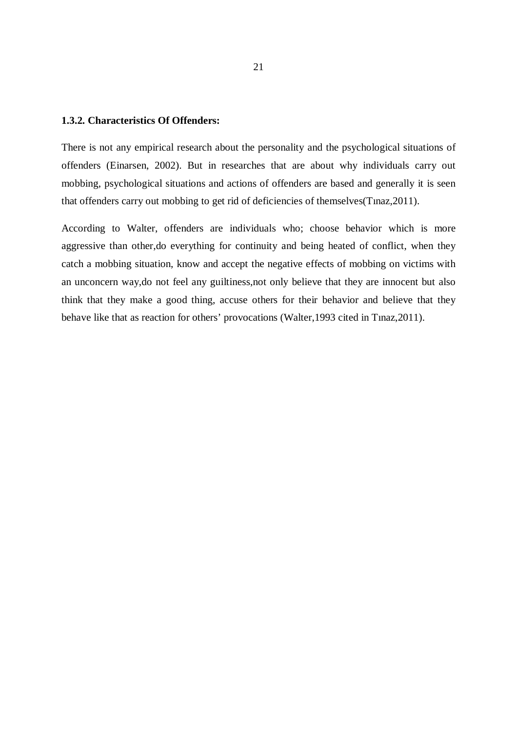#### **1.3.2. Characteristics Of Offenders:**

There is not any empirical research about the personality and the psychological situations of offenders (Einarsen, 2002). But in researches that are about why individuals carry out mobbing, psychological situations and actions of offenders are based and generally it is seen that offenders carry out mobbing to get rid of deficiencies of themselves(Tınaz,2011).

According to Walter, offenders are individuals who; choose behavior which is more aggressive than other,do everything for continuity and being heated of conflict, when they catch a mobbing situation, know and accept the negative effects of mobbing on victims with an unconcern way,do not feel any guiltiness,not only believe that they are innocent but also think that they make a good thing, accuse others for their behavior and believe that they behave like that as reaction for others' provocations (Walter,1993 cited in Tınaz,2011).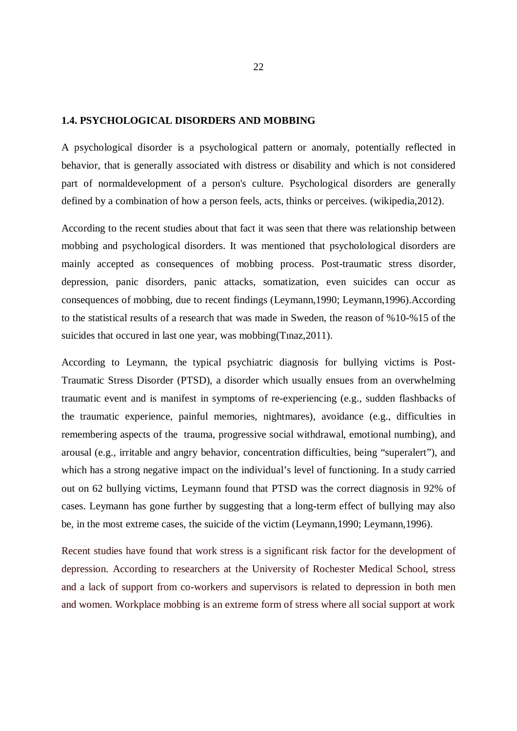#### **1.4. PSYCHOLOGICAL DISORDERS AND MOBBING**

A psychological disorder is a psychological pattern or anomaly, potentially reflected in behavior, that is generally associated with distress or disability and which is not considered part of normaldevelopment of a person's culture. Psychological disorders are generally defined by a combination of how a person feels, acts, thinks or perceives. (wikipedia,2012).

According to the recent studies about that fact it was seen that there was relationship between mobbing and psychological disorders. It was mentioned that psycholological disorders are mainly accepted as consequences of mobbing process. Post-traumatic stress disorder, depression, panic disorders, panic attacks, somatization, even suicides can occur as consequences of mobbing, due to recent findings (Leymann,1990; Leymann,1996).According to the statistical results of a research that was made in Sweden, the reason of %10-%15 of the suicides that occured in last one year, was mobbing(Tınaz,2011).

According to Leymann, the typical psychiatric diagnosis for bullying victims is Post-Traumatic Stress Disorder (PTSD), a disorder which usually ensues from an overwhelming traumatic event and is manifest in symptoms of re-experiencing (e.g., sudden flashbacks of the traumatic experience, painful memories, nightmares), avoidance (e.g., difficulties in remembering aspects of the trauma, progressive social withdrawal, emotional numbing), and arousal (e.g., irritable and angry behavior, concentration difficulties, being "superalert"), and which has a strong negative impact on the individual's level of functioning. In a study carried out on 62 bullying victims, Leymann found that PTSD was the correct diagnosis in 92% of cases. Leymann has gone further by suggesting that a long-term effect of bullying may also be, in the most extreme cases, the suicide of the victim (Leymann,1990; Leymann,1996).

Recent studies have found that work stress is a significant risk factor for the development of depression. According to researchers at the University of Rochester Medical School, stress and a lack of support from co-workers and supervisors is related to depression in both men and women. Workplace mobbing is an extreme form of stress where all social support at work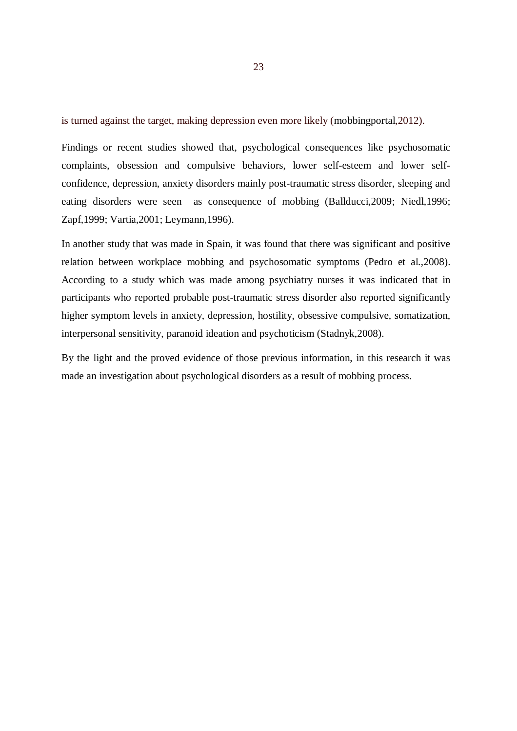is turned against the target, making depression even more likely (mobbingportal,2012).

Findings or recent studies showed that, psychological consequences like psychosomatic complaints, obsession and compulsive behaviors, lower self-esteem and lower selfconfidence, depression, anxiety disorders mainly post-traumatic stress disorder, sleeping and eating disorders were seen as consequence of mobbing (Ballducci,2009; Niedl,1996; Zapf,1999; Vartia,2001; Leymann,1996).

In another study that was made in Spain, it was found that there was significant and positive relation between workplace mobbing and psychosomatic symptoms (Pedro et al.,2008). According to a study which was made among psychiatry nurses it was indicated that in participants who reported probable post-traumatic stress disorder also reported significantly higher symptom levels in anxiety, depression, hostility, obsessive compulsive, somatization, interpersonal sensitivity, paranoid ideation and psychoticism (Stadnyk,2008).

By the light and the proved evidence of those previous information, in this research it was made an investigation about psychological disorders as a result of mobbing process.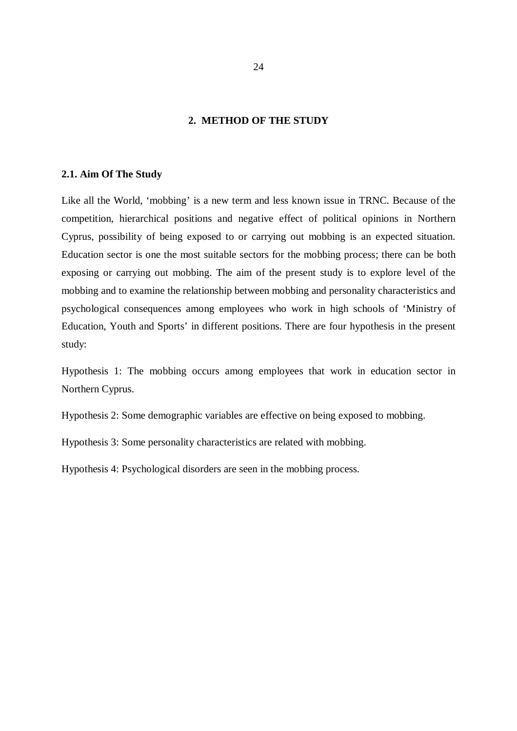### **2. METHOD OF THE STUDY**

#### **2.1. Aim Of The Study**

Like all the World, 'mobbing' is a new term and less known issue in TRNC. Because of the competition, hierarchical positions and negative effect of political opinions in Northern Cyprus, possibility of being exposed to or carrying out mobbing is an expected situation. Education sector is one the most suitable sectors for the mobbing process; there can be both exposing or carrying out mobbing. The aim of the present study is to explore level of the mobbing and to examine the relationship between mobbing and personality characteristics and psychological consequences among employees who work in high schools of 'Ministry of Education, Youth and Sports' in different positions. There are four hypothesis in the present study:

Hypothesis 1: The mobbing occurs among employees that work in education sector in Northern Cyprus.

Hypothesis 2: Some demographic variables are effective on being exposed to mobbing.

Hypothesis 3: Some personality characteristics are related with mobbing.

Hypothesis 4: Psychological disorders are seen in the mobbing process.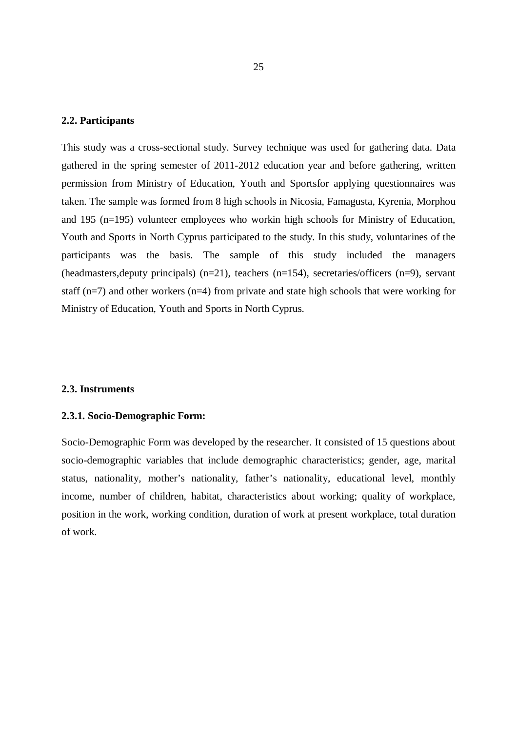#### **2.2. Participants**

This study was a cross-sectional study. Survey technique was used for gathering data. Data gathered in the spring semester of 2011-2012 education year and before gathering, written permission from Ministry of Education, Youth and Sportsfor applying questionnaires was taken. The sample was formed from 8 high schools in Nicosia, Famagusta, Kyrenia, Morphou and 195 (n=195) volunteer employees who workin high schools for Ministry of Education, Youth and Sports in North Cyprus participated to the study. In this study, voluntarines of the participants was the basis. The sample of this study included the managers (headmasters,deputy principals) (n=21), teachers (n=154), secretaries/officers (n=9), servant staff ( $n=7$ ) and other workers ( $n=4$ ) from private and state high schools that were working for Ministry of Education, Youth and Sports in North Cyprus.

#### **2.3. Instruments**

#### **2.3.1. Socio-Demographic Form:**

Socio-Demographic Form was developed by the researcher. It consisted of 15 questions about socio-demographic variables that include demographic characteristics; gender, age, marital status, nationality, mother's nationality, father's nationality, educational level, monthly income, number of children, habitat, characteristics about working; quality of workplace, position in the work, working condition, duration of work at present workplace, total duration of work.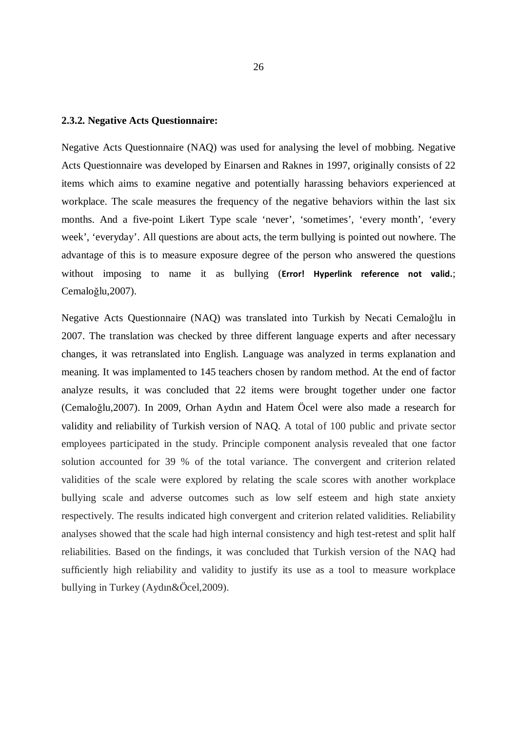#### **2.3.2. Negative Acts Questionnaire:**

Negative Acts Questionnaire (NAQ) was used for analysing the level of mobbing. Negative Acts Questionnaire was developed by Einarsen and Raknes in 1997, originally consists of 22 items which aims to examine negative and potentially harassing behaviors experienced at workplace. The scale measures the frequency of the negative behaviors within the last six months. And a five-point Likert Type scale 'never', 'sometimes', 'every month', 'every week', 'everyday'. All questions are about acts, the term bullying is pointed out nowhere. The advantage of this is to measure exposure degree of the person who answered the questions without imposing to name it as bullying (**Error! Hyperlink reference not valid.**; Cemaloğlu,2007).

Negative Acts Questionnaire (NAQ) was translated into Turkish by Necati Cemaloğlu in 2007. The translation was checked by three different language experts and after necessary changes, it was retranslated into English. Language was analyzed in terms explanation and meaning. It was implamented to 145 teachers chosen by random method. At the end of factor analyze results, it was concluded that 22 items were brought together under one factor (Cemaloğlu,2007). In 2009, Orhan Aydın and Hatem Öcel were also made a research for validity and reliability of Turkish version of NAQ. A total of 100 public and private sector employees participated in the study. Principle component analysis revealed that one factor solution accounted for 39 % of the total variance. The convergent and criterion related validities of the scale were explored by relating the scale scores with another workplace bullying scale and adverse outcomes such as low self esteem and high state anxiety respectively. The results indicated high convergent and criterion related validities. Reliability analyses showed that the scale had high internal consistency and high test-retest and split half reliabilities. Based on the findings, it was concluded that Turkish version of the NAQ had sufficiently high reliability and validity to justify its use as a tool to measure workplace bullying in Turkey (Aydın&Öcel,2009).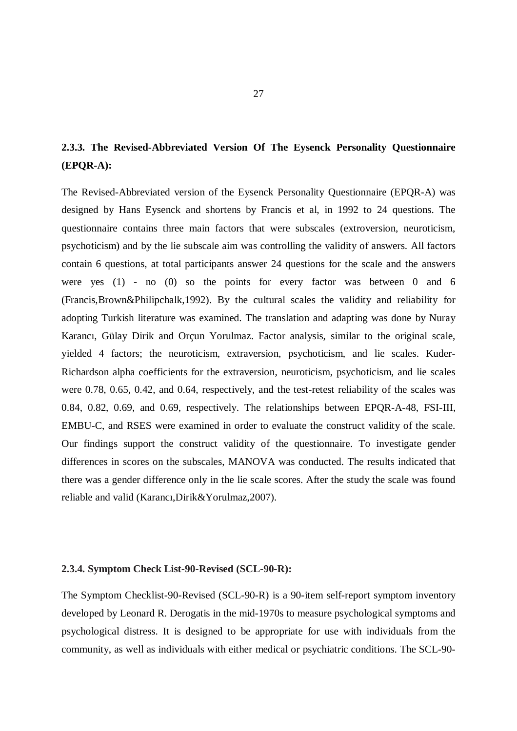# **2.3.3. The Revised-Abbreviated Version Of The Eysenck Personality Questionnaire (EPQR-A):**

The Revised-Abbreviated version of the Eysenck Personality Questionnaire (EPQR-A) was designed by Hans Eysenck and shortens by Francis et al, in 1992 to 24 questions. The questionnaire contains three main factors that were subscales (extroversion, neuroticism, psychoticism) and by the lie subscale aim was controlling the validity of answers. All factors contain 6 questions, at total participants answer 24 questions for the scale and the answers were yes (1) - no (0) so the points for every factor was between 0 and 6 (Francis,Brown&Philipchalk,1992). By the cultural scales the validity and reliability for adopting Turkish literature was examined. The translation and adapting was done by Nuray Karancı, Gülay Dirik and Orçun Yorulmaz. Factor analysis, similar to the original scale, yielded 4 factors; the neuroticism, extraversion, psychoticism, and lie scales. Kuder-Richardson alpha coefficients for the extraversion, neuroticism, psychoticism, and lie scales were 0.78, 0.65, 0.42, and 0.64, respectively, and the test-retest reliability of the scales was 0.84, 0.82, 0.69, and 0.69, respectively. The relationships between EPQR-A-48, FSI-III, EMBU-C, and RSES were examined in order to evaluate the construct validity of the scale. Our findings support the construct validity of the questionnaire. To investigate gender differences in scores on the subscales, MANOVA was conducted. The results indicated that there was a gender difference only in the lie scale scores. After the study the scale was found reliable and valid (Karancı,Dirik&Yorulmaz,2007).

#### **2.3.4. Symptom Check List-90-Revised (SCL-90-R):**

The Symptom Checklist-90-Revised (SCL-90-R) is a 90-item self-report symptom inventory developed by Leonard R. Derogatis in the mid-1970s to measure psychological symptoms and psychological distress. It is designed to be appropriate for use with individuals from the community, as well as individuals with either medical or psychiatric conditions. The SCL-90-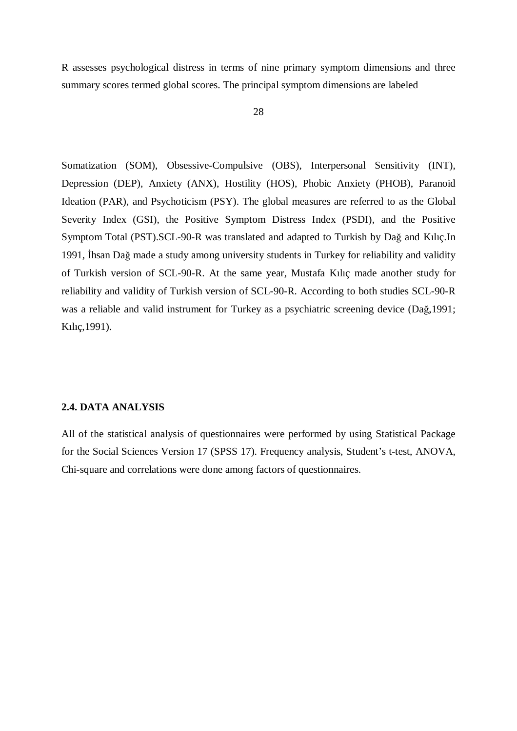R assesses psychological distress in terms of nine primary symptom dimensions and three summary scores termed global scores. The principal symptom dimensions are labeled

Somatization (SOM), Obsessive-Compulsive (OBS), Interpersonal Sensitivity (INT), Depression (DEP), Anxiety (ANX), Hostility (HOS), Phobic Anxiety (PHOB), Paranoid Ideation (PAR), and Psychoticism (PSY). The global measures are referred to as the Global Severity Index (GSI), the Positive Symptom Distress Index (PSDI), and the Positive Symptom Total (PST).SCL-90-R was translated and adapted to Turkish by Dağ and Kılıç.In 1991, İhsan Dağ made a study among university students in Turkey for reliability and validity of Turkish version of SCL-90-R. At the same year, Mustafa Kılıç made another study for reliability and validity of Turkish version of SCL-90-R. According to both studies SCL-90-R was a reliable and valid instrument for Turkey as a psychiatric screening device (Dağ,1991; Kılıç,1991).

## **2.4. DATA ANALYSIS**

All of the statistical analysis of questionnaires were performed by using Statistical Package for the Social Sciences Version 17 (SPSS 17). Frequency analysis, Student's t-test, ANOVA, Chi-square and correlations were done among factors of questionnaires.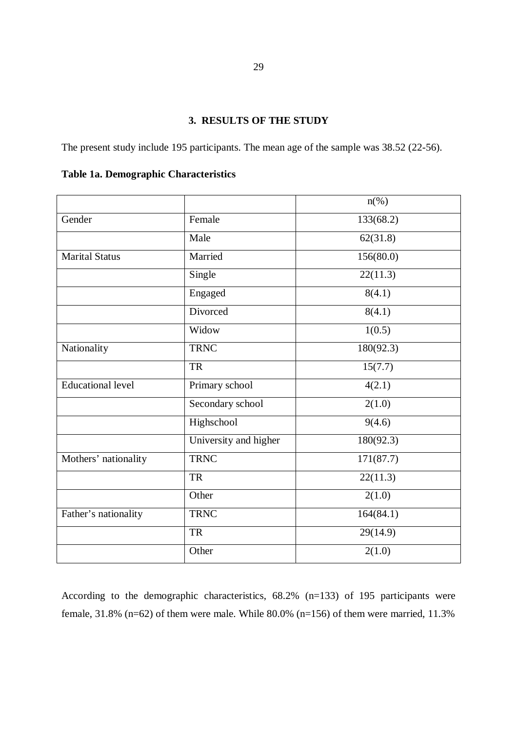# **3. RESULTS OF THE STUDY**

The present study include 195 participants. The mean age of the sample was 38.52 (22-56).

|                          |                       | $n(\%)$   |
|--------------------------|-----------------------|-----------|
| Gender                   | Female                | 133(68.2) |
|                          | Male                  | 62(31.8)  |
| <b>Marital Status</b>    | Married               | 156(80.0) |
|                          | Single                | 22(11.3)  |
|                          | Engaged               | 8(4.1)    |
|                          | Divorced              | 8(4.1)    |
|                          | Widow                 | 1(0.5)    |
| Nationality              | <b>TRNC</b>           | 180(92.3) |
|                          | <b>TR</b>             | 15(7.7)   |
| <b>Educational level</b> | Primary school        | 4(2.1)    |
|                          | Secondary school      | 2(1.0)    |
|                          | Highschool            | 9(4.6)    |
|                          | University and higher | 180(92.3) |
| Mothers' nationality     | <b>TRNC</b>           | 171(87.7) |
|                          | <b>TR</b>             | 22(11.3)  |
|                          | Other                 | 2(1.0)    |
| Father's nationality     | <b>TRNC</b>           | 164(84.1) |
|                          | <b>TR</b>             | 29(14.9)  |
|                          | Other                 | 2(1.0)    |

**Table 1a. Demographic Characteristics** 

According to the demographic characteristics, 68.2% (n=133) of 195 participants were female,  $31.8\%$  (n=62) of them were male. While  $80.0\%$  (n=156) of them were married, 11.3%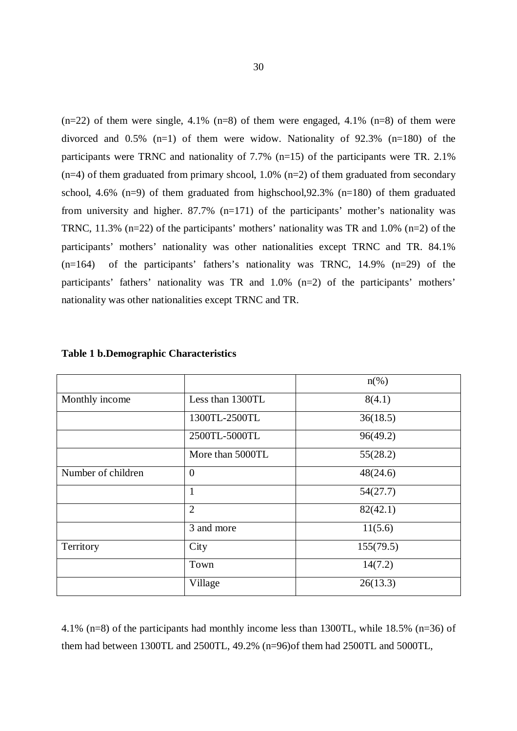$(n=22)$  of them were single, 4.1%  $(n=8)$  of them were engaged, 4.1%  $(n=8)$  of them were divorced and  $0.5\%$  (n=1) of them were widow. Nationality of 92.3% (n=180) of the participants were TRNC and nationality of 7.7% (n=15) of the participants were TR. 2.1%  $(n=4)$  of them graduated from primary shcool, 1.0%  $(n=2)$  of them graduated from secondary school, 4.6% (n=9) of them graduated from highschool,92.3% (n=180) of them graduated from university and higher. 87.7% (n=171) of the participants' mother's nationality was TRNC, 11.3%  $(n=22)$  of the participants' mothers' nationality was TR and 1.0%  $(n=2)$  of the participants' mothers' nationality was other nationalities except TRNC and TR. 84.1%  $(n=164)$  of the participants' fathers's nationality was TRNC, 14.9%  $(n=29)$  of the participants' fathers' nationality was TR and 1.0% (n=2) of the participants' mothers' nationality was other nationalities except TRNC and TR.

|                    |                  | $n\left(\%\right)$ |
|--------------------|------------------|--------------------|
| Monthly income     | Less than 1300TL | 8(4.1)             |
|                    | 1300TL-2500TL    | 36(18.5)           |
|                    | 2500TL-5000TL    | 96(49.2)           |
|                    | More than 5000TL | 55(28.2)           |
| Number of children | $\overline{0}$   | 48(24.6)           |
|                    | 1                | 54(27.7)           |
|                    | $\overline{2}$   | 82(42.1)           |
|                    | 3 and more       | 11(5.6)            |
| Territory          | City             | 155(79.5)          |
|                    | Town             | 14(7.2)            |
|                    | Village          | 26(13.3)           |

#### **Table 1 b.Demographic Characteristics**

4.1% (n=8) of the participants had monthly income less than 1300TL, while 18.5% (n=36) of them had between 1300TL and 2500TL, 49.2% (n=96)of them had 2500TL and 5000TL,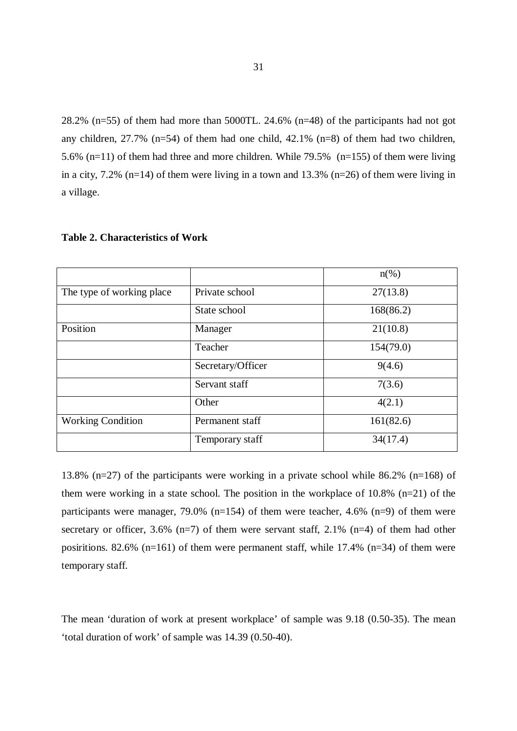28.2% (n=55) of them had more than 5000TL. 24.6% (n=48) of the participants had not got any children,  $27.7\%$  (n=54) of them had one child,  $42.1\%$  (n=8) of them had two children, 5.6% (n=11) of them had three and more children. While 79.5% (n=155) of them were living in a city,  $7.2\%$  (n=14) of them were living in a town and 13.3% (n=26) of them were living in a village.

|                           |                   | $n\left(\%\right)$ |
|---------------------------|-------------------|--------------------|
| The type of working place | Private school    | 27(13.8)           |
|                           | State school      | 168(86.2)          |
| Position                  | Manager           | 21(10.8)           |
|                           | Teacher           | 154(79.0)          |
|                           | Secretary/Officer | 9(4.6)             |
|                           | Servant staff     | 7(3.6)             |
|                           | Other             | 4(2.1)             |
| <b>Working Condition</b>  | Permanent staff   | 161(82.6)          |
|                           | Temporary staff   | 34(17.4)           |

**Table 2. Characteristics of Work** 

13.8% (n=27) of the participants were working in a private school while 86.2% (n=168) of them were working in a state school. The position in the workplace of 10.8% (n=21) of the participants were manager, 79.0% (n=154) of them were teacher, 4.6% (n=9) of them were secretary or officer,  $3.6\%$  (n=7) of them were servant staff,  $2.1\%$  (n=4) of them had other posiritions. 82.6% (n=161) of them were permanent staff, while 17.4% (n=34) of them were temporary staff.

The mean 'duration of work at present workplace' of sample was 9.18 (0.50-35). The mean 'total duration of work' of sample was 14.39 (0.50-40).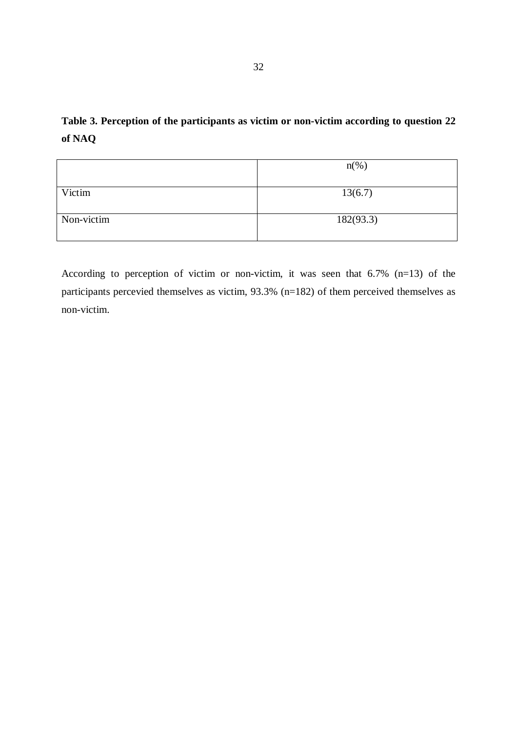|            | $n(\%)$   |
|------------|-----------|
|            |           |
| Victim     | 13(6.7)   |
|            |           |
| Non-victim | 182(93.3) |
|            |           |

According to perception of victim or non-victim, it was seen that 6.7% (n=13) of the participants percevied themselves as victim, 93.3% (n=182) of them perceived themselves as non-victim.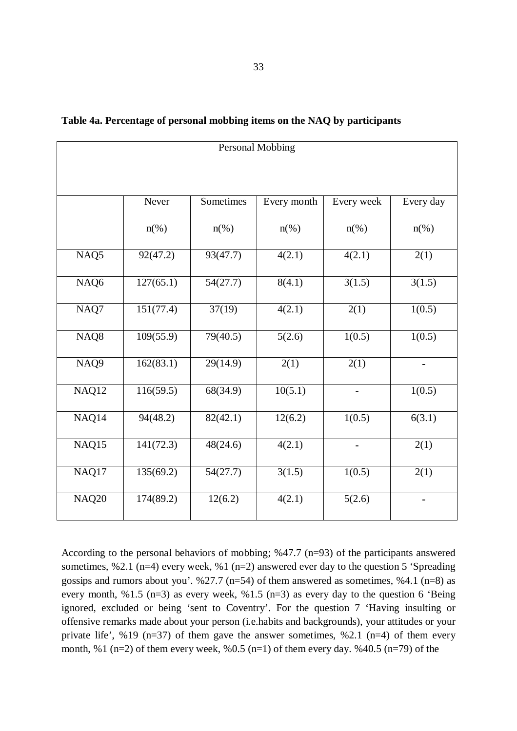| <b>Personal Mobbing</b> |                    |                       |                    |                     |                          |  |  |
|-------------------------|--------------------|-----------------------|--------------------|---------------------|--------------------------|--|--|
|                         |                    |                       |                    |                     |                          |  |  |
|                         | Never              | Sometimes             | Every month        | Every week          | Every day                |  |  |
|                         | $n\left(\%\right)$ | $n\left(\%\right)$    | $n\left(\%\right)$ | $n\left(\%\right)$  | $n\left(\%\right)$       |  |  |
| NAQ <sub>5</sub>        | 92(47.2)           | 93(47.7)              | 4(2.1)             | $\overline{4(2.1)}$ | 2(1)                     |  |  |
| NAQ6                    | 127(65.1)          | 54(27.7)              | 8(4.1)             | 3(1.5)              | 3(1.5)                   |  |  |
| NAQ7                    | 151(77.4)          | $\overline{37(19)}$   | 4(2.1)             | 2(1)                | 1(0.5)                   |  |  |
| NAQ8                    | 109(55.9)          | 79(40.5)              | 5(2.6)             | 1(0.5)              | 1(0.5)                   |  |  |
| NAQ <sub>9</sub>        | 162(83.1)          | $\overline{29(14.9)}$ | 2(1)               | 2(1)                | $\overline{\phantom{0}}$ |  |  |
| NAQ12                   | 116(59.5)          | 68(34.9)              | 10(5.1)            | ۰                   | 1(0.5)                   |  |  |
| NAQ14                   | 94(48.2)           | 82(42.1)              | 12(6.2)            | 1(0.5)              | 6(3.1)                   |  |  |
| NAQ15                   | 141(72.3)          | 48(24.6)              | 4(2.1)             |                     | 2(1)                     |  |  |
| NAQ17                   | 135(69.2)          | 54(27.7)              | 3(1.5)             | 1(0.5)              | 2(1)                     |  |  |
| <b>NAQ20</b>            | 174(89.2)          | 12(6.2)               | 4(2.1)             | 5(2.6)              |                          |  |  |

**Table 4a. Percentage of personal mobbing items on the NAQ by participants** 

According to the personal behaviors of mobbing; %47.7 (n=93) of the participants answered sometimes, %2.1 (n=4) every week, %1 (n=2) answered ever day to the question 5 'Spreading gossips and rumors about you'.  $\frac{627.7 \text{ (n=54)}}{0.54}$  of them answered as sometimes,  $\frac{64.1 \text{ (n=8)}}{0.54}$  as every month, %1.5 (n=3) as every week, %1.5 (n=3) as every day to the question 6 'Being ignored, excluded or being 'sent to Coventry'. For the question 7 'Having insulting or offensive remarks made about your person (i.e.habits and backgrounds), your attitudes or your private life',  $\% 19$  (n=37) of them gave the answer sometimes,  $\% 2.1$  (n=4) of them every month, %1 (n=2) of them every week, %0.5 (n=1) of them every day. %40.5 (n=79) of the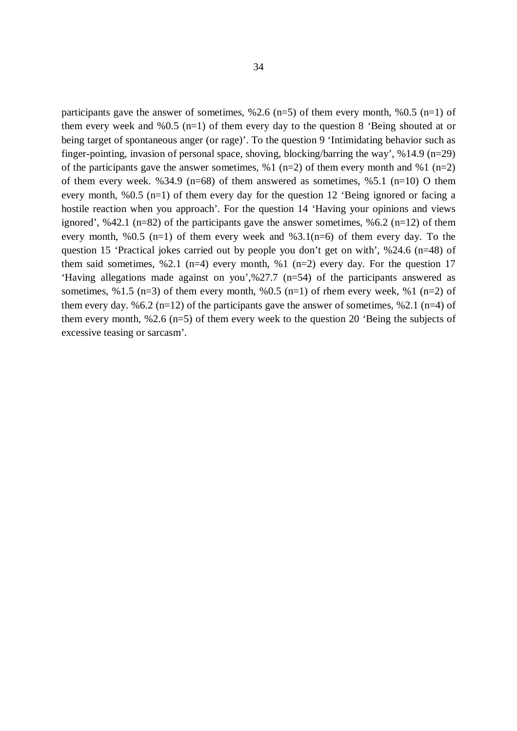participants gave the answer of sometimes,  $\frac{62.6}{n=5}$  of them every month,  $\frac{60.5}{n=1}$  of them every week and %0.5 (n=1) of them every day to the question 8 'Being shouted at or being target of spontaneous anger (or rage)'. To the question 9 'Intimidating behavior such as finger-pointing, invasion of personal space, shoving, blocking/barring the way', %14.9 (n=29) of the participants gave the answer sometimes, %1 (n=2) of them every month and %1 (n=2) of them every week. %34.9 (n=68) of them answered as sometimes, %5.1 (n=10) O them every month, %0.5 (n=1) of them every day for the question 12 'Being ignored or facing a hostile reaction when you approach'. For the question 14 'Having your opinions and views ignored', %42.1 (n=82) of the participants gave the answer sometimes, %6.2 (n=12) of them every month, %0.5 (n=1) of them every week and %3.1(n=6) of them every day. To the question 15 'Practical jokes carried out by people you don't get on with', %24.6 (n=48) of them said sometimes, %2.1 (n=4) every month, %1 (n=2) every day. For the question 17 'Having allegations made against on you',%27.7 (n=54) of the participants answered as sometimes,  $\%$ 1.5 (n=3) of them every month,  $\%$ 0.5 (n=1) of rhem every week,  $\%$ 1 (n=2) of them every day. %6.2 (n=12) of the participants gave the answer of sometimes, %2.1 (n=4) of them every month, %2.6 (n=5) of them every week to the question 20 'Being the subjects of excessive teasing or sarcasm'.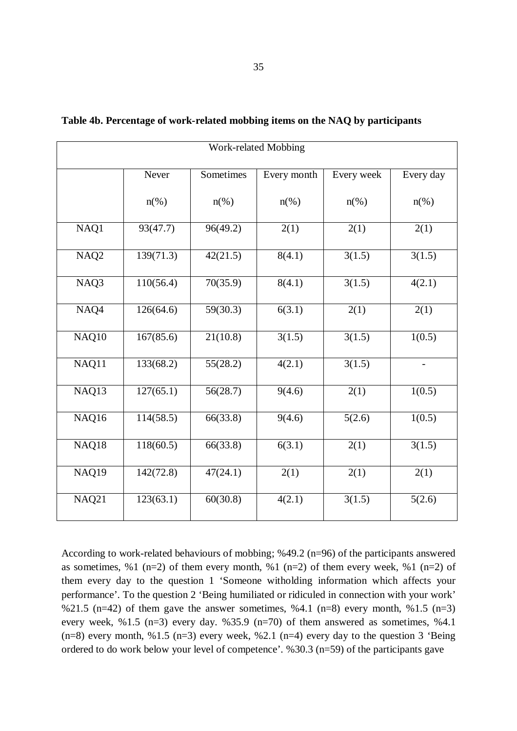| Work-related Mobbing |                    |                    |                     |                     |                    |  |  |  |
|----------------------|--------------------|--------------------|---------------------|---------------------|--------------------|--|--|--|
|                      | Never              | Sometimes          | Every month         | Every week          | Every day          |  |  |  |
|                      | $n\left(\%\right)$ | $n\left(\%\right)$ | $n\left(\%\right)$  | $n\left(\%\right)$  | $n\left(\%\right)$ |  |  |  |
| NAQ1                 | 93(47.7)           | 96(49.2)           | 2(1)                | 2(1)                | 2(1)               |  |  |  |
| NAQ <sub>2</sub>     | 139(71.3)          | 42(21.5)           | 8(4.1)              | $3(1.\overline{5})$ | 3(1.5)             |  |  |  |
| NAQ3                 | 110(56.4)          | 70(35.9)           | 8(4.1)              | 3(1.5)              | 4(2.1)             |  |  |  |
| NAQ4                 | 126(64.6)          | 59(30.3)           | $\overline{6(3.1)}$ | 2(1)                | 2(1)               |  |  |  |
| NAQ10                | 167(85.6)          | 21(10.8)           | 3(1.5)              | 3(1.5)              | 1(0.5)             |  |  |  |
| NAQ11                | 133(68.2)          | 55(28.2)           | 4(2.1)              | 3(1.5)              | $\qquad \qquad -$  |  |  |  |
| NAQ13                | 127(65.1)          | 56(28.7)           | 9(4.6)              | 2(1)                | 1(0.5)             |  |  |  |
| NAQ16                | 114(58.5)          | 66(33.8)           | 9(4.6)              | 5(2.6)              | 1(0.5)             |  |  |  |
| NAQ18                | 118(60.5)          | 66(33.8)           | 6(3.1)              | 2(1)                | 3(1.5)             |  |  |  |
| NAQ19                | 142(72.8)          | 47(24.1)           | 2(1)                | 2(1)                | 2(1)               |  |  |  |
| NAQ21                | 123(63.1)          | 60(30.8)           | 4(2.1)              | 3(1.5)              | 5(2.6)             |  |  |  |

**Table 4b. Percentage of work-related mobbing items on the NAQ by participants** 

According to work-related behaviours of mobbing; %49.2 (n=96) of the participants answered as sometimes, %1 (n=2) of them every month, %1 (n=2) of them every week, %1 (n=2) of them every day to the question 1 'Someone witholding information which affects your performance'. To the question 2 'Being humiliated or ridiculed in connection with your work' %21.5 (n=42) of them gave the answer sometimes, %4.1 (n=8) every month, %1.5 (n=3) every week, %1.5 (n=3) every day. %35.9 (n=70) of them answered as sometimes, %4.1  $(n=8)$  every month, %1.5 (n=3) every week, %2.1 (n=4) every day to the question 3 'Being ordered to do work below your level of competence'. %30.3 (n=59) of the participants gave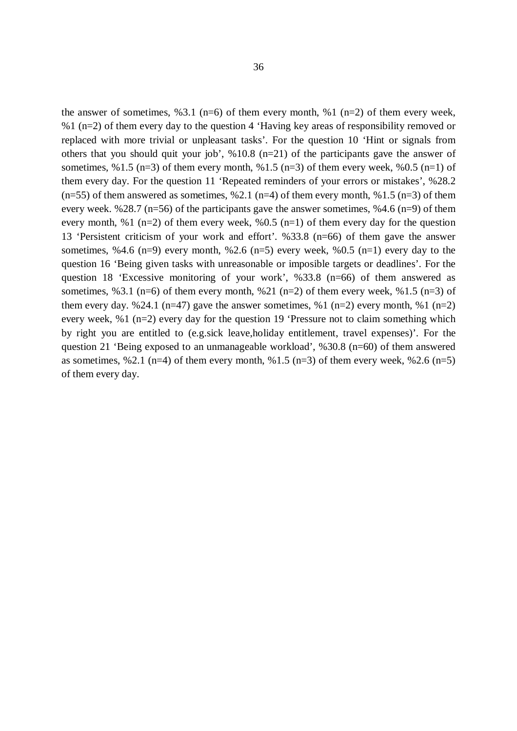the answer of sometimes,  $\frac{63.1 \text{ (n=6)}}{6}$  of them every month,  $\frac{61 \text{ (n=2)}}{6}$  of them every week, %1 (n=2) of them every day to the question 4 'Having key areas of responsibility removed or replaced with more trivial or unpleasant tasks'. For the question 10 'Hint or signals from others that you should quit your job', %10.8 (n=21) of the participants gave the answer of sometimes,  $\%$ 1.5 (n=3) of them every month,  $\%$ 1.5 (n=3) of them every week,  $\%$ 0.5 (n=1) of them every day. For the question 11 'Repeated reminders of your errors or mistakes', %28.2  $(n=55)$  of them answered as sometimes, %2.1 (n=4) of them every month, %1.5 (n=3) of them every week. %28.7 ( $n=56$ ) of the participants gave the answer sometimes, %4.6 ( $n=9$ ) of them every month, %1 (n=2) of them every week, %0.5 (n=1) of them every day for the question 13 'Persistent criticism of your work and effort'. %33.8 (n=66) of them gave the answer sometimes, %4.6 (n=9) every month, %2.6 (n=5) every week, %0.5 (n=1) every day to the question 16 'Being given tasks with unreasonable or imposible targets or deadlines'. For the question 18 'Excessive monitoring of your work', %33.8 (n=66) of them answered as sometimes, %3.1 (n=6) of them every month, %21 (n=2) of them every week, %1.5 (n=3) of them every day. %24.1 (n=47) gave the answer sometimes, %1 (n=2) every month, %1 (n=2) every week, %1 (n=2) every day for the question 19 'Pressure not to claim something which by right you are entitled to (e.g.sick leave,holiday entitlement, travel expenses)'. For the question 21 'Being exposed to an unmanageable workload', %30.8 (n=60) of them answered as sometimes, %2.1 (n=4) of them every month, %1.5 (n=3) of them every week, %2.6 (n=5) of them every day.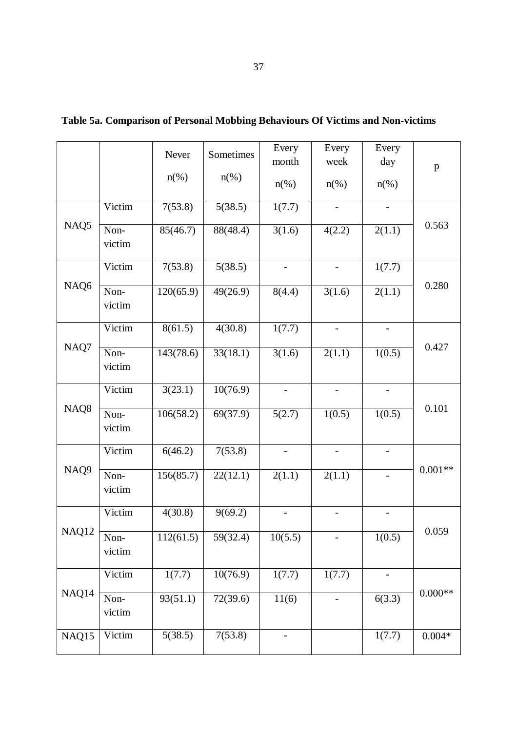|                  |                | Never              | Sometimes          | Every                    | Every               | Every                    |              |
|------------------|----------------|--------------------|--------------------|--------------------------|---------------------|--------------------------|--------------|
|                  |                |                    |                    | month                    | week                | day                      | $\mathbf{p}$ |
|                  |                | $n\left(\%\right)$ | $n\left(\%\right)$ | $n(\%)$                  | $n(\%)$             | $n(\%)$                  |              |
|                  | Victim         | 7(53.8)            | 5(38.5)            | 1(7.7)                   |                     |                          |              |
| NAQ5             | Non-<br>victim | 85(46.7)           | 88(48.4)           | 3(1.6)                   | 4(2.2)              | 2(1.1)                   | 0.563        |
|                  | Victim         | 7(53.8)            | 5(38.5)            | $\overline{\phantom{a}}$ |                     | 1(7.7)                   |              |
| NAQ6             | Non-<br>victim | 120(65.9)          | 49(26.9)           | 8(4.4)                   | 3(1.6)              | 2(1.1)                   | 0.280        |
|                  | Victim         | 8(61.5)            | 4(30.8)            | 1(7.7)                   |                     | $\qquad \qquad -$        |              |
| NAQ7             | Non-<br>victim | 143(78.6)          | 33(18.1)           | 3(1.6)                   | $\overline{2(1.1)}$ | 1(0.5)                   | 0.427        |
|                  | Victim         | 3(23.1)            | 10(76.9)           |                          |                     | $\overline{\phantom{0}}$ |              |
| NAQ8             | Non-<br>victim | 106(58.2)          | 69(37.9)           | 5(2.7)                   | 1(0.5)              | 1(0.5)                   | 0.101        |
|                  | Victim         | 6(46.2)            | 7(53.8)            |                          |                     | $\overline{\phantom{0}}$ |              |
| NAQ <sub>9</sub> | Non-<br>victim | 156(85.7)          | 22(12.1)           | 2(1.1)                   | 2(1.1)              | $\qquad \qquad -$        | $0.001**$    |
|                  | Victim         | 4(30.8)            | 9(69.2)            |                          |                     |                          |              |
| NAQ12            | Non-<br>victim | 112(61.5)          | 59(32.4)           | 10(5.5)                  |                     | 1(0.5)                   | 0.059        |
|                  | Victim         | 1(7.7)             | 10(76.9)           | 1(7.7)                   | 1(7.7)              | $\qquad \qquad -$        |              |
| NAQ14            | Non-<br>victim | 93(51.1)           | 72(39.6)           | 11(6)                    |                     | 6(3.3)                   | $0.000^{**}$ |
| NAQ15            | Victim         | 5(38.5)            | 7(53.8)            | $\overline{\phantom{0}}$ |                     | 1(7.7)                   | $0.004\,ast$ |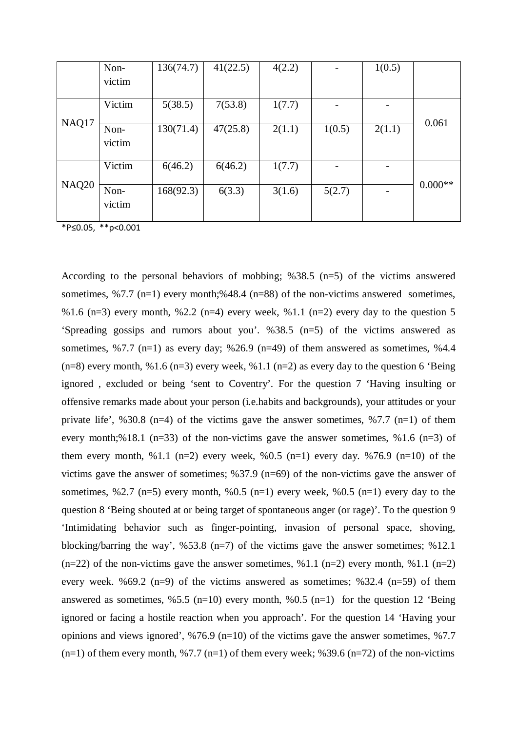|              | Non-           | 136(74.7) | 41(22.5) | 4(2.2) |                          | 1(0.5) |           |
|--------------|----------------|-----------|----------|--------|--------------------------|--------|-----------|
|              | victim         |           |          |        |                          |        |           |
|              | Victim         | 5(38.5)   | 7(53.8)  | 1(7.7) |                          |        | 0.061     |
| NAQ17        | Non-<br>victim | 130(71.4) | 47(25.8) | 2(1.1) | 1(0.5)                   | 2(1.1) |           |
|              | Victim         | 6(46.2)   | 6(46.2)  | 1(7.7) | $\overline{\phantom{a}}$ |        |           |
| <b>NAQ20</b> | Non-<br>victim | 168(92.3) | 6(3.3)   | 3(1.6) | 5(2.7)                   |        | $0.000**$ |

\*P≤0.05, \*\*p<0.001

According to the personal behaviors of mobbing; %38.5 (n=5) of the victims answered sometimes, %7.7 (n=1) every month;%48.4 (n=88) of the non-victims answered sometimes, %1.6 (n=3) every month, %2.2 (n=4) every week, %1.1 (n=2) every day to the question 5 'Spreading gossips and rumors about you'. %38.5 (n=5) of the victims answered as sometimes,  $\frac{6}{7}$ .7 (n=1) as every day;  $\frac{6}{26.9}$  (n=49) of them answered as sometimes,  $\frac{6}{4.4}$  $(n=8)$  every month, %1.6 (n=3) every week, %1.1 (n=2) as every day to the question 6 'Being ignored , excluded or being 'sent to Coventry'. For the question 7 'Having insulting or offensive remarks made about your person (i.e.habits and backgrounds), your attitudes or your private life', %30.8 (n=4) of the victims gave the answer sometimes, %7.7 (n=1) of them every month;%18.1 (n=33) of the non-victims gave the answer sometimes, %1.6 (n=3) of them every month, %1.1 (n=2) every week, %0.5 (n=1) every day. %76.9 (n=10) of the victims gave the answer of sometimes; %37.9 (n=69) of the non-victims gave the answer of sometimes, %2.7 (n=5) every month, %0.5 (n=1) every week, %0.5 (n=1) every day to the question 8 'Being shouted at or being target of spontaneous anger (or rage)'. To the question 9 'Intimidating behavior such as finger-pointing, invasion of personal space, shoving, blocking/barring the way',  $\%53.8$  (n=7) of the victims gave the answer sometimes;  $\%12.1$  $(n=22)$  of the non-victims gave the answer sometimes, %1.1 (n=2) every month, %1.1 (n=2) every week. %69.2 (n=9) of the victims answered as sometimes; %32.4 (n=59) of them answered as sometimes,  $\frac{65.5}{n}$  (n=10) every month,  $\frac{60.5}{n}$  (n=1) for the question 12 'Being ignored or facing a hostile reaction when you approach'. For the question 14 'Having your opinions and views ignored',  $\frac{676.9 \text{ (n=10)}}{20 \text{ of the victims}}$  gave the answer sometimes,  $\frac{67.7 \text{ (n=10)}}{20 \text{ (n=10)}}$  $(n=1)$  of them every month, %7.7  $(n=1)$  of them every week; %39.6  $(n=72)$  of the non-victims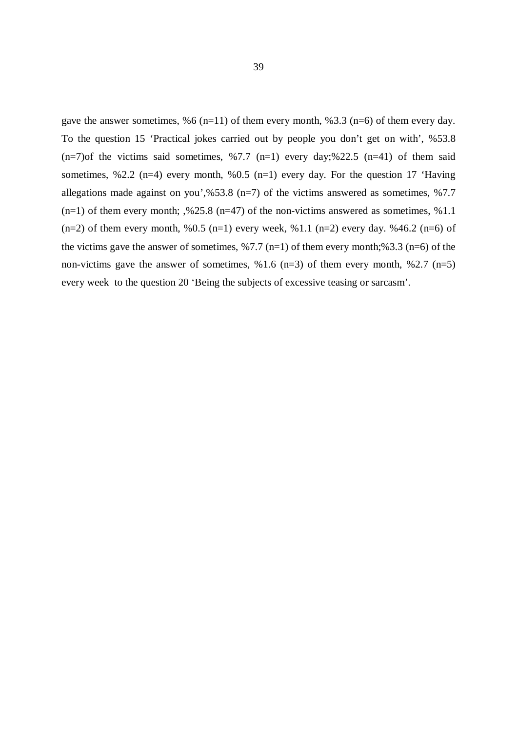gave the answer sometimes, %6 (n=11) of them every month, %3.3 (n=6) of them every day. To the question 15 'Practical jokes carried out by people you don't get on with', %53.8  $(n=7)$ of the victims said sometimes, %7.7  $(n=1)$  every day;%22.5  $(n=41)$  of them said sometimes, %2.2 (n=4) every month, %0.5 (n=1) every day. For the question 17 'Having allegations made against on you',%53.8 (n=7) of the victims answered as sometimes, %7.7  $(n=1)$  of them every month; ,%25.8  $(n=47)$  of the non-victims answered as sometimes, %1.1  $(n=2)$  of them every month, %0.5  $(n=1)$  every week, %1.1  $(n=2)$  every day. %46.2  $(n=6)$  of the victims gave the answer of sometimes,  $\frac{6}{7.7}$  (n=1) of them every month;%3.3 (n=6) of the non-victims gave the answer of sometimes,  $\%$ 1.6 (n=3) of them every month,  $\%$ 2.7 (n=5) every week to the question 20 'Being the subjects of excessive teasing or sarcasm'.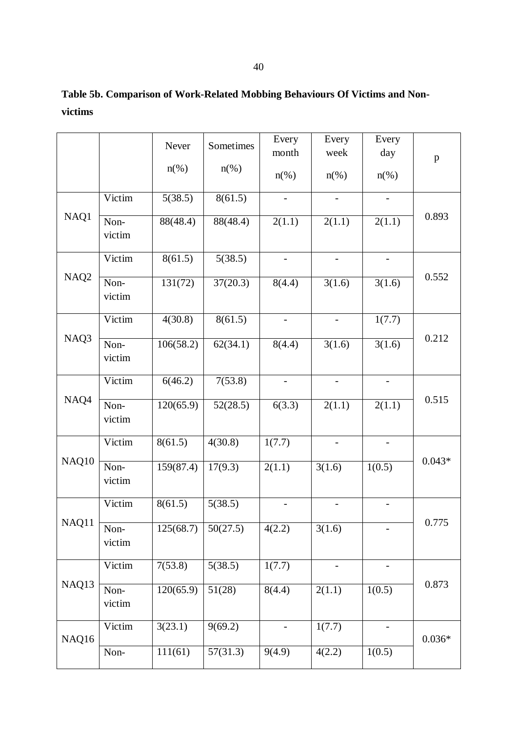| 40 |  |
|----|--|
|    |  |

# **Table 5b. Comparison of Work-Related Mobbing Behaviours Of Victims and Nonvictims**

|                  |                | Never                | Sometimes          | Every<br>month           | Every<br>week            | Every<br>day             | $\mathbf{p}$ |
|------------------|----------------|----------------------|--------------------|--------------------------|--------------------------|--------------------------|--------------|
|                  |                | $n\left(\%\right)$   | $n\left(\%\right)$ | $n$ (%)                  | $n(\%)$                  | $n\left(\%\right)$       |              |
|                  | Victim         | 5(38.5)              | 8(61.5)            | $\overline{\phantom{a}}$ | $\overline{\phantom{a}}$ | $\blacksquare$           |              |
| NAQ1             | Non-<br>victim | 88(48.4)             | 88(48.4)           | 2(1.1)                   | $\overline{2(1.1)}$      | 2(1.1)                   | 0.893        |
|                  | Victim         | 8(61.5)              | 5(38.5)            |                          |                          |                          |              |
| NAQ <sub>2</sub> | Non-<br>victim | 131(72)              | 37(20.3)           | 8(4.4)                   | 3(1.6)                   | 3(1.6)                   | 0.552        |
|                  | Victim         | 4(30.8)              | 8(61.5)            | $\overline{\phantom{0}}$ |                          | 1(7.7)                   |              |
| NAQ3             | Non-<br>victim | 106(58.2)            | 62(34.1)           | 8(4.4)                   | 3(1.6)                   | 3(1.6)                   | 0.212        |
|                  | Victim         | 6(46.2)              | 7(53.8)            | $\overline{\phantom{a}}$ | $\overline{\phantom{a}}$ | $\blacksquare$           |              |
| NAQ4             | Non-<br>victim | 120(65.9)            | 52(28.5)           | 6(3.3)                   | 2(1.1)                   | 2(1.1)                   | 0.515        |
|                  | Victim         | $8(6\overline{1.5})$ | 4(30.8)            | 1(7.7)                   |                          | $\overline{\phantom{a}}$ |              |
| NAQ10            | Non-<br>victim | 159(87.4)            | 17(9.3)            | 2(1.1)                   | 3(1.6)                   | 1(0.5)                   | $0.043*$     |
|                  | Victim         | 8(61.5)              | 5(38.5)            |                          |                          |                          |              |
| NAQ11            | Non-<br>victim | 125(68.7)            | 50(27.5)           | 4(2.2)                   | 3(1.6)                   |                          | 0.775        |
|                  | Victim         | 7(53.8)              | 5(38.5)            | 1(7.7)                   |                          |                          |              |
| NAQ13            | Non-<br>victim | 120(65.9)            | 51(28)             | 8(4.4)                   | $\overline{2(1.1)}$      | 1(0.5)                   | 0.873        |
| NAQ16            | Victim         | 3(23.1)              | 9(69.2)            |                          | 1(7.7)                   |                          | $0.036*$     |
|                  | Non-           | 111(61)              | 57(31.3)           | 9(4.9)                   | 4(2.2)                   | 1(0.5)                   |              |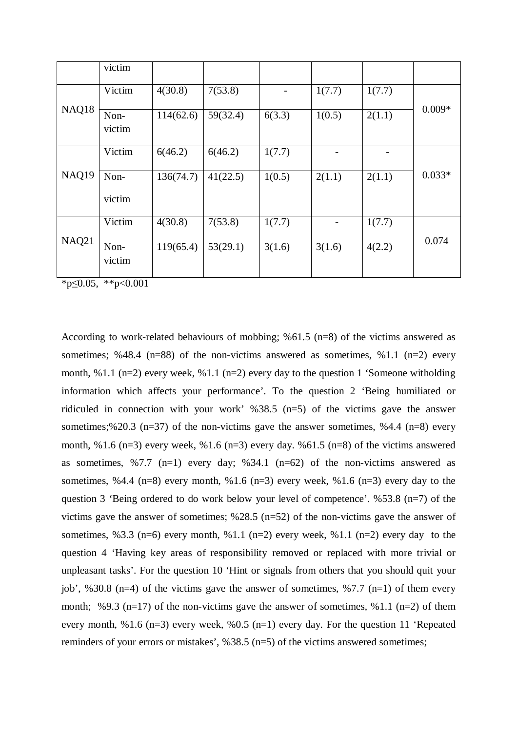|              | victim         |           |          |                          |        |        |          |
|--------------|----------------|-----------|----------|--------------------------|--------|--------|----------|
|              | Victim         | 4(30.8)   | 7(53.8)  | $\overline{\phantom{a}}$ | 1(7.7) | 1(7.7) |          |
| NAQ18        | Non-<br>victim | 114(62.6) | 59(32.4) | 6(3.3)                   | 1(0.5) | 2(1.1) | $0.009*$ |
|              | Victim         | 6(46.2)   | 6(46.2)  | 1(7.7)                   |        |        |          |
| NAQ19        | Non-<br>victim | 136(74.7) | 41(22.5) | 1(0.5)                   | 2(1.1) | 2(1.1) | $0.033*$ |
|              | Victim         | 4(30.8)   | 7(53.8)  | 1(7.7)                   |        | 1(7.7) |          |
| <b>NAQ21</b> | Non-<br>victim | 119(65.4) | 53(29.1) | 3(1.6)                   | 3(1.6) | 4(2.2) | 0.074    |

 $*_{p \leq 0.05, *_{p < 0.001}$ 

According to work-related behaviours of mobbing; %61.5 (n=8) of the victims answered as sometimes; %48.4 (n=88) of the non-victims answered as sometimes, %1.1 (n=2) every month, %1.1 (n=2) every week, %1.1 (n=2) every day to the question 1 'Someone witholding information which affects your performance'. To the question 2 'Being humiliated or ridiculed in connection with your work' %38.5 (n=5) of the victims gave the answer sometimes;%20.3 (n=37) of the non-victims gave the answer sometimes, %4.4 (n=8) every month, %1.6 (n=3) every week, %1.6 (n=3) every day. %61.5 (n=8) of the victims answered as sometimes,  $\frac{6}{7}$ .7 (n=1) every day;  $\frac{634.1}{1}$  (n=62) of the non-victims answered as sometimes, %4.4 (n=8) every month, %1.6 (n=3) every week, %1.6 (n=3) every day to the question 3 'Being ordered to do work below your level of competence'. %53.8 (n=7) of the victims gave the answer of sometimes;  $\frac{628.5 \text{ (n=52)}}{20}$  of the non-victims gave the answer of sometimes, %3.3 (n=6) every month, %1.1 (n=2) every week, %1.1 (n=2) every day to the question 4 'Having key areas of responsibility removed or replaced with more trivial or unpleasant tasks'. For the question 10 'Hint or signals from others that you should quit your job', %30.8 (n=4) of the victims gave the answer of sometimes, %7.7 (n=1) of them every month; %9.3 (n=17) of the non-victims gave the answer of sometimes, %1.1 (n=2) of them every month, %1.6 (n=3) every week, %0.5 (n=1) every day. For the question 11 'Repeated reminders of your errors or mistakes', %38.5 (n=5) of the victims answered sometimes;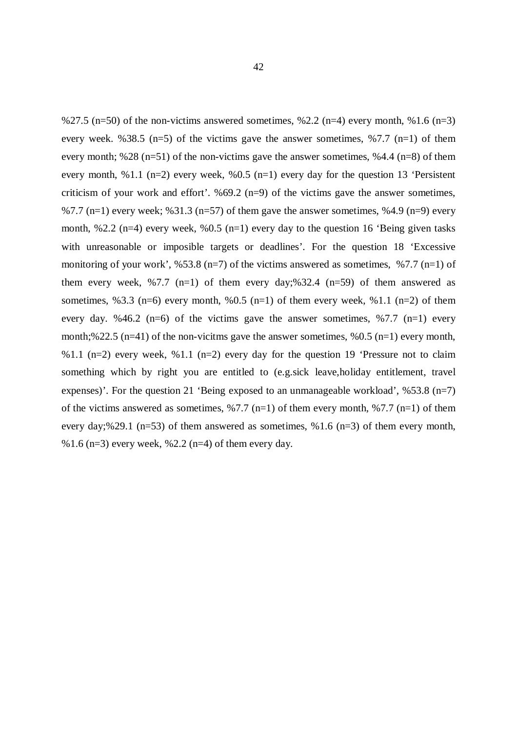%27.5 (n=50) of the non-victims answered sometimes, %2.2 (n=4) every month, %1.6 (n=3) every week. %38.5 (n=5) of the victims gave the answer sometimes, %7.7 (n=1) of them every month; %28 (n=51) of the non-victims gave the answer sometimes, %4.4 (n=8) of them every month, %1.1 (n=2) every week, %0.5 (n=1) every day for the question 13 'Persistent criticism of your work and effort'. %69.2 (n=9) of the victims gave the answer sometimes, %7.7 (n=1) every week; %31.3 (n=57) of them gave the answer sometimes, %4.9 (n=9) every month, %2.2 (n=4) every week, %0.5 (n=1) every day to the question 16 'Being given tasks with unreasonable or imposible targets or deadlines'. For the question 18 'Excessive monitoring of your work', %53.8 (n=7) of the victims answered as sometimes, %7.7 (n=1) of them every week, %7.7 (n=1) of them every day;%32.4 (n=59) of them answered as sometimes, %3.3 (n=6) every month, %0.5 (n=1) of them every week, %1.1 (n=2) of them every day. %46.2 (n=6) of the victims gave the answer sometimes, %7.7 (n=1) every month;%22.5 (n=41) of the non-vicitms gave the answer sometimes, %0.5 (n=1) every month, %1.1 (n=2) every week, %1.1 (n=2) every day for the question 19 'Pressure not to claim something which by right you are entitled to (e.g.sick leave,holiday entitlement, travel expenses)'. For the question 21 'Being exposed to an unmanageable workload',  $\frac{653.8}{m}$  (n=7) of the victims answered as sometimes,  $\frac{6}{7.7}$  (n=1) of them every month,  $\frac{6}{7.7}$  (n=1) of them every day;%29.1 ( $n=53$ ) of them answered as sometimes, %1.6 ( $n=3$ ) of them every month, %1.6 (n=3) every week, %2.2 (n=4) of them every day.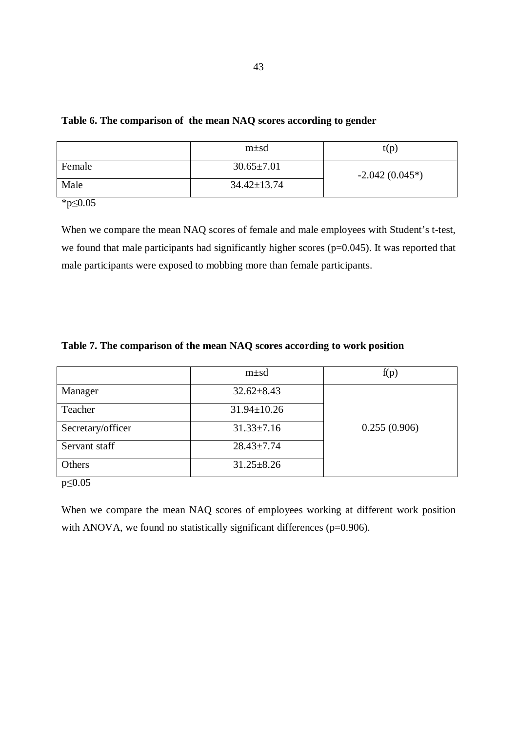43

## **Table 6. The comparison of the mean NAQ scores according to gender**

|        | $m \pm sd$        | t(p)             |
|--------|-------------------|------------------|
| Female | $30.65 \pm 7.01$  | $-2.042(0.045*)$ |
| Male   | $34.42 \pm 13.74$ |                  |

\*p≤0.05

When we compare the mean NAQ scores of female and male employees with Student's t-test, we found that male participants had significantly higher scores (p=0.045). It was reported that male participants were exposed to mobbing more than female participants.

## **Table 7. The comparison of the mean NAQ scores according to work position**

|                      | $m\pm sd$         | f(p)         |
|----------------------|-------------------|--------------|
| Manager              | $32.62 \pm 8.43$  |              |
| Teacher              | $31.94 \pm 10.26$ |              |
| Secretary/officer    | $31.33 \pm 7.16$  | 0.255(0.906) |
| Servant staff        | $28.43 \pm 7.74$  |              |
| Others               | $31.25 \pm 8.26$  |              |
| $\sim$ $\sim$ $\sim$ |                   |              |

p≤0.05

When we compare the mean NAQ scores of employees working at different work position with ANOVA, we found no statistically significant differences ( $p=0.906$ ).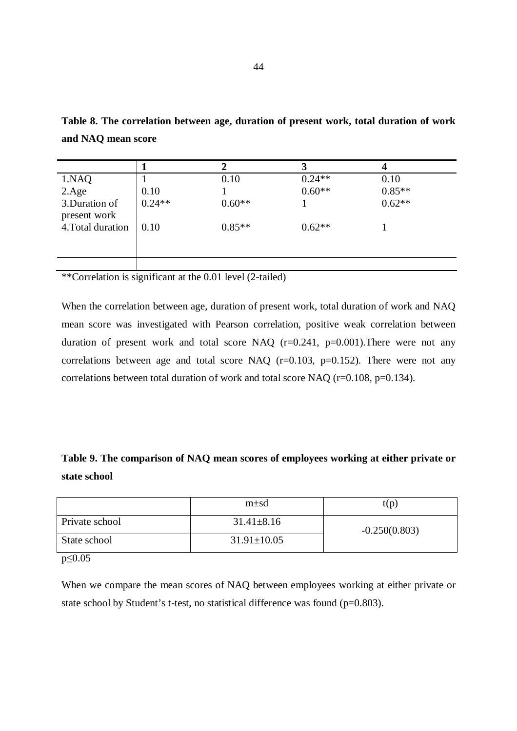| 1.NAQ             |          | 0.10     | $0.24**$ | 0.10     |
|-------------------|----------|----------|----------|----------|
| 2.Age             | 0.10     |          | $0.60**$ | $0.85**$ |
| 3. Duration of    | $0.24**$ | $0.60**$ |          | $0.62**$ |
| present work      |          |          |          |          |
| 4. Total duration | 0.10     | $0.85**$ | $0.62**$ |          |
|                   |          |          |          |          |
|                   |          |          |          |          |
|                   |          |          |          |          |

**Table 8. The correlation between age, duration of present work, total duration of work and NAQ mean score** 

\*\*Correlation is significant at the 0.01 level (2-tailed)

When the correlation between age, duration of present work, total duration of work and NAQ mean score was investigated with Pearson correlation, positive weak correlation between duration of present work and total score NAQ  $(r=0.241, p=0.001)$ . There were not any correlations between age and total score NAQ  $(r=0.103, p=0.152)$ . There were not any correlations between total duration of work and total score NAQ (r=0.108, p=0.134).

**Table 9. The comparison of NAQ mean scores of employees working at either private or state school**

|                      | $m\pm sd$         | t(p)            |
|----------------------|-------------------|-----------------|
| Private school       | $31.41 \pm 8.16$  | $-0.250(0.803)$ |
| State school         | $31.91 \pm 10.05$ |                 |
| $\sim$ $\sim$ $\sim$ |                   |                 |

p≤0.05

When we compare the mean scores of NAQ between employees working at either private or state school by Student's t-test, no statistical difference was found ( $p=0.803$ ).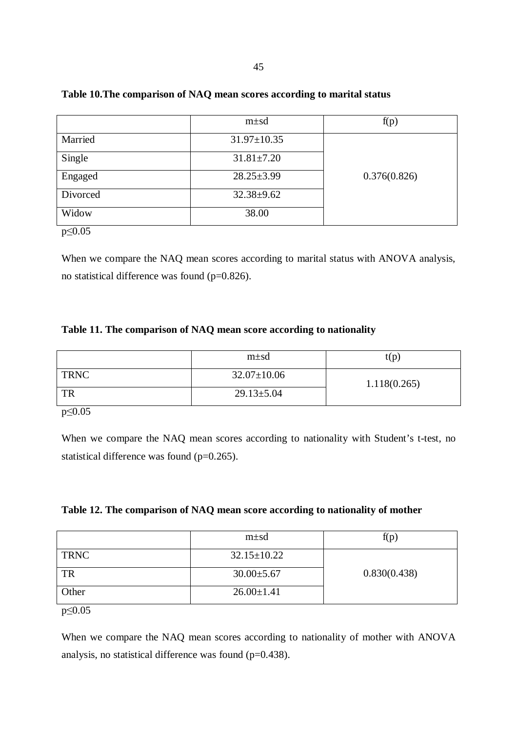|          | $m\pm sd$         | f(p)         |
|----------|-------------------|--------------|
| Married  | $31.97 \pm 10.35$ |              |
| Single   | $31.81 \pm 7.20$  |              |
| Engaged  | $28.25 \pm 3.99$  | 0.376(0.826) |
| Divorced | $32.38 + 9.62$    |              |
| Widow    | 38.00             |              |

# **Table 10.The comparison of NAQ mean scores according to marital status**

p≤0.05

When we compare the NAQ mean scores according to marital status with ANOVA analysis, no statistical difference was found (p=0.826).

# **Table 11. The comparison of NAQ mean score according to nationality**

|                      | $m \pm sd$        | t(p)         |
|----------------------|-------------------|--------------|
| TRNC                 | $32.07 \pm 10.06$ | 1.118(0.265) |
| TR                   | $29.13 \pm 5.04$  |              |
| $\sim$ $\sim$ $\sim$ |                   |              |

p≤0.05

When we compare the NAQ mean scores according to nationality with Student's t-test, no statistical difference was found (p=0.265).

|  | Table 12. The comparison of NAQ mean score according to nationality of mother |  |
|--|-------------------------------------------------------------------------------|--|
|  |                                                                               |  |

|             | $m\pm sd$         | f(p)         |
|-------------|-------------------|--------------|
| <b>TRNC</b> | $32.15 \pm 10.22$ |              |
| TR          | $30.00 \pm 5.67$  | 0.830(0.438) |
| Other       | $26.00 \pm 1.41$  |              |

p≤0.05

When we compare the NAQ mean scores according to nationality of mother with ANOVA analysis, no statistical difference was found (p=0.438).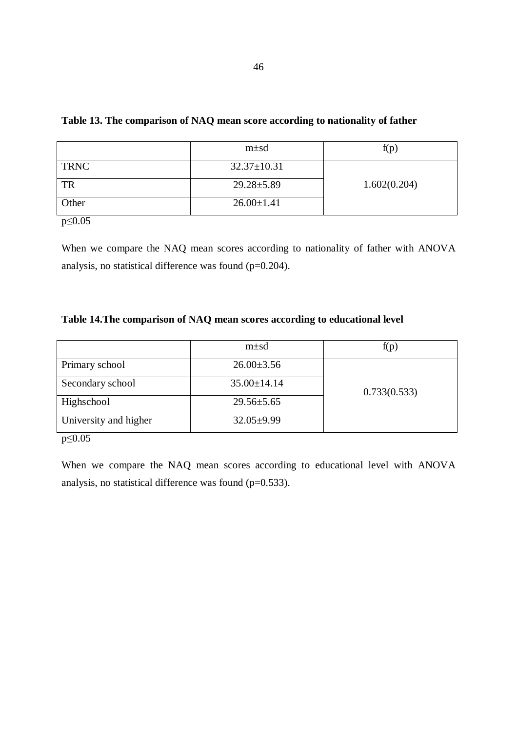|             | $m\pm sd$         | f(p)         |
|-------------|-------------------|--------------|
| <b>TRNC</b> | $32.37 \pm 10.31$ |              |
| TR          | $29.28 \pm 5.89$  | 1.602(0.204) |
| Other       | $26.00 \pm 1.41$  |              |

# **Table 13. The comparison of NAQ mean score according to nationality of father**

p≤0.05

When we compare the NAQ mean scores according to nationality of father with ANOVA analysis, no statistical difference was found (p=0.204).

# **Table 14.The comparison of NAQ mean scores according to educational level**

|                       | $m\pm sd$         | f(p)         |
|-----------------------|-------------------|--------------|
| Primary school        | $26.00\pm3.56$    |              |
| Secondary school      | $35.00 \pm 14.14$ | 0.733(0.533) |
| Highschool            | $29.56 \pm 5.65$  |              |
| University and higher | $32.05 \pm 9.99$  |              |
| $\sim$ $\sim$ $\sim$  |                   |              |

p≤0.05

When we compare the NAQ mean scores according to educational level with ANOVA analysis, no statistical difference was found (p=0.533).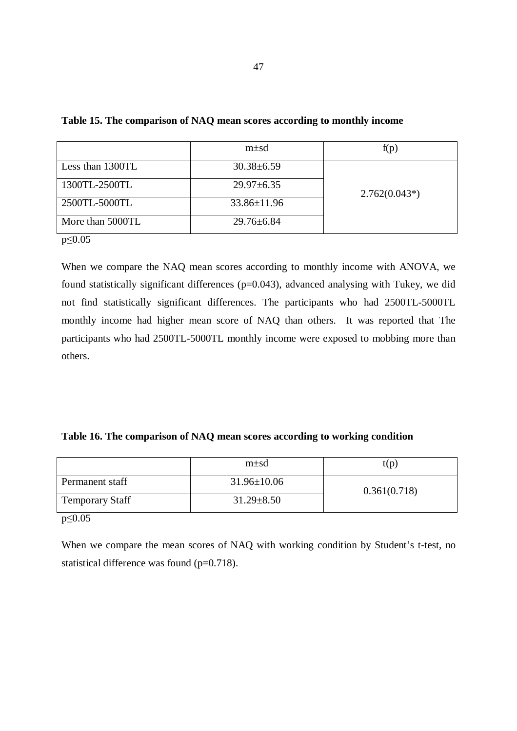|                  | $m\pm sd$         | f(p)            |
|------------------|-------------------|-----------------|
| Less than 1300TL | $30.38 \pm 6.59$  |                 |
| 1300TL-2500TL    | $29.97 \pm 6.35$  | $2.762(0.043*)$ |
| 2500TL-5000TL    | $33.86 \pm 11.96$ |                 |
| More than 5000TL | $29.76 \pm 6.84$  |                 |
| $p\leq 0.05$     |                   |                 |

### **Table 15. The comparison of NAQ mean scores according to monthly income**

When we compare the NAQ mean scores according to monthly income with ANOVA, we found statistically significant differences (p=0.043), advanced analysing with Tukey, we did not find statistically significant differences. The participants who had 2500TL-5000TL monthly income had higher mean score of NAQ than others. It was reported that The participants who had 2500TL-5000TL monthly income were exposed to mobbing more than others.

# **Table 16. The comparison of NAQ mean scores according to working condition**

|                        | $m \pm sd$        | t(p)         |
|------------------------|-------------------|--------------|
| Permanent staff        | $31.96 \pm 10.06$ | 0.361(0.718) |
| <b>Temporary Staff</b> | $31.29 \pm 8.50$  |              |

p≤0.05

When we compare the mean scores of NAQ with working condition by Student's t-test, no statistical difference was found (p=0.718).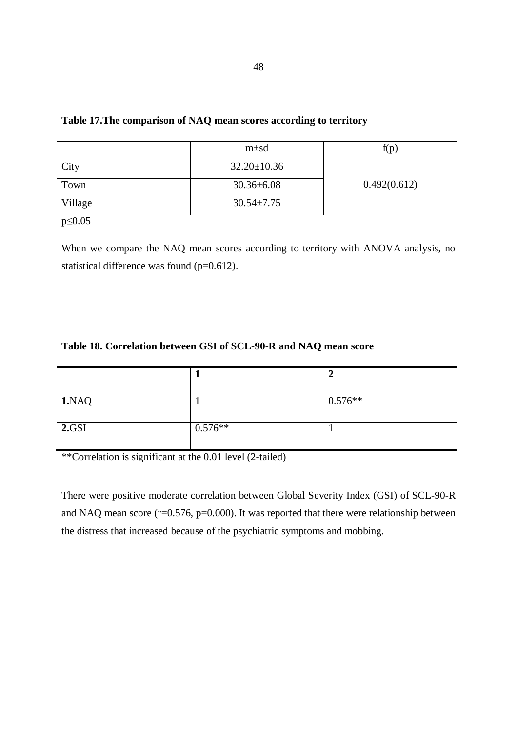|         | $m\pm sd$         | f(p)         |
|---------|-------------------|--------------|
| City    | $32.20 \pm 10.36$ |              |
| Town    | $30.36 \pm 6.08$  | 0.492(0.612) |
| Village | $30.54 \pm 7.75$  |              |

## **Table 17.The comparison of NAQ mean scores according to territory**

p≤0.05

When we compare the NAQ mean scores according to territory with ANOVA analysis, no statistical difference was found (p=0.612).

# **Table 18. Correlation between GSI of SCL-90-R and NAQ mean score**

| 1.NAQ |           | $0.576**$ |
|-------|-----------|-----------|
| 2.GSI | $0.576**$ |           |

\*\*Correlation is significant at the 0.01 level (2-tailed)

There were positive moderate correlation between Global Severity Index (GSI) of SCL-90-R and NAQ mean score  $(r=0.576, p=0.000)$ . It was reported that there were relationship between the distress that increased because of the psychiatric symptoms and mobbing.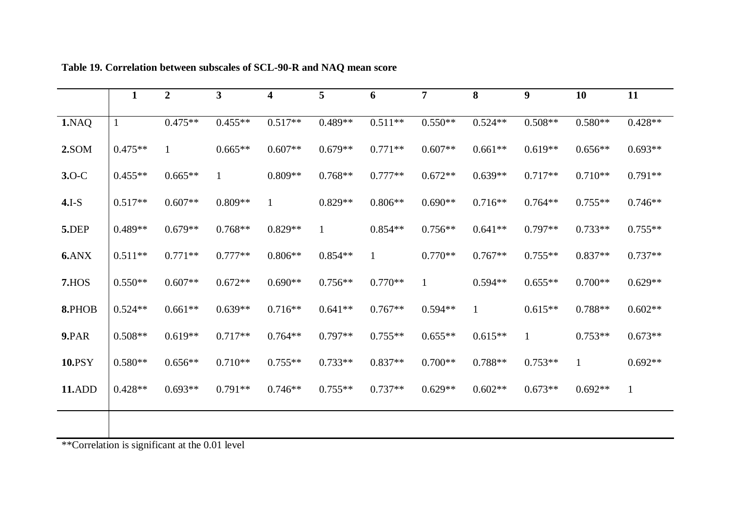|         | $\mathbf{1}$ | $\overline{2}$                                                                                                                                                                                                                                                                         | 3            | 4            | 5            | 6            | $\overline{7}$ | 8            | 9            | <b>10</b>    | 11           |
|---------|--------------|----------------------------------------------------------------------------------------------------------------------------------------------------------------------------------------------------------------------------------------------------------------------------------------|--------------|--------------|--------------|--------------|----------------|--------------|--------------|--------------|--------------|
| 1.NAQ   |              | $0.475**$                                                                                                                                                                                                                                                                              | $0.455**$    | $0.517**$    | $0.489**$    | $0.511**$    | $0.550**$      | $0.524**$    | $0.508**$    | $0.580**$    | $0.428**$    |
| 2.SOM   | $0.475**$    | $\mathbf{1}$                                                                                                                                                                                                                                                                           | $0.665**$    | $0.607**$    | $0.679**$    | $0.771**$    | $0.607**$      | $0.661**$    | $0.619**$    | $0.656**$    | $0.693**$    |
| $3.0-C$ | $0.455**$    | $0.665**$                                                                                                                                                                                                                                                                              | $\mathbf{1}$ | $0.809**$    | $0.768**$    | $0.777**$    | $0.672**$      | $0.639**$    | $0.717**$    | $0.710**$    | $0.791**$    |
| $4.I-S$ | $0.517**$    | $0.607**$                                                                                                                                                                                                                                                                              | $0.809**$    | $\mathbf{1}$ | $0.829**$    | $0.806**$    | $0.690**$      | $0.716**$    | $0.764**$    | $0.755**$    | $0.746**$    |
| 5.DEP   | $0.489**$    | $0.679**$                                                                                                                                                                                                                                                                              | $0.768**$    | $0.829**$    | $\mathbf{1}$ | $0.854**$    | $0.756**$      | $0.641**$    | $0.797**$    | $0.733**$    | $0.755**$    |
| 6.ANX   | $0.511**$    | $0.771**$                                                                                                                                                                                                                                                                              | $0.777**$    | $0.806**$    | $0.854**$    | $\mathbf{1}$ | $0.770**$      | $0.767**$    | $0.755**$    | $0.837**$    | $0.737**$    |
| 7.HOS   | $0.550**$    | $0.607**$                                                                                                                                                                                                                                                                              | $0.672**$    | $0.690**$    | $0.756**$    | $0.770**$    | $\mathbf{1}$   | $0.594**$    | $0.655**$    | $0.700**$    | $0.629**$    |
| 8.PHOB  | $0.524**$    | $0.661**$                                                                                                                                                                                                                                                                              | $0.639**$    | $0.716**$    | $0.641**$    | $0.767**$    | $0.594**$      | $\mathbf{1}$ | $0.615**$    | 0.788**      | $0.602**$    |
| 9.PAR   | $0.508**$    | $0.619**$                                                                                                                                                                                                                                                                              | $0.717**$    | $0.764**$    | $0.797**$    | $0.755**$    | $0.655**$      | $0.615**$    | $\mathbf{1}$ | $0.753**$    | $0.673**$    |
| 10.PSY  | $0.580**$    | $0.656**$                                                                                                                                                                                                                                                                              | $0.710**$    | $0.755**$    | $0.733**$    | $0.837**$    | $0.700**$      | $0.788**$    | $0.753**$    | $\mathbf{1}$ | $0.692**$    |
| 11.ADD  | $0.428**$    | $0.693**$                                                                                                                                                                                                                                                                              | $0.791**$    | $0.746**$    | $0.755**$    | $0.737**$    | $0.629**$      | $0.602**$    | $0.673**$    | $0.692**$    | $\mathbf{1}$ |
|         |              |                                                                                                                                                                                                                                                                                        |              |              |              |              |                |              |              |              |              |
|         |              | $*$ $\mathcal{L}_{\text{c}}$ $\mathcal{L}_{\text{c}}$ $\mathcal{L}_{\text{c}}$ $\mathcal{L}_{\text{c}}$ $\mathcal{L}_{\text{c}}$ $\mathcal{L}_{\text{c}}$ $\mathcal{L}_{\text{c}}$ $\mathcal{L}_{\text{c}}$ $\mathcal{L}_{\text{c}}$ $\mathcal{L}_{\text{c}}$ $\mathcal{L}_{\text{c}}$ |              |              |              |              |                |              |              |              |              |

**Table 19. Correlation between subscales of SCL-90-R and NAQ mean score** 

\*\*Correlation is significant at the 0.01 level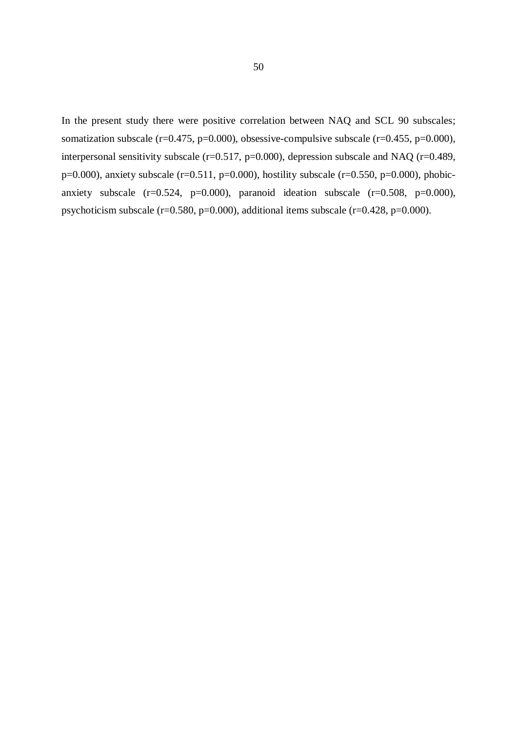In the present study there were positive correlation between NAQ and SCL 90 subscales; somatization subscale ( $r=0.475$ ,  $p=0.000$ ), obsessive-compulsive subscale ( $r=0.455$ ,  $p=0.000$ ), interpersonal sensitivity subscale  $(r=0.517, p=0.000)$ , depression subscale and NAQ  $(r=0.489, p=0.000)$ p=0.000), anxiety subscale (r=0.511, p=0.000), hostility subscale (r=0.550, p=0.000), phobicanxiety subscale  $(r=0.524, p=0.000)$ , paranoid ideation subscale  $(r=0.508, p=0.000)$ , psychoticism subscale ( $r=0.580$ ,  $p=0.000$ ), additional items subscale ( $r=0.428$ ,  $p=0.000$ ).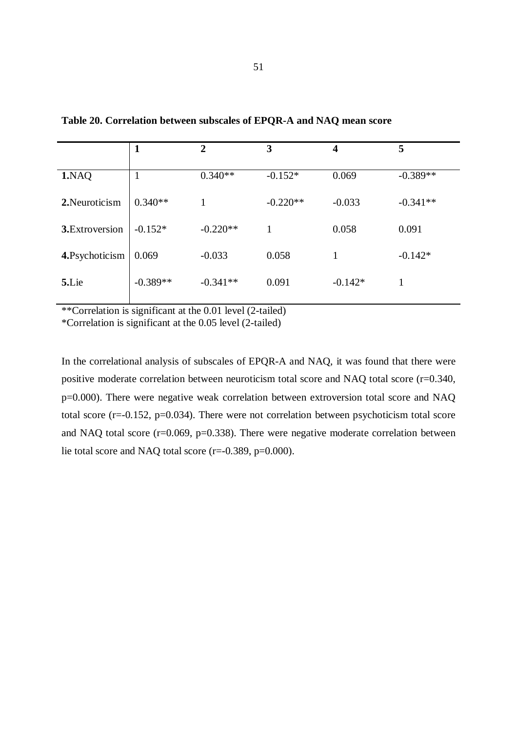|                 | Т          | $\mathbf{2}$ | 3<br>4     |           | 5          |  |
|-----------------|------------|--------------|------------|-----------|------------|--|
| 1.NAQ           | 1          | $0.340**$    | $-0.152*$  | 0.069     | $-0.389**$ |  |
| 2. Neuroticism  | $0.340**$  |              | $-0.220**$ | $-0.033$  | $-0.341**$ |  |
| 3. Extroversion | $-0.152*$  | $-0.220**$   |            | 0.058     | 0.091      |  |
| 4. Psychoticism | 0.069      | $-0.033$     | 0.058      |           | $-0.142*$  |  |
| 5.Lie           | $-0.389**$ | $-0.341**$   | 0.091      | $-0.142*$ | 1          |  |

**Table 20. Correlation between subscales of EPQR-A and NAQ mean score** 

\*\*Correlation is significant at the 0.01 level (2-tailed)

\*Correlation is significant at the 0.05 level (2-tailed)

In the correlational analysis of subscales of EPQR-A and NAQ, it was found that there were positive moderate correlation between neuroticism total score and NAQ total score (r=0.340, p=0.000). There were negative weak correlation between extroversion total score and NAQ total score ( $r=-0.152$ ,  $p=0.034$ ). There were not correlation between psychoticism total score and NAQ total score (r=0.069, p=0.338). There were negative moderate correlation between lie total score and NAQ total score (r=-0.389, p=0.000).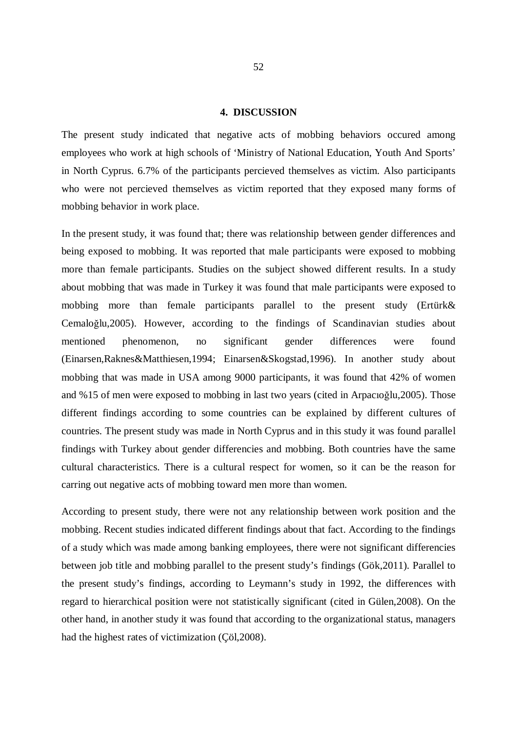#### **4. DISCUSSION**

The present study indicated that negative acts of mobbing behaviors occured among employees who work at high schools of 'Ministry of National Education, Youth And Sports' in North Cyprus. 6.7% of the participants percieved themselves as victim. Also participants who were not percieved themselves as victim reported that they exposed many forms of mobbing behavior in work place.

In the present study, it was found that; there was relationship between gender differences and being exposed to mobbing. It was reported that male participants were exposed to mobbing more than female participants. Studies on the subject showed different results. In a study about mobbing that was made in Turkey it was found that male participants were exposed to mobbing more than female participants parallel to the present study (Ertürk& Cemaloğlu,2005). However, according to the findings of Scandinavian studies about mentioned phenomenon, no significant gender differences were found (Einarsen,Raknes&Matthiesen,1994; Einarsen&Skogstad,1996). In another study about mobbing that was made in USA among 9000 participants, it was found that 42% of women and %15 of men were exposed to mobbing in last two years (cited in Arpacıoğlu,2005). Those different findings according to some countries can be explained by different cultures of countries. The present study was made in North Cyprus and in this study it was found parallel findings with Turkey about gender differencies and mobbing. Both countries have the same cultural characteristics. There is a cultural respect for women, so it can be the reason for carring out negative acts of mobbing toward men more than women.

According to present study, there were not any relationship between work position and the mobbing. Recent studies indicated different findings about that fact. According to the findings of a study which was made among banking employees, there were not significant differencies between job title and mobbing parallel to the present study's findings (Gök,2011). Parallel to the present study's findings, according to Leymann's study in 1992, the differences with regard to hierarchical position were not statistically significant (cited in Gülen,2008). On the other hand, in another study it was found that according to the organizational status, managers had the highest rates of victimization (Çöl,2008).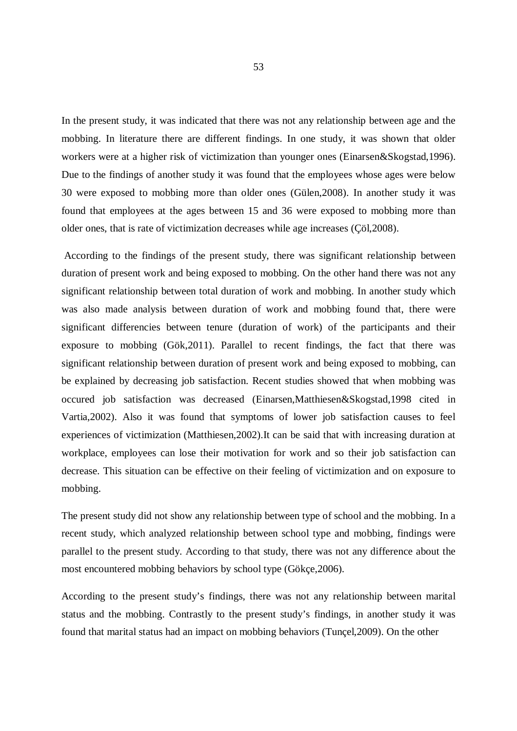In the present study, it was indicated that there was not any relationship between age and the mobbing. In literature there are different findings. In one study, it was shown that older workers were at a higher risk of victimization than younger ones (Einarsen&Skogstad,1996). Due to the findings of another study it was found that the employees whose ages were below 30 were exposed to mobbing more than older ones (Gülen,2008). In another study it was found that employees at the ages between 15 and 36 were exposed to mobbing more than older ones, that is rate of victimization decreases while age increases (Çöl,2008).

 According to the findings of the present study, there was significant relationship between duration of present work and being exposed to mobbing. On the other hand there was not any significant relationship between total duration of work and mobbing. In another study which was also made analysis between duration of work and mobbing found that, there were significant differencies between tenure (duration of work) of the participants and their exposure to mobbing (Gök,2011). Parallel to recent findings, the fact that there was significant relationship between duration of present work and being exposed to mobbing, can be explained by decreasing job satisfaction. Recent studies showed that when mobbing was occured job satisfaction was decreased (Einarsen,Matthiesen&Skogstad,1998 cited in Vartia,2002). Also it was found that symptoms of lower job satisfaction causes to feel experiences of victimization (Matthiesen,2002).It can be said that with increasing duration at workplace, employees can lose their motivation for work and so their job satisfaction can decrease. This situation can be effective on their feeling of victimization and on exposure to mobbing.

The present study did not show any relationship between type of school and the mobbing. In a recent study, which analyzed relationship between school type and mobbing, findings were parallel to the present study. According to that study, there was not any difference about the most encountered mobbing behaviors by school type (Gökçe,2006).

According to the present study's findings, there was not any relationship between marital status and the mobbing. Contrastly to the present study's findings, in another study it was found that marital status had an impact on mobbing behaviors (Tunçel,2009). On the other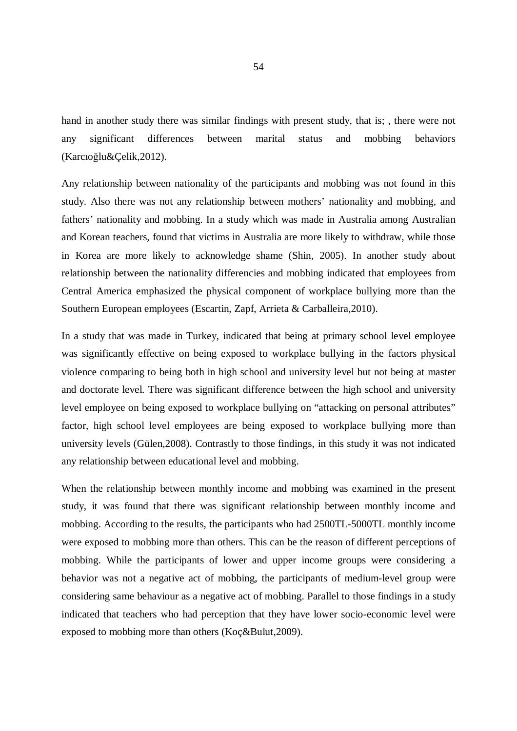hand in another study there was similar findings with present study, that is; , there were not any significant differences between marital status and mobbing behaviors (Karcıoğlu&Çelik,2012).

Any relationship between nationality of the participants and mobbing was not found in this study. Also there was not any relationship between mothers' nationality and mobbing, and fathers' nationality and mobbing. In a study which was made in Australia among Australian and Korean teachers, found that victims in Australia are more likely to withdraw, while those in Korea are more likely to acknowledge shame (Shin, 2005). In another study about relationship between the nationality differencies and mobbing indicated that employees from Central America emphasized the physical component of workplace bullying more than the Southern European employees (Escartin, Zapf, Arrieta & Carballeira,2010).

In a study that was made in Turkey, indicated that being at primary school level employee was significantly effective on being exposed to workplace bullying in the factors physical violence comparing to being both in high school and university level but not being at master and doctorate level. There was significant difference between the high school and university level employee on being exposed to workplace bullying on "attacking on personal attributes" factor, high school level employees are being exposed to workplace bullying more than university levels (Gülen,2008). Contrastly to those findings, in this study it was not indicated any relationship between educational level and mobbing.

When the relationship between monthly income and mobbing was examined in the present study, it was found that there was significant relationship between monthly income and mobbing. According to the results, the participants who had 2500TL-5000TL monthly income were exposed to mobbing more than others. This can be the reason of different perceptions of mobbing. While the participants of lower and upper income groups were considering a behavior was not a negative act of mobbing, the participants of medium-level group were considering same behaviour as a negative act of mobbing. Parallel to those findings in a study indicated that teachers who had perception that they have lower socio-economic level were exposed to mobbing more than others (Koç&Bulut,2009).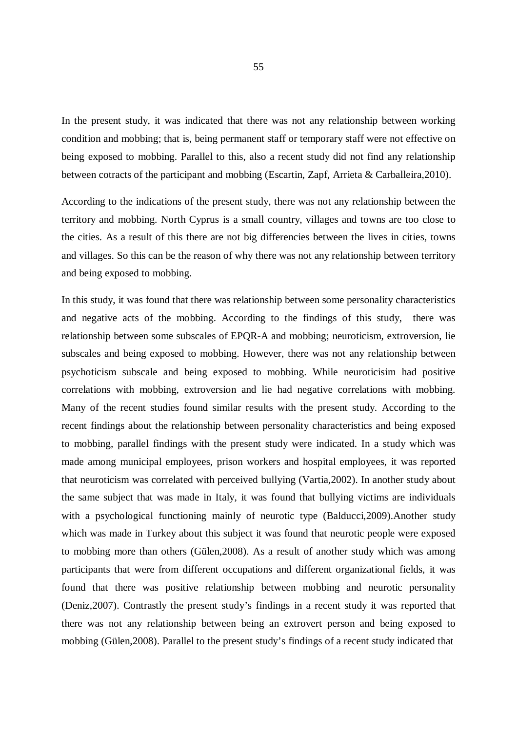In the present study, it was indicated that there was not any relationship between working condition and mobbing; that is, being permanent staff or temporary staff were not effective on being exposed to mobbing. Parallel to this, also a recent study did not find any relationship between cotracts of the participant and mobbing (Escartin, Zapf, Arrieta & Carballeira,2010).

According to the indications of the present study, there was not any relationship between the territory and mobbing. North Cyprus is a small country, villages and towns are too close to the cities. As a result of this there are not big differencies between the lives in cities, towns and villages. So this can be the reason of why there was not any relationship between territory and being exposed to mobbing.

In this study, it was found that there was relationship between some personality characteristics and negative acts of the mobbing. According to the findings of this study, there was relationship between some subscales of EPQR-A and mobbing; neuroticism, extroversion, lie subscales and being exposed to mobbing. However, there was not any relationship between psychoticism subscale and being exposed to mobbing. While neuroticisim had positive correlations with mobbing, extroversion and lie had negative correlations with mobbing. Many of the recent studies found similar results with the present study. According to the recent findings about the relationship between personality characteristics and being exposed to mobbing, parallel findings with the present study were indicated. In a study which was made among municipal employees, prison workers and hospital employees, it was reported that neuroticism was correlated with perceived bullying (Vartia,2002). In another study about the same subject that was made in Italy, it was found that bullying victims are individuals with a psychological functioning mainly of neurotic type (Balducci, 2009). Another study which was made in Turkey about this subject it was found that neurotic people were exposed to mobbing more than others (Gülen,2008). As a result of another study which was among participants that were from different occupations and different organizational fields, it was found that there was positive relationship between mobbing and neurotic personality (Deniz,2007). Contrastly the present study's findings in a recent study it was reported that there was not any relationship between being an extrovert person and being exposed to mobbing (Gülen,2008). Parallel to the present study's findings of a recent study indicated that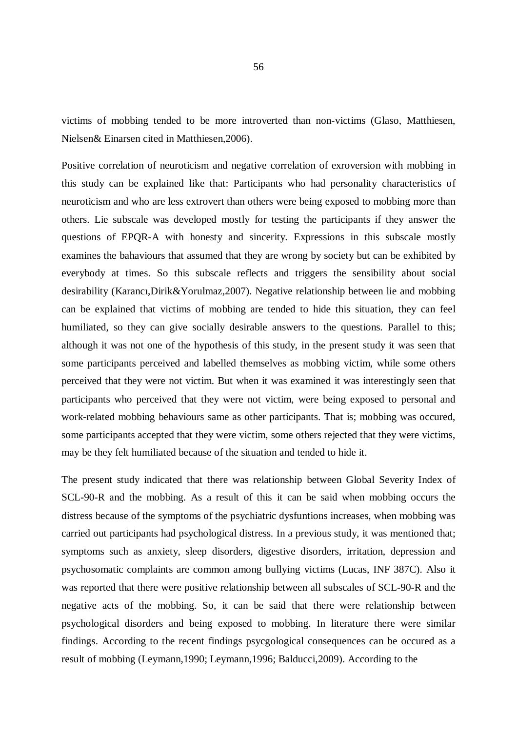victims of mobbing tended to be more introverted than non-victims (Glaso, Matthiesen, Nielsen& Einarsen cited in Matthiesen,2006).

Positive correlation of neuroticism and negative correlation of exroversion with mobbing in this study can be explained like that: Participants who had personality characteristics of neuroticism and who are less extrovert than others were being exposed to mobbing more than others. Lie subscale was developed mostly for testing the participants if they answer the questions of EPQR-A with honesty and sincerity. Expressions in this subscale mostly examines the bahaviours that assumed that they are wrong by society but can be exhibited by everybody at times. So this subscale reflects and triggers the sensibility about social desirability (Karancı,Dirik&Yorulmaz,2007). Negative relationship between lie and mobbing can be explained that victims of mobbing are tended to hide this situation, they can feel humiliated, so they can give socially desirable answers to the questions. Parallel to this; although it was not one of the hypothesis of this study, in the present study it was seen that some participants perceived and labelled themselves as mobbing victim, while some others perceived that they were not victim. But when it was examined it was interestingly seen that participants who perceived that they were not victim, were being exposed to personal and work-related mobbing behaviours same as other participants. That is; mobbing was occured, some participants accepted that they were victim, some others rejected that they were victims, may be they felt humiliated because of the situation and tended to hide it.

The present study indicated that there was relationship between Global Severity Index of SCL-90-R and the mobbing. As a result of this it can be said when mobbing occurs the distress because of the symptoms of the psychiatric dysfuntions increases, when mobbing was carried out participants had psychological distress. In a previous study, it was mentioned that; symptoms such as anxiety, sleep disorders, digestive disorders, irritation, depression and psychosomatic complaints are common among bullying victims (Lucas, INF 387C). Also it was reported that there were positive relationship between all subscales of SCL-90-R and the negative acts of the mobbing. So, it can be said that there were relationship between psychological disorders and being exposed to mobbing. In literature there were similar findings. According to the recent findings psycgological consequences can be occured as a result of mobbing (Leymann,1990; Leymann,1996; Balducci,2009). According to the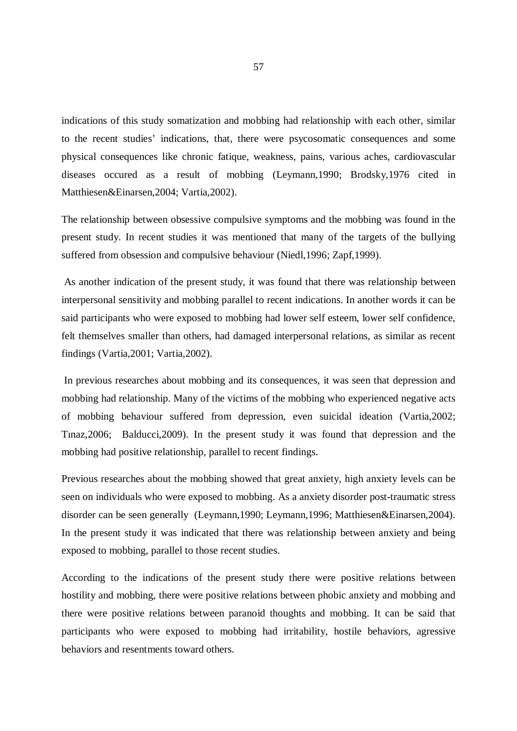indications of this study somatization and mobbing had relationship with each other, similar to the recent studies' indications, that, there were psycosomatic consequences and some physical consequences like chronic fatique, weakness, pains, various aches, cardiovascular diseases occured as a result of mobbing (Leymann,1990; Brodsky,1976 cited in Matthiesen&Einarsen,2004; Vartia,2002).

The relationship between obsessive compulsive symptoms and the mobbing was found in the present study. In recent studies it was mentioned that many of the targets of the bullying suffered from obsession and compulsive behaviour (Niedl,1996; Zapf,1999).

 As another indication of the present study, it was found that there was relationship between interpersonal sensitivity and mobbing parallel to recent indications. In another words it can be said participants who were exposed to mobbing had lower self esteem, lower self confidence, felt themselves smaller than others, had damaged interpersonal relations, as similar as recent findings (Vartia,2001; Vartia,2002).

 In previous researches about mobbing and its consequences, it was seen that depression and mobbing had relationship. Many of the victims of the mobbing who experienced negative acts of mobbing behaviour suffered from depression, even suicidal ideation (Vartia,2002; Tınaz,2006; Balducci,2009). In the present study it was found that depression and the mobbing had positive relationship, parallel to recent findings.

Previous researches about the mobbing showed that great anxiety, high anxiety levels can be seen on individuals who were exposed to mobbing. As a anxiety disorder post-traumatic stress disorder can be seen generally (Leymann,1990; Leymann,1996; Matthiesen&Einarsen,2004). In the present study it was indicated that there was relationship between anxiety and being exposed to mobbing, parallel to those recent studies.

According to the indications of the present study there were positive relations between hostility and mobbing, there were positive relations between phobic anxiety and mobbing and there were positive relations between paranoid thoughts and mobbing. It can be said that participants who were exposed to mobbing had irritability, hostile behaviors, agressive behaviors and resentments toward others.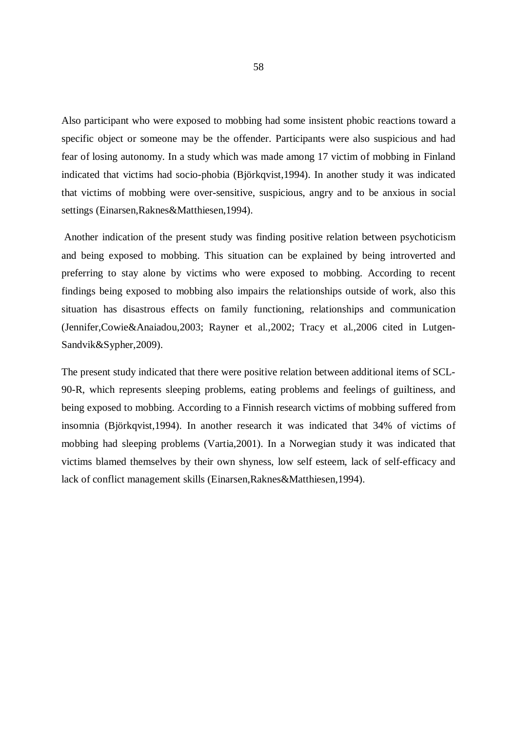Also participant who were exposed to mobbing had some insistent phobic reactions toward a specific object or someone may be the offender. Participants were also suspicious and had fear of losing autonomy. In a study which was made among 17 victim of mobbing in Finland indicated that victims had socio-phobia (Björkqvist,1994). In another study it was indicated that victims of mobbing were over-sensitive, suspicious, angry and to be anxious in social settings (Einarsen,Raknes&Matthiesen,1994).

 Another indication of the present study was finding positive relation between psychoticism and being exposed to mobbing. This situation can be explained by being introverted and preferring to stay alone by victims who were exposed to mobbing. According to recent findings being exposed to mobbing also impairs the relationships outside of work, also this situation has disastrous effects on family functioning, relationships and communication (Jennifer,Cowie&Anaiadou,2003; Rayner et al.,2002; Tracy et al.,2006 cited in Lutgen-Sandvik&Sypher,2009).

The present study indicated that there were positive relation between additional items of SCL-90-R, which represents sleeping problems, eating problems and feelings of guiltiness, and being exposed to mobbing. According to a Finnish research victims of mobbing suffered from insomnia (Björkqvist,1994). In another research it was indicated that 34% of victims of mobbing had sleeping problems (Vartia,2001). In a Norwegian study it was indicated that victims blamed themselves by their own shyness, low self esteem, lack of self-efficacy and lack of conflict management skills (Einarsen,Raknes&Matthiesen,1994).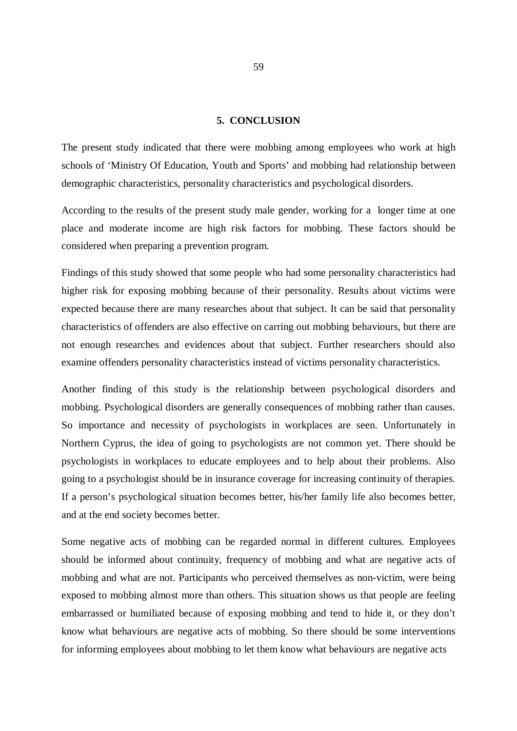### **5. CONCLUSION**

The present study indicated that there were mobbing among employees who work at high schools of 'Ministry Of Education, Youth and Sports' and mobbing had relationship between demographic characteristics, personality characteristics and psychological disorders.

According to the results of the present study male gender, working for a longer time at one place and moderate income are high risk factors for mobbing. These factors should be considered when preparing a prevention program.

Findings of this study showed that some people who had some personality characteristics had higher risk for exposing mobbing because of their personality. Results about victims were expected because there are many researches about that subject. It can be said that personality characteristics of offenders are also effective on carring out mobbing behaviours, but there are not enough researches and evidences about that subject. Further researchers should also examine offenders personality characteristics instead of victims personality characteristics.

Another finding of this study is the relationship between psychological disorders and mobbing. Psychological disorders are generally consequences of mobbing rather than causes. So importance and necessity of psychologists in workplaces are seen. Unfortunately in Northern Cyprus, the idea of going to psychologists are not common yet. There should be psychologists in workplaces to educate employees and to help about their problems. Also going to a psychologist should be in insurance coverage for increasing continuity of therapies. If a person's psychological situation becomes better, his/her family life also becomes better, and at the end society becomes better.

Some negative acts of mobbing can be regarded normal in different cultures. Employees should be informed about continuity, frequency of mobbing and what are negative acts of mobbing and what are not. Participants who perceived themselves as non-victim, were being exposed to mobbing almost more than others. This situation shows us that people are feeling embarrassed or humiliated because of exposing mobbing and tend to hide it, or they don't know what behaviours are negative acts of mobbing. So there should be some interventions for informing employees about mobbing to let them know what behaviours are negative acts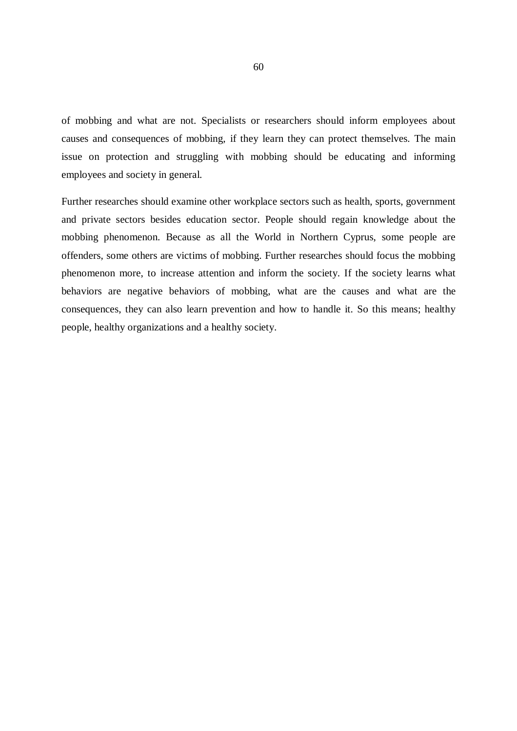of mobbing and what are not. Specialists or researchers should inform employees about causes and consequences of mobbing, if they learn they can protect themselves. The main issue on protection and struggling with mobbing should be educating and informing employees and society in general.

Further researches should examine other workplace sectors such as health, sports, government and private sectors besides education sector. People should regain knowledge about the mobbing phenomenon. Because as all the World in Northern Cyprus, some people are offenders, some others are victims of mobbing. Further researches should focus the mobbing phenomenon more, to increase attention and inform the society. If the society learns what behaviors are negative behaviors of mobbing, what are the causes and what are the consequences, they can also learn prevention and how to handle it. So this means; healthy people, healthy organizations and a healthy society.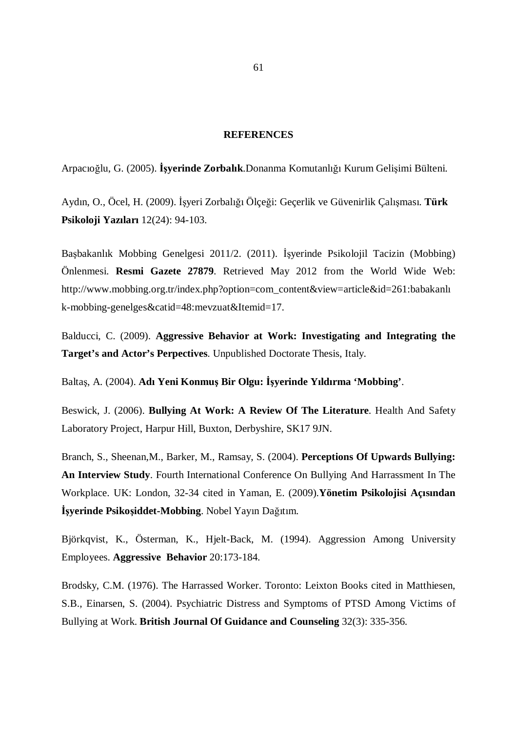#### **REFERENCES**

Arpacıoğlu, G. (2005). **İşyerinde Zorbalık**.Donanma Komutanlığı Kurum Gelişimi Bülteni.

Aydın, O., Öcel, H. (2009). İşyeri Zorbalığı Ölçeği: Geçerlik ve Güvenirlik Çalışması. **Türk Psikoloji Yazıları** 12(24): 94-103.

Başbakanlık Mobbing Genelgesi 2011/2. (2011). İşyerinde Psikolojil Tacizin (Mobbing) Önlenmesi. **Resmi Gazete 27879**. Retrieved May 2012 from the World Wide Web: http://www.mobbing.org.tr/index.php?option=com\_content&view=article&id=261:babakanlı k-mobbing-genelges&catid=48:mevzuat&Itemid=17.

Balducci, C. (2009). **Aggressive Behavior at Work: Investigating and Integrating the Target's and Actor's Perpectives**. Unpublished Doctorate Thesis, Italy.

Baltaş, A. (2004). **Adı Yeni Konmuş Bir Olgu: İşyerinde Yıldırma 'Mobbing'**.

Beswick, J. (2006). **Bullying At Work: A Review Of The Literature**. Health And Safety Laboratory Project, Harpur Hill, Buxton, Derbyshire, SK17 9JN.

Branch, S., Sheenan,M., Barker, M., Ramsay, S. (2004). **Perceptions Of Upwards Bullying: An Interview Study**. Fourth International Conference On Bullying And Harrassment In The Workplace. UK: London, 32-34 cited in Yaman, E. (2009).**Yönetim Psikolojisi Açısından İşyerinde Psikoşiddet-Mobbing**. Nobel Yayın Dağıtım.

Björkqvist, K., Österman, K., Hjelt-Back, M. (1994). Aggression Among University Employees. **Aggressive Behavior** 20:173-184.

Brodsky, C.M. (1976). The Harrassed Worker. Toronto: Leixton Books cited in Matthiesen, S.B., Einarsen, S. (2004). Psychiatric Distress and Symptoms of PTSD Among Victims of Bullying at Work. **British Journal Of Guidance and Counseling** 32(3): 335-356.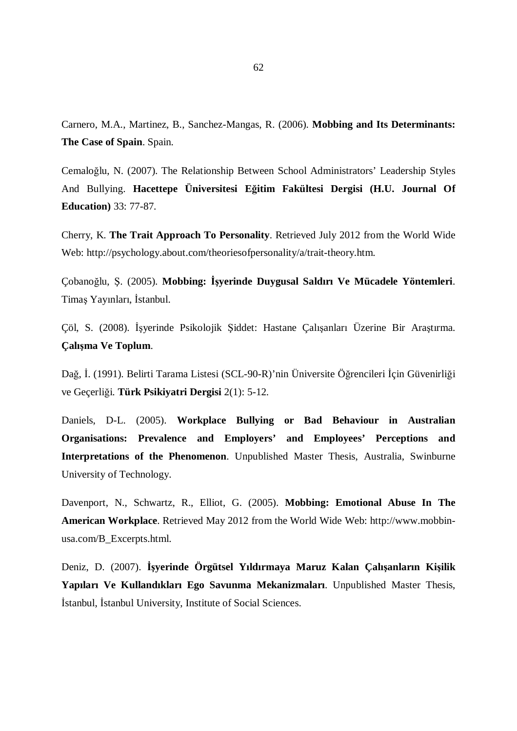Carnero, M.A., Martinez, B., Sanchez-Mangas, R. (2006). **Mobbing and Its Determinants: The Case of Spain**. Spain.

Cemaloğlu, N. (2007). The Relationship Between School Administrators' Leadership Styles And Bullying. **Hacettepe Üniversitesi Eğitim Fakültesi Dergisi (H.U. Journal Of Education)** 33: 77-87.

Cherry, K. **The Trait Approach To Personality**. Retrieved July 2012 from the World Wide Web: http://psychology.about.com/theoriesofpersonality/a/trait-theory.htm.

Çobanoğlu, Ş. (2005). **Mobbing: İşyerinde Duygusal Saldırı Ve Mücadele Yöntemleri**. Timaş Yayınları, İstanbul.

Çöl, S. (2008). İşyerinde Psikolojik Şiddet: Hastane Çalışanları Üzerine Bir Araştırma. **Çalışma Ve Toplum**.

Dağ, İ. (1991). Belirti Tarama Listesi (SCL-90-R)'nin Üniversite Öğrencileri İçin Güvenirliği ve Geçerliği. **Türk Psikiyatri Dergisi** 2(1): 5-12.

Daniels, D-L. (2005). **Workplace Bullying or Bad Behaviour in Australian Organisations: Prevalence and Employers' and Employees' Perceptions and Interpretations of the Phenomenon**. Unpublished Master Thesis, Australia, Swinburne University of Technology.

Davenport, N., Schwartz, R., Elliot, G. (2005). **Mobbing: Emotional Abuse In The American Workplace**. Retrieved May 2012 from the World Wide Web: http://www.mobbinusa.com/B\_Excerpts.html.

Deniz, D. (2007). **İşyerinde Örgütsel Yıldırmaya Maruz Kalan Çalışanların Kişilik Yapıları Ve Kullandıkları Ego Savunma Mekanizmaları**. Unpublished Master Thesis, İstanbul, İstanbul University, Institute of Social Sciences.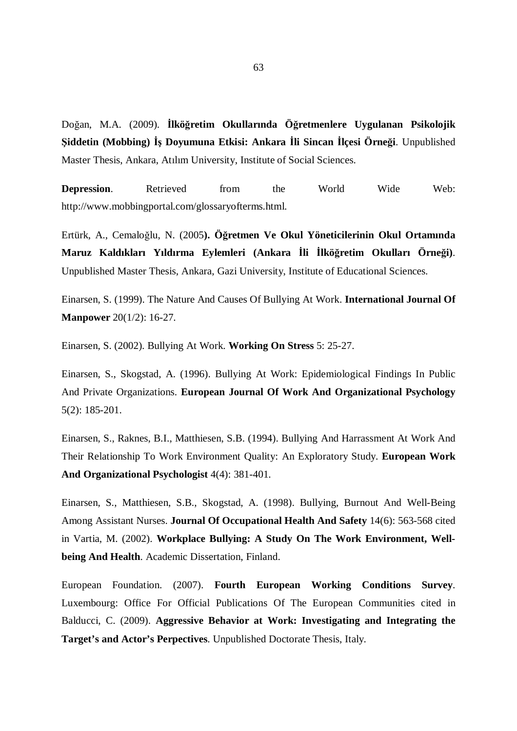Doğan, M.A. (2009). **İlköğretim Okullarında Öğretmenlere Uygulanan Psikolojik Şiddetin (Mobbing) İş Doyumuna Etkisi: Ankara İli Sincan İlçesi Örneği**. Unpublished Master Thesis, Ankara, Atılım University, Institute of Social Sciences.

**Depression.** Retrieved from the World Wide Web: http://www.mobbingportal.com/glossaryofterms.html.

Ertürk, A., Cemaloğlu, N. (2005**). Öğretmen Ve Okul Yöneticilerinin Okul Ortamında Maruz Kaldıkları Yıldırma Eylemleri (Ankara İli İlköğretim Okulları Örneği)**. Unpublished Master Thesis, Ankara, Gazi University, Institute of Educational Sciences.

Einarsen, S. (1999). The Nature And Causes Of Bullying At Work. **International Journal Of Manpower** 20(1/2): 16-27.

Einarsen, S. (2002). Bullying At Work. **Working On Stress** 5: 25-27.

Einarsen, S., Skogstad, A. (1996). Bullying At Work: Epidemiological Findings In Public And Private Organizations. **European Journal Of Work And Organizational Psychology** 5(2): 185-201.

Einarsen, S., Raknes, B.I., Matthiesen, S.B. (1994). Bullying And Harrassment At Work And Their Relationship To Work Environment Quality: An Exploratory Study. **European Work And Organizational Psychologist** 4(4): 381-401.

Einarsen, S., Matthiesen, S.B., Skogstad, A. (1998). Bullying, Burnout And Well-Being Among Assistant Nurses. **Journal Of Occupational Health And Safety** 14(6): 563-568 cited in Vartia, M. (2002). **Workplace Bullying: A Study On The Work Environment, Wellbeing And Health**. Academic Dissertation, Finland.

European Foundation. (2007). **Fourth European Working Conditions Survey**. Luxembourg: Office For Official Publications Of The European Communities cited in Balducci, C. (2009). **Aggressive Behavior at Work: Investigating and Integrating the Target's and Actor's Perpectives**. Unpublished Doctorate Thesis, Italy.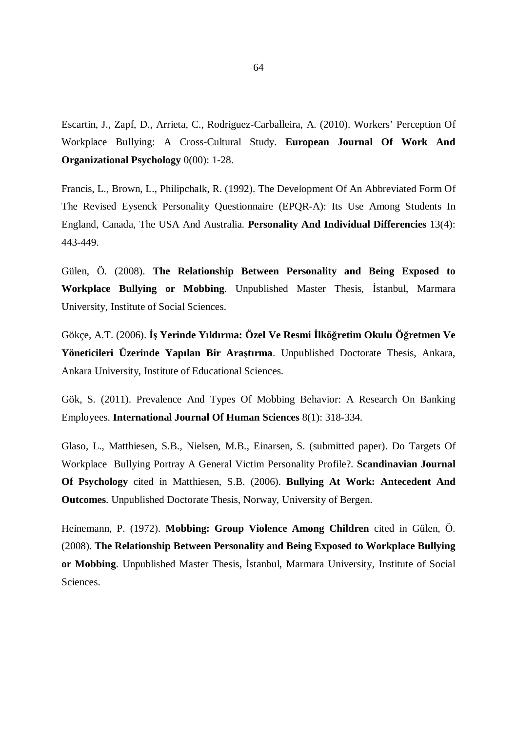Escartin, J., Zapf, D., Arrieta, C., Rodriguez-Carballeira, A. (2010). Workers' Perception Of Workplace Bullying: A Cross-Cultural Study. **European Journal Of Work And Organizational Psychology** 0(00): 1-28.

Francis, L., Brown, L., Philipchalk, R. (1992). The Development Of An Abbreviated Form Of The Revised Eysenck Personality Questionnaire (EPQR-A): Its Use Among Students In England, Canada, The USA And Australia. **Personality And Individual Differencies** 13(4): 443-449.

Gülen, Ö. (2008). **The Relationship Between Personality and Being Exposed to Workplace Bullying or Mobbing**. Unpublished Master Thesis, İstanbul, Marmara University, Institute of Social Sciences.

Gökçe, A.T. (2006). **İş Yerinde Yıldırma: Özel Ve Resmi İlköğretim Okulu Öğretmen Ve Yöneticileri Üzerinde Yapılan Bir Araştırma**. Unpublished Doctorate Thesis, Ankara, Ankara University, Institute of Educational Sciences.

Gök, S. (2011). Prevalence And Types Of Mobbing Behavior: A Research On Banking Employees. **International Journal Of Human Sciences** 8(1): 318-334.

Glaso, L., Matthiesen, S.B., Nielsen, M.B., Einarsen, S. (submitted paper). Do Targets Of Workplace Bullying Portray A General Victim Personality Profile?. **Scandinavian Journal Of Psychology** cited in Matthiesen, S.B. (2006). **Bullying At Work: Antecedent And Outcomes**. Unpublished Doctorate Thesis, Norway, University of Bergen.

Heinemann, P. (1972). **Mobbing: Group Violence Among Children** cited in Gülen, Ö. (2008). **The Relationship Between Personality and Being Exposed to Workplace Bullying or Mobbing**. Unpublished Master Thesis, İstanbul, Marmara University, Institute of Social Sciences.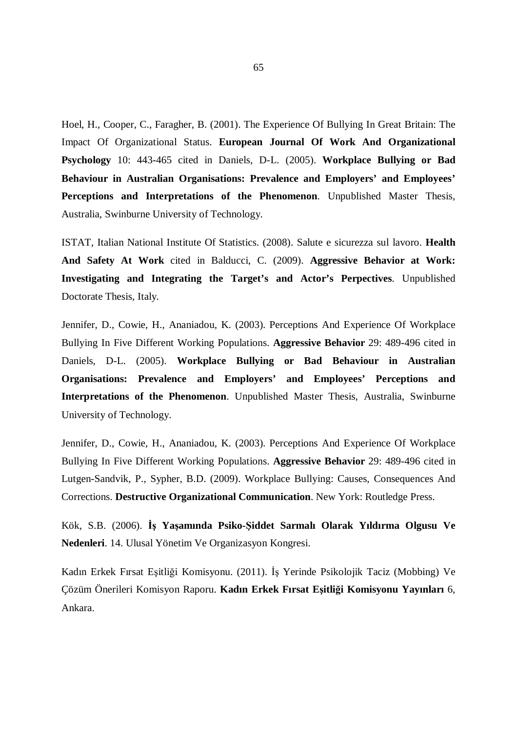Hoel, H., Cooper, C., Faragher, B. (2001). The Experience Of Bullying In Great Britain: The Impact Of Organizational Status. **European Journal Of Work And Organizational Psychology** 10: 443-465 cited in Daniels, D-L. (2005). **Workplace Bullying or Bad Behaviour in Australian Organisations: Prevalence and Employers' and Employees' Perceptions and Interpretations of the Phenomenon**. Unpublished Master Thesis, Australia, Swinburne University of Technology.

ISTAT, Italian National Institute Of Statistics. (2008). Salute e sicurezza sul lavoro. **Health And Safety At Work** cited in Balducci, C. (2009). **Aggressive Behavior at Work: Investigating and Integrating the Target's and Actor's Perpectives**. Unpublished Doctorate Thesis, Italy.

Jennifer, D., Cowie, H., Ananiadou, K. (2003). Perceptions And Experience Of Workplace Bullying In Five Different Working Populations. **Aggressive Behavior** 29: 489-496 cited in Daniels, D-L. (2005). **Workplace Bullying or Bad Behaviour in Australian Organisations: Prevalence and Employers' and Employees' Perceptions and Interpretations of the Phenomenon**. Unpublished Master Thesis, Australia, Swinburne University of Technology.

Jennifer, D., Cowie, H., Ananiadou, K. (2003). Perceptions And Experience Of Workplace Bullying In Five Different Working Populations. **Aggressive Behavior** 29: 489-496 cited in Lutgen-Sandvik, P., Sypher, B.D. (2009). Workplace Bullying: Causes, Consequences And Corrections. **Destructive Organizational Communication**. New York: Routledge Press.

Kök, S.B. (2006). **İş Yaşamında Psiko-Şiddet Sarmalı Olarak Yıldırma Olgusu Ve Nedenleri**. 14. Ulusal Yönetim Ve Organizasyon Kongresi.

Kadın Erkek Fırsat Eşitliği Komisyonu. (2011). İş Yerinde Psikolojik Taciz (Mobbing) Ve Çözüm Önerileri Komisyon Raporu. **Kadın Erkek Fırsat Eşitliği Komisyonu Yayınları** 6, Ankara.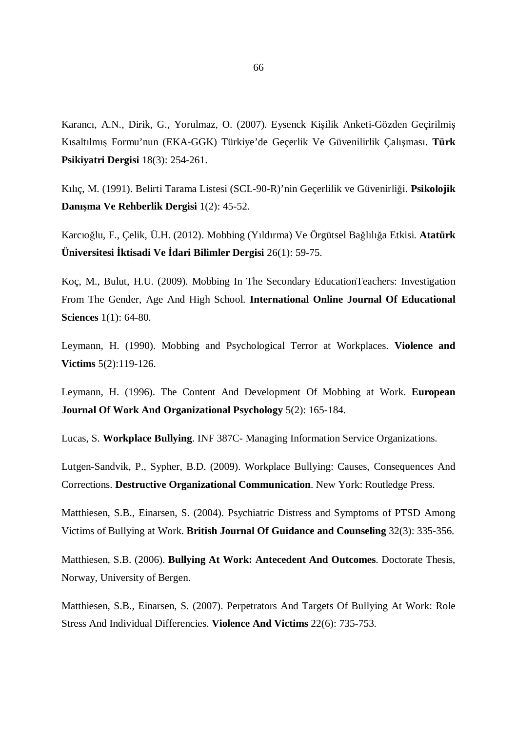Karancı, A.N., Dirik, G., Yorulmaz, O. (2007). Eysenck Kişilik Anketi-Gözden Geçirilmiş Kısaltılmış Formu'nun (EKA-GGK) Türkiye'de Geçerlik Ve Güvenilirlik Çalışması. **Türk Psikiyatri Dergisi** 18(3): 254-261.

Kılıç, M. (1991). Belirti Tarama Listesi (SCL-90-R)'nin Geçerlilik ve Güvenirliği. **Psikolojik Danışma Ve Rehberlik Dergisi** 1(2): 45-52.

Karcıoğlu, F., Çelik, Ü.H. (2012). Mobbing (Yıldırma) Ve Örgütsel Bağlılığa Etkisi. **Atatürk Üniversitesi İktisadi Ve İdari Bilimler Dergisi** 26(1): 59-75.

Koç, M., Bulut, H.U. (2009). Mobbing In The Secondary EducationTeachers: Investigation From The Gender, Age And High School. **International Online Journal Of Educational Sciences** 1(1): 64-80.

Leymann, H. (1990). Mobbing and Psychological Terror at Workplaces. **Violence and Victims** 5(2):119-126.

Leymann, H. (1996). The Content And Development Of Mobbing at Work. **European Journal Of Work And Organizational Psychology** 5(2): 165-184.

Lucas, S. **Workplace Bullying**. INF 387C- Managing Information Service Organizations.

Lutgen-Sandvik, P., Sypher, B.D. (2009). Workplace Bullying: Causes, Consequences And Corrections. **Destructive Organizational Communication**. New York: Routledge Press.

Matthiesen, S.B., Einarsen, S. (2004). Psychiatric Distress and Symptoms of PTSD Among Victims of Bullying at Work. **British Journal Of Guidance and Counseling** 32(3): 335-356.

Matthiesen, S.B. (2006). **Bullying At Work: Antecedent And Outcomes**. Doctorate Thesis, Norway, University of Bergen.

Matthiesen, S.B., Einarsen, S. (2007). Perpetrators And Targets Of Bullying At Work: Role Stress And Individual Differencies. **Violence And Victims** 22(6): 735-753.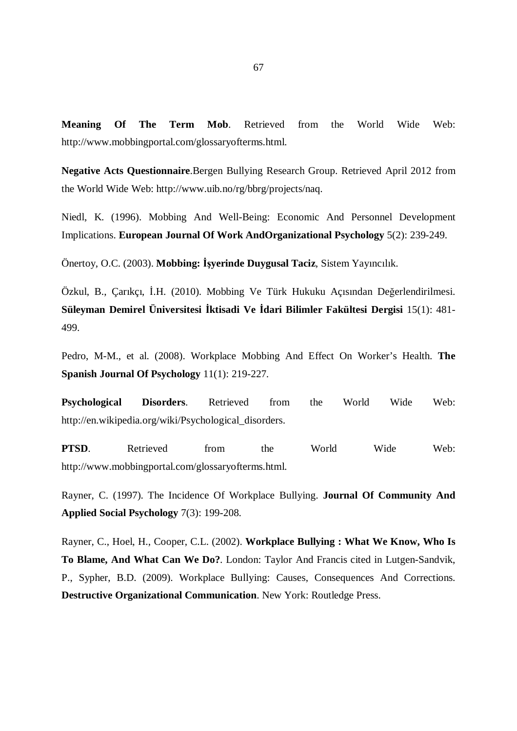**Meaning Of The Term Mob**. Retrieved from the World Wide Web: http://www.mobbingportal.com/glossaryofterms.html.

**Negative Acts Questionnaire**.Bergen Bullying Research Group. Retrieved April 2012 from the World Wide Web: http://www.uib.no/rg/bbrg/projects/naq.

Niedl, K. (1996). Mobbing And Well-Being: Economic And Personnel Development Implications. **European Journal Of Work AndOrganizational Psychology** 5(2): 239-249.

Önertoy, O.C. (2003). **Mobbing: İşyerinde Duygusal Taciz**, Sistem Yayıncılık.

Özkul, B., Çarıkçı, İ.H. (2010). Mobbing Ve Türk Hukuku Açısından Değerlendirilmesi. **Süleyman Demirel Üniversitesi İktisadi Ve İdari Bilimler Fakültesi Dergisi** 15(1): 481- 499.

Pedro, M-M., et al. (2008). Workplace Mobbing And Effect On Worker's Health. **The Spanish Journal Of Psychology** 11(1): 219-227.

**Psychological Disorders**. Retrieved from the World Wide Web: http://en.wikipedia.org/wiki/Psychological\_disorders.

**PTSD**. Retrieved from the World Wide Web: http://www.mobbingportal.com/glossaryofterms.html.

Rayner, C. (1997). The Incidence Of Workplace Bullying. **Journal Of Community And Applied Social Psychology** 7(3): 199-208.

Rayner, C., Hoel, H., Cooper, C.L. (2002). **Workplace Bullying : What We Know, Who Is To Blame, And What Can We Do?**. London: Taylor And Francis cited in Lutgen-Sandvik, P., Sypher, B.D. (2009). Workplace Bullying: Causes, Consequences And Corrections. **Destructive Organizational Communication**. New York: Routledge Press.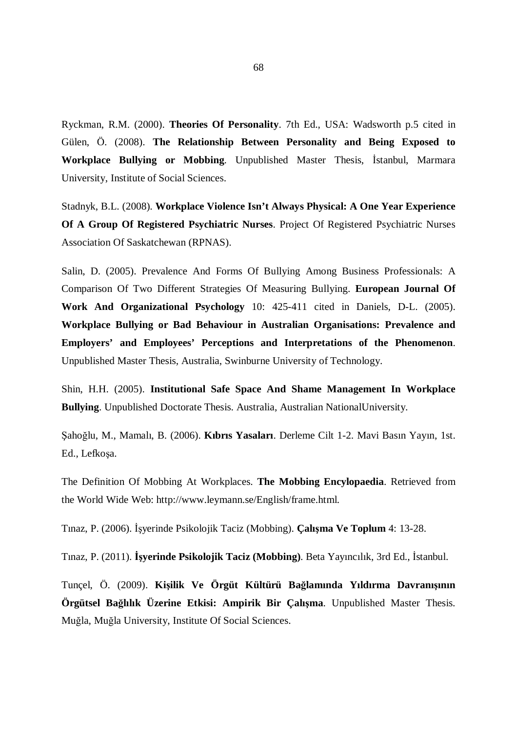Ryckman, R.M. (2000). **Theories Of Personality**. 7th Ed., USA: Wadsworth p.5 cited in Gülen, Ö. (2008). **The Relationship Between Personality and Being Exposed to Workplace Bullying or Mobbing**. Unpublished Master Thesis, İstanbul, Marmara University, Institute of Social Sciences.

Stadnyk, B.L. (2008). **Workplace Violence Isn't Always Physical: A One Year Experience Of A Group Of Registered Psychiatric Nurses**. Project Of Registered Psychiatric Nurses Association Of Saskatchewan (RPNAS).

Salin, D. (2005). Prevalence And Forms Of Bullying Among Business Professionals: A Comparison Of Two Different Strategies Of Measuring Bullying. **European Journal Of Work And Organizational Psychology** 10: 425-411 cited in Daniels, D-L. (2005). **Workplace Bullying or Bad Behaviour in Australian Organisations: Prevalence and Employers' and Employees' Perceptions and Interpretations of the Phenomenon**. Unpublished Master Thesis, Australia, Swinburne University of Technology.

Shin, H.H. (2005). **Institutional Safe Space And Shame Management In Workplace Bullying**. Unpublished Doctorate Thesis. Australia, Australian NationalUniversity.

Şahoğlu, M., Mamalı, B. (2006). **Kıbrıs Yasaları**. Derleme Cilt 1-2. Mavi Basın Yayın, 1st. Ed., Lefkoşa.

The Definition Of Mobbing At Workplaces. **The Mobbing Encylopaedia**. Retrieved from the World Wide Web: http://www.leymann.se/English/frame.html.

Tınaz, P. (2006). İşyerinde Psikolojik Taciz (Mobbing). **Çalışma Ve Toplum** 4: 13-28.

Tınaz, P. (2011). **İşyerinde Psikolojik Taciz (Mobbing)**. Beta Yayıncılık, 3rd Ed., İstanbul.

Tunçel, Ö. (2009). **Kişilik Ve Örgüt Kültürü Bağlamında Yıldırma Davranışının Örgütsel Bağlılık Üzerine Etkisi: Ampirik Bir Çalışma**. Unpublished Master Thesis. Muğla, Muğla University, Institute Of Social Sciences.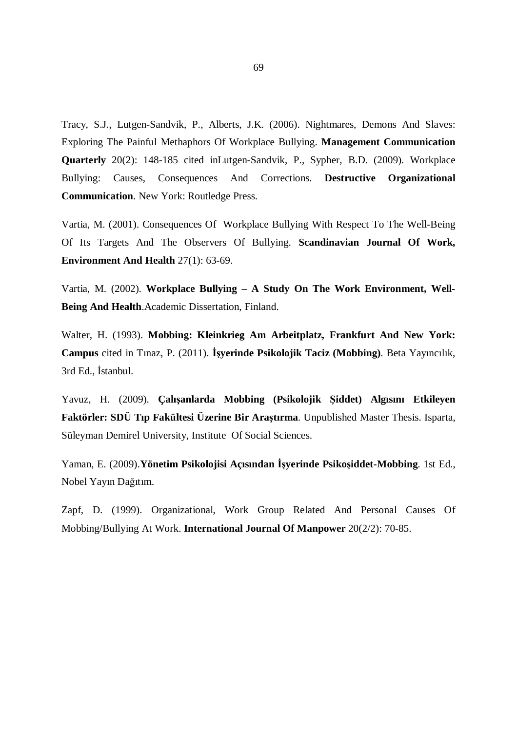Tracy, S.J., Lutgen-Sandvik, P., Alberts, J.K. (2006). Nightmares, Demons And Slaves: Exploring The Painful Methaphors Of Workplace Bullying. **Management Communication Quarterly** 20(2): 148-185 cited inLutgen-Sandvik, P., Sypher, B.D. (2009). Workplace Bullying: Causes, Consequences And Corrections. **Destructive Organizational Communication**. New York: Routledge Press.

Vartia, M. (2001). Consequences Of Workplace Bullying With Respect To The Well-Being Of Its Targets And The Observers Of Bullying. **Scandinavian Journal Of Work, Environment And Health** 27(1): 63-69.

Vartia, M. (2002). **Workplace Bullying – A Study On The Work Environment, Well-Being And Health**.Academic Dissertation, Finland.

Walter, H. (1993). **Mobbing: Kleinkrieg Am Arbeitplatz, Frankfurt And New York: Campus** cited in Tınaz, P. (2011). **İşyerinde Psikolojik Taciz (Mobbing)**. Beta Yayıncılık, 3rd Ed., İstanbul.

Yavuz, H. (2009). **Çalışanlarda Mobbing (Psikolojik Şiddet) Algısını Etkileyen Faktörler: SDÜ Tıp Fakültesi Üzerine Bir Araştırma**. Unpublished Master Thesis. Isparta, Süleyman Demirel University, Institute Of Social Sciences.

Yaman, E. (2009).**Yönetim Psikolojisi Açısından İşyerinde Psikoşiddet-Mobbing**. 1st Ed., Nobel Yayın Dağıtım.

Zapf, D. (1999). Organizational, Work Group Related And Personal Causes Of Mobbing/Bullying At Work. **International Journal Of Manpower** 20(2/2): 70-85.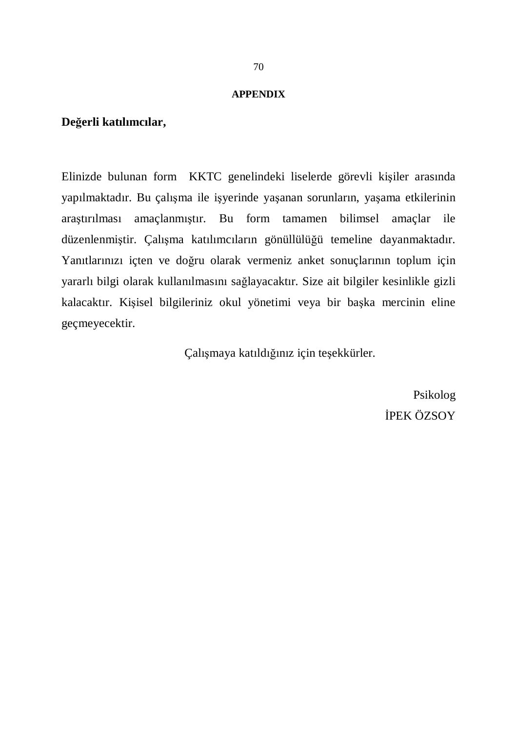#### **APPENDIX**

## **Değerli katılımcılar,**

Elinizde bulunan form KKTC genelindeki liselerde görevli kişiler arasında yapılmaktadır. Bu çalışma ile işyerinde yaşanan sorunların, yaşama etkilerinin araştırılması amaçlanmıştır. Bu form tamamen bilimsel amaçlar ile düzenlenmiştir. Çalışma katılımcıların gönüllülüğü temeline dayanmaktadır. Yanıtlarınızı içten ve doğru olarak vermeniz anket sonuçlarının toplum için yararlı bilgi olarak kullanılmasını sağlayacaktır. Size ait bilgiler kesinlikle gizli kalacaktır. Kişisel bilgileriniz okul yönetimi veya bir başka mercinin eline geçmeyecektir.

Çalışmaya katıldığınız için teşekkürler.

Psikolog İPEK ÖZSOY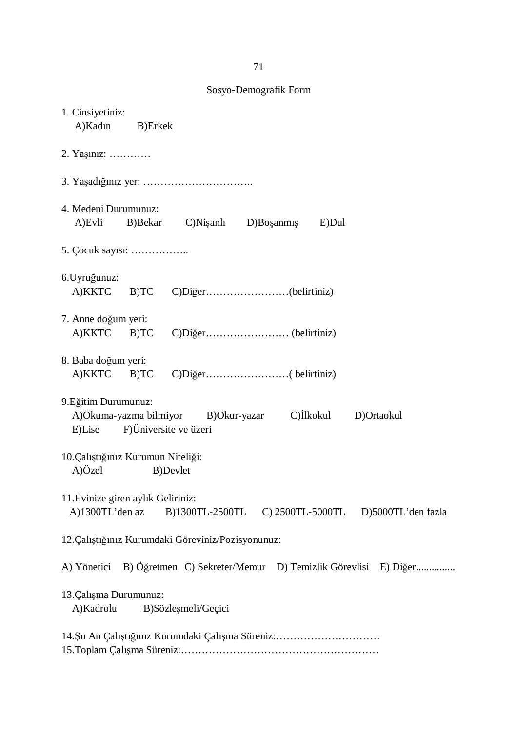1. Cinsiyetiniz: A)Kadın B)Erkek 2. Yaşınız: ………… 3. Yaşadığınız yer: ………………………….. 4. Medeni Durumunuz: A)Evli B)Bekar C)Nişanlı D)Boşanmış E)Dul 5. Çocuk sayısı: …………….. 6.Uyruğunuz: A)KKTC B)TC C)Diğer……………………(belirtiniz) 7. Anne doğum yeri: A)KKTC B)TC C)Diğer…………………… (belirtiniz) 8. Baba doğum yeri: A)KKTC B)TC C)Diğer……………………( belirtiniz) 9.Eğitim Durumunuz: A)Okuma-yazma bilmiyor B)Okur-yazar C)İlkokul D)Ortaokul E)Lise F)Üniversite ve üzeri 10.Çalıştığınız Kurumun Niteliği: A)Özel B)Devlet 11.Evinize giren aylık Geliriniz: A)1300TL'den az B)1300TL-2500TL C) 2500TL-5000TL D)5000TL'den fazla 12.Çalıştığınız Kurumdaki Göreviniz/Pozisyonunuz: A) Yönetici B) Öğretmen C) Sekreter/Memur D) Temizlik Görevlisi E) Diğer............... 13.Çalışma Durumunuz: A)Kadrolu B)Sözleşmeli/Geçici 14.Şu An Çalıştığınız Kurumdaki Çalışma Süreniz:………………………… 15.Toplam Çalışma Süreniz:…………………………………………………

Sosyo-Demografik Form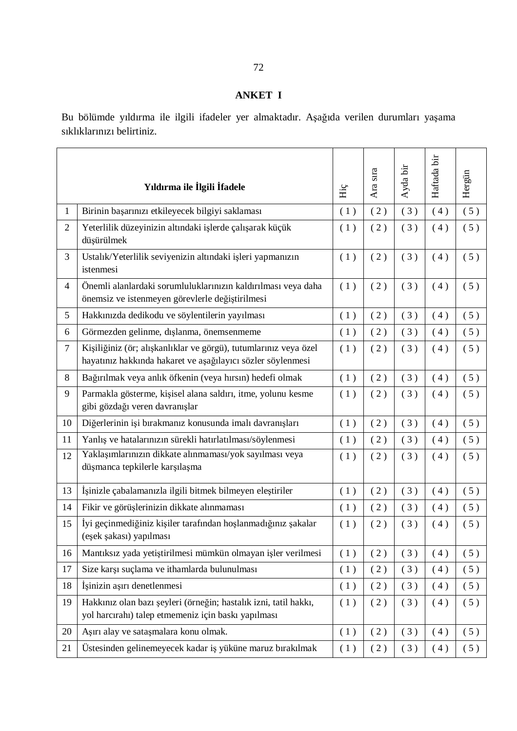# **ANKET I**

Bu bölümde yıldırma ile ilgili ifadeler yer almaktadır. Aşağıda verilen durumları yaşama sıklıklarınızı belirtiniz.

|                | Yıldırma ile İlgili İfadele                                                                                                     | Hiç | SIT2<br>Ara | Ayda bir | Haftada bir | Hergün |
|----------------|---------------------------------------------------------------------------------------------------------------------------------|-----|-------------|----------|-------------|--------|
| $\mathbf{1}$   | Birinin başarınızı etkileyecek bilgiyi saklaması                                                                                | (1) | (2)         | (3)      | (4)         | (5)    |
| $\overline{2}$ | Yeterlilik düzeyinizin altındaki işlerde çalışarak küçük<br>düşürülmek                                                          | (1) | (2)         | (3)      | (4)         | (5)    |
| 3              | Ustalık/Yeterlilik seviyenizin altındaki işleri yapmanızın<br>istenmesi                                                         | (1) | (2)         | (3)      | (4)         | (5)    |
| $\overline{4}$ | Önemli alanlardaki sorumluluklarınızın kaldırılması veya daha<br>önemsiz ve istenmeyen görevlerle değiştirilmesi                | (1) | (2)         | (3)      | (4)         | (5)    |
| 5              | Hakkınızda dedikodu ve söylentilerin yayılması                                                                                  | (1) | (2)         | (3)      | (4)         | (5)    |
| 6              | Görmezden gelinme, dışlanma, önemsenmeme                                                                                        | (1) | (2)         | (3)      | (4)         | (5)    |
| $\tau$         | Kişiliğiniz (ör; alışkanlıklar ve görgü), tutumlarınız veya özel<br>hayatınız hakkında hakaret ve aşağılayıcı sözler söylenmesi | (1) | (2)         | (3)      | (4)         | (5)    |
| 8              | Bağırılmak veya anlık öfkenin (veya hırsın) hedefi olmak                                                                        | (1) | (2)         | (3)      | (4)         | (5)    |
| 9              | Parmakla gösterme, kişisel alana saldırı, itme, yolunu kesme<br>gibi gözdağı veren davranışlar                                  |     | (2)         | (3)      | (4)         | (5)    |
| 10             | Diğerlerinin işi bırakmanız konusunda imalı davranışları                                                                        |     | (2)         | (3)      | (4)         | (5)    |
| 11             | Yanlış ve hatalarınızın sürekli hatırlatılması/söylenmesi                                                                       |     | (2)         | (3)      | (4)         | (5)    |
| 12             | Yaklaşımlarınızın dikkate alınmaması/yok sayılması veya<br>düşmanca tepkilerle karşılaşma                                       |     | (2)         | (3)      | (4)         | (5)    |
| 13             | İşinizle çabalamanızla ilgili bitmek bilmeyen eleştiriler                                                                       | (1) | (2)         | (3)      | (4)         | (5)    |
| 14             | Fikir ve görüşlerinizin dikkate alınmaması                                                                                      |     | (2)         | (3)      | (4)         | (5)    |
| 15             | İyi geçinmediğiniz kişiler tarafından hoşlanmadığınız şakalar<br>(eşek şakası) yapılması                                        |     | (2)         | (3)      | (4)         | (5)    |
| 16             | Mantıksız yada yetiştirilmesi mümkün olmayan işler verilmesi                                                                    |     | (2)         | (3)      | (4)         | (5)    |
| 17             | Size karşı suçlama ve ithamlarda bulunulması                                                                                    |     | (2)         | (3)      | (4)         | (5)    |
| 18             | İşinizin aşırı denetlenmesi                                                                                                     |     | (2)         | (3)      | (4)         | (5)    |
| 19             | Hakkınız olan bazı şeyleri (örneğin; hastalık izni, tatil hakkı,<br>yol harcırahı) talep etmemeniz için baskı yapılması         | (1) | (2)         | (3)      | (4)         | (5)    |
| 20             | Aşırı alay ve sataşmalara konu olmak.                                                                                           |     | (2)         | (3)      | (4)         | (5)    |
| 21             | Üstesinden gelinemeyecek kadar iş yüküne maruz bırakılmak                                                                       | (1) | (2)         | (3)      | (4)         | (5)    |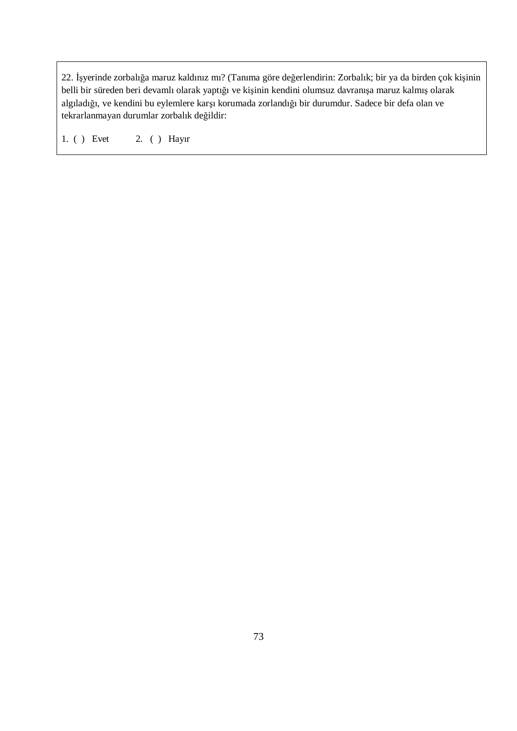22. İşyerinde zorbalığa maruz kaldınız mı? (Tanıma göre değerlendirin: Zorbalık; bir ya da birden çok kişinin belli bir süreden beri devamlı olarak yaptığı ve kişinin kendini olumsuz davranışa maruz kalmış olarak algıladığı, ve kendini bu eylemlere karşı korumada zorlandığı bir durumdur. Sadece bir defa olan ve tekrarlanmayan durumlar zorbalık değildir:

1. ( ) Evet 2. ( ) Hayır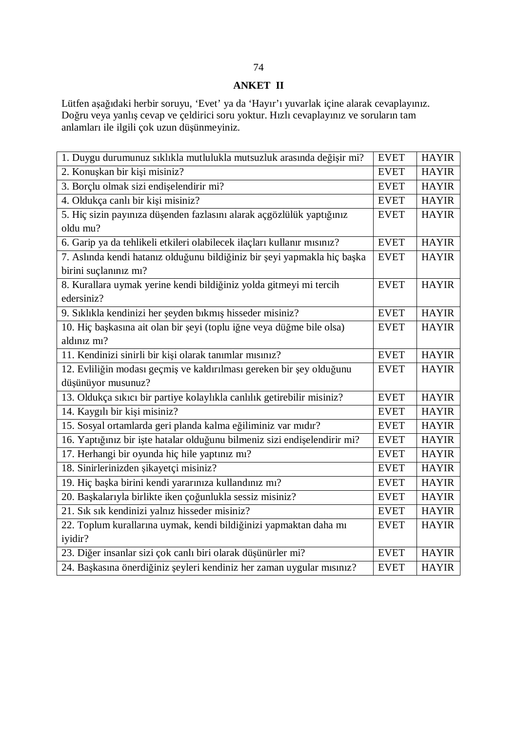## **ANKET II**

Lütfen aşağıdaki herbir soruyu, 'Evet' ya da 'Hayır'ı yuvarlak içine alarak cevaplayınız. Doğru veya yanlış cevap ve çeldirici soru yoktur. Hızlı cevaplayınız ve soruların tam anlamları ile ilgili çok uzun düşünmeyiniz.

| 1. Duygu durumunuz sıklıkla mutlulukla mutsuzluk arasında değişir mi?     | <b>EVET</b> | <b>HAYIR</b> |
|---------------------------------------------------------------------------|-------------|--------------|
| 2. Konuşkan bir kişi misiniz?                                             | <b>EVET</b> | <b>HAYIR</b> |
| 3. Borçlu olmak sizi endişelendirir mi?                                   | <b>EVET</b> | <b>HAYIR</b> |
| 4. Oldukça canlı bir kişi misiniz?                                        | <b>EVET</b> | <b>HAYIR</b> |
| 5. Hiç sizin payınıza düşenden fazlasını alarak açgözlülük yaptığınız     | <b>EVET</b> | <b>HAYIR</b> |
| oldu mu?                                                                  |             |              |
| 6. Garip ya da tehlikeli etkileri olabilecek ilaçları kullanır mısınız?   | <b>EVET</b> | <b>HAYIR</b> |
| 7. Aslında kendi hatanız olduğunu bildiğiniz bir şeyi yapmakla hiç başka  | <b>EVET</b> | <b>HAYIR</b> |
| birini suçlanınız mı?                                                     |             |              |
| 8. Kurallara uymak yerine kendi bildiğiniz yolda gitmeyi mi tercih        | <b>EVET</b> | <b>HAYIR</b> |
| edersiniz?                                                                |             |              |
| 9. Sıklıkla kendinizi her şeyden bıkmış hisseder misiniz?                 | <b>EVET</b> | <b>HAYIR</b> |
| 10. Hiç başkasına ait olan bir şeyi (toplu iğne veya düğme bile olsa)     | <b>EVET</b> | <b>HAYIR</b> |
| aldınız mı?                                                               |             |              |
| 11. Kendinizi sinirli bir kişi olarak tanımlar mısınız?                   | <b>EVET</b> | <b>HAYIR</b> |
| 12. Evliliğin modası geçmiş ve kaldırılması gereken bir şey olduğunu      | <b>EVET</b> | <b>HAYIR</b> |
| düşünüyor musunuz?                                                        |             |              |
| 13. Oldukça sıkıcı bir partiye kolaylıkla canlılık getirebilir misiniz?   | <b>EVET</b> | <b>HAYIR</b> |
| 14. Kaygılı bir kişi misiniz?                                             | <b>EVET</b> | <b>HAYIR</b> |
| 15. Sosyal ortamlarda geri planda kalma eğiliminiz var mıdır?             | <b>EVET</b> | <b>HAYIR</b> |
| 16. Yaptığınız bir işte hatalar olduğunu bilmeniz sizi endişelendirir mi? | <b>EVET</b> | <b>HAYIR</b> |
| 17. Herhangi bir oyunda hiç hile yaptınız mı?                             | <b>EVET</b> | <b>HAYIR</b> |
| 18. Sinirlerinizden şikayetçi misiniz?                                    | <b>EVET</b> | <b>HAYIR</b> |
| 19. Hiç başka birini kendi yararınıza kullandınız mı?                     | <b>EVET</b> | <b>HAYIR</b> |
| 20. Başkalarıyla birlikte iken çoğunlukla sessiz misiniz?                 | <b>EVET</b> | <b>HAYIR</b> |
| 21. Sık sık kendinizi yalnız hisseder misiniz?                            | <b>EVET</b> | <b>HAYIR</b> |
| 22. Toplum kurallarına uymak, kendi bildiğinizi yapmaktan daha mı         | <b>EVET</b> | <b>HAYIR</b> |
| iyidir?                                                                   |             |              |
| 23. Diğer insanlar sizi çok canlı biri olarak düşünürler mi?              | <b>EVET</b> | <b>HAYIR</b> |
| 24. Başkasına önerdiğiniz şeyleri kendiniz her zaman uygular mısınız?     | <b>EVET</b> | <b>HAYIR</b> |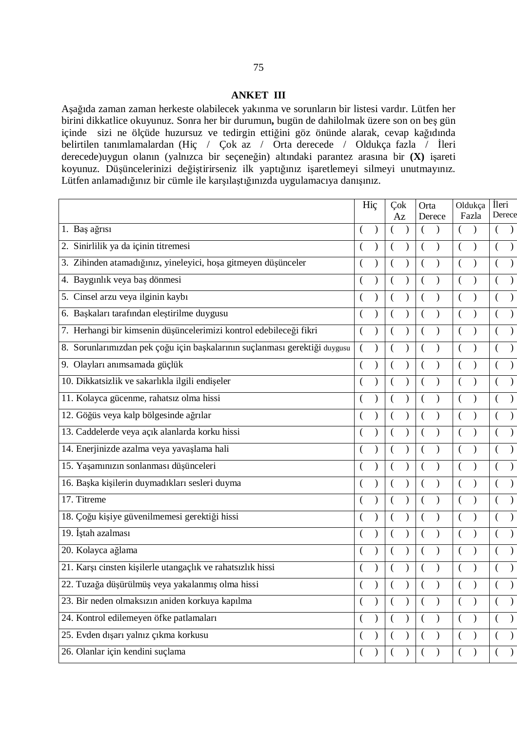#### **ANKET III**

Aşağıda zaman zaman herkeste olabilecek yakınma ve sorunların bir listesi vardır. Lütfen her birini dikkatlice okuyunuz. Sonra her bir durumun**,** bugün de dahilolmak üzere son on beş gün içinde sizi ne ölçüde huzursuz ve tedirgin ettiğini göz önünde alarak, cevap kağıdında belirtilen tanımlamalardan (Hiç / Çok az / Orta derecede / Oldukça fazla / İleri derecede)uygun olanın (yalnızca bir seçeneğin) altındaki parantez arasına bir **(X)** işareti koyunuz. Düşüncelerinizi değiştirirseniz ilk yaptığınız işaretlemeyi silmeyi unutmayınız. Lütfen anlamadığınız bir cümle ile karşılaştığınızda uygulamacıya danışınız.

|                                                                               | Hiç            |  |                | Çok<br>Az |          |  |          | Orta<br>Derece | Oldukça<br>Fazla          |  | <i>i</i> leri<br>Derece |
|-------------------------------------------------------------------------------|----------------|--|----------------|-----------|----------|--|----------|----------------|---------------------------|--|-------------------------|
| 1. Baş ağrısı                                                                 |                |  |                |           |          |  |          |                |                           |  |                         |
| Sinirlilik ya da içinin titremesi<br>2.                                       |                |  |                |           |          |  |          |                |                           |  |                         |
| Zihinden atamadığınız, yineleyici, hoşa gitmeyen düşünceler<br>3.             |                |  |                |           |          |  |          |                |                           |  |                         |
| 4. Baygınlık veya baş dönmesi                                                 | (              |  | (              |           |          |  |          |                |                           |  |                         |
| 5. Cinsel arzu veya ilginin kaybı                                             |                |  | $\overline{(}$ |           |          |  |          |                |                           |  |                         |
| 6. Başkaları tarafından eleştirilme duygusu                                   |                |  | (              |           |          |  |          |                |                           |  |                         |
| 7. Herhangi bir kimsenin düşüncelerimizi kontrol edebileceği fikri            |                |  |                |           |          |  |          |                |                           |  |                         |
| Sorunlarımızdan pek çoğu için başkalarının suçlanması gerektiği duygusu<br>8. | $\overline{(}$ |  |                |           |          |  |          |                |                           |  |                         |
| 9. Olayları anımsamada güçlük                                                 | $\left($       |  | $\left($       |           |          |  |          |                |                           |  |                         |
| 10. Dikkatsizlik ve sakarlıkla ilgili endişeler                               |                |  |                |           |          |  |          |                |                           |  |                         |
| 11. Kolayca gücenme, rahatsız olma hissi                                      |                |  |                |           |          |  |          |                |                           |  |                         |
| 12. Göğüs veya kalp bölgesinde ağrılar                                        | (              |  |                |           |          |  |          |                |                           |  |                         |
| 13. Caddelerde veya açık alanlarda korku hissi                                |                |  | (              |           |          |  |          |                |                           |  |                         |
| 14. Enerjinizde azalma veya yavaşlama hali                                    |                |  |                |           |          |  |          |                |                           |  |                         |
| 15. Yaşamınızın sonlanması düşünceleri                                        |                |  |                |           |          |  |          |                |                           |  |                         |
| 16. Başka kişilerin duymadıkları sesleri duyma                                |                |  |                |           |          |  |          |                |                           |  |                         |
| 17. Titreme                                                                   |                |  | €              |           |          |  |          |                |                           |  |                         |
| 18. Çoğu kişiye güvenilmemesi gerektiği hissi                                 |                |  |                |           |          |  |          |                |                           |  |                         |
| 19. İştah azalması                                                            |                |  |                |           |          |  |          |                |                           |  |                         |
| 20. Kolayca ağlama                                                            |                |  |                |           |          |  |          |                |                           |  |                         |
| 21. Karşı cinsten kişilerle utangaçlık ve rahatsızlık hissi                   |                |  |                |           |          |  |          |                |                           |  |                         |
| 22. Tuzağa düşürülmüş veya yakalanmış olma hissi                              |                |  |                |           |          |  |          |                |                           |  |                         |
| 23. Bir neden olmaksızın aniden korkuya kapılma                               | €              |  | €              |           |          |  |          |                | €<br>$\mathcal{Y}$        |  |                         |
| 24. Kontrol edilemeyen öfke patlamaları                                       | (              |  |                |           |          |  |          |                | $\mathcal{Y}$             |  |                         |
| 25. Evden dışarı yalnız çıkma korkusu                                         | (              |  | €              |           | (        |  | $\left($ |                | $\left($<br>$\lambda$     |  |                         |
| 26. Olanlar için kendini suçlama                                              | $\left($       |  | $\left($       |           | $\left($ |  | €        |                | $\left($<br>$\mathcal{Y}$ |  |                         |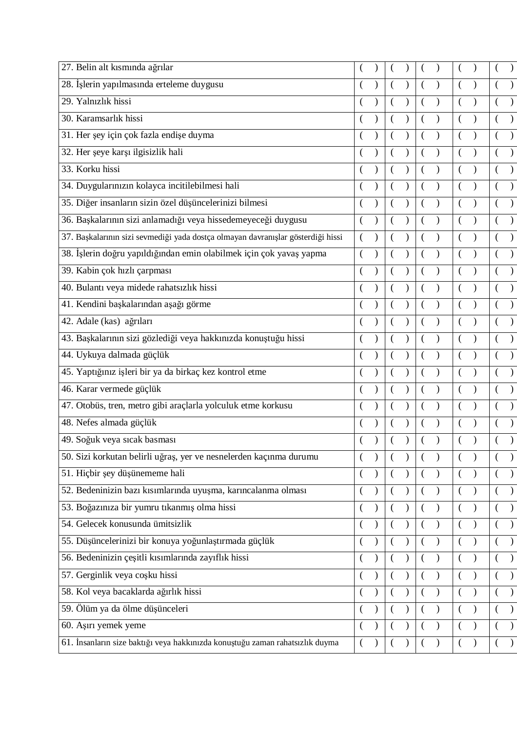| 27. Belin alt kısmında ağrılar                                                   |          |  |  |  |               |           |
|----------------------------------------------------------------------------------|----------|--|--|--|---------------|-----------|
| 28. İşlerin yapılmasında erteleme duygusu                                        |          |  |  |  |               |           |
| 29. Yalnızlık hissi                                                              |          |  |  |  |               |           |
| 30. Karamsarlık hissi                                                            |          |  |  |  |               |           |
| 31. Her şey için çok fazla endişe duyma                                          |          |  |  |  |               |           |
| 32. Her şeye karşı ilgisizlik hali                                               |          |  |  |  |               |           |
| 33. Korku hissi                                                                  |          |  |  |  |               |           |
| 34. Duygularınızın kolayca incitilebilmesi hali                                  |          |  |  |  |               |           |
| 35. Diğer insanların sizin özel düşüncelerinizi bilmesi                          |          |  |  |  |               |           |
| 36. Başkalarının sizi anlamadığı veya hissedemeyeceği duygusu                    |          |  |  |  |               |           |
| 37. Başkalarının sizi sevmediği yada dostça olmayan davranışlar gösterdiği hissi |          |  |  |  |               |           |
| 38. İşlerin doğru yapıldığından emin olabilmek için çok yavaş yapma              |          |  |  |  |               |           |
| 39. Kabin çok hızlı çarpması                                                     |          |  |  |  |               |           |
| 40. Bulantı veya midede rahatsızlık hissi                                        |          |  |  |  |               |           |
| 41. Kendini başkalarından aşağı görme                                            |          |  |  |  |               |           |
| 42. Adale (kas) ağrıları                                                         |          |  |  |  |               |           |
| 43. Başkalarının sizi gözlediği veya hakkınızda konuştuğu hissi                  |          |  |  |  |               |           |
| 44. Uykuya dalmada güçlük                                                        |          |  |  |  |               |           |
| 45. Yaptığınız işleri bir ya da birkaç kez kontrol etme                          |          |  |  |  |               |           |
| 46. Karar vermede güçlük                                                         |          |  |  |  |               |           |
| 47. Otobüs, tren, metro gibi araçlarla yolculuk etme korkusu                     |          |  |  |  |               |           |
| 48. Nefes almada güçlük                                                          |          |  |  |  |               |           |
| 49. Soğuk veya sıcak basması                                                     |          |  |  |  |               |           |
| 50. Sizi korkutan belirli uğraş, yer ve nesnelerden kaçınma durumu               |          |  |  |  |               | $\lambda$ |
| 51. Hiçbir şey düşünememe hali                                                   |          |  |  |  |               | $\lambda$ |
| 52. Bedeninizin bazı kısımlarında uyuşma, karıncalanma olması                    |          |  |  |  |               |           |
| 53. Boğazınıza bir yumru tıkanmış olma hissi                                     |          |  |  |  |               |           |
| 54. Gelecek konusunda ümitsizlik                                                 |          |  |  |  | $\lambda$     |           |
| 55. Düşüncelerinizi bir konuya yoğunlaştırmada güçlük                            |          |  |  |  |               |           |
| 56. Bedeninizin çeşitli kısımlarında zayıflık hissi                              |          |  |  |  |               |           |
| 57. Gerginlik veya coşku hissi                                                   |          |  |  |  | $\lambda$     |           |
| 58. Kol veya bacaklarda ağırlık hissi                                            |          |  |  |  | $\mathcal{E}$ |           |
| 59. Ölüm ya da ölme düşünceleri                                                  |          |  |  |  |               |           |
| 60. Aşırı yemek yeme                                                             |          |  |  |  |               |           |
| 61. İnsanların size baktığı veya hakkınızda konuştuğu zaman rahatsızlık duyma    | $\left($ |  |  |  |               |           |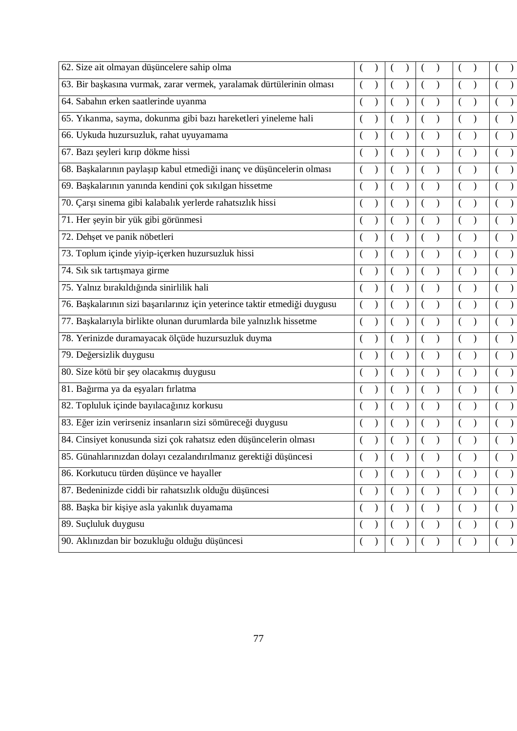| (                        |  |  |               |          |               |          |                  |
|--------------------------|--|--|---------------|----------|---------------|----------|------------------|
|                          |  |  |               |          |               |          |                  |
|                          |  |  |               |          |               |          |                  |
|                          |  |  |               |          |               |          |                  |
|                          |  |  |               |          |               |          |                  |
|                          |  |  |               |          |               |          |                  |
|                          |  |  |               |          |               |          |                  |
|                          |  |  |               |          |               |          |                  |
|                          |  |  |               |          |               |          |                  |
|                          |  |  |               |          |               |          |                  |
|                          |  |  |               |          |               |          |                  |
|                          |  |  |               |          |               |          |                  |
| (                        |  |  |               |          |               |          |                  |
|                          |  |  |               |          |               |          |                  |
|                          |  |  |               |          |               |          |                  |
|                          |  |  |               |          |               |          |                  |
| (                        |  |  |               |          |               |          |                  |
|                          |  |  |               |          |               |          |                  |
|                          |  |  |               |          |               |          |                  |
|                          |  |  |               |          |               |          |                  |
|                          |  |  |               |          |               |          |                  |
| $\overline{\mathcal{L}}$ |  |  |               |          |               |          | $\lambda$        |
| $\left($                 |  |  |               |          | $\lambda$     |          | $\lambda$        |
| $\overline{(}$           |  |  | $\mathcal{E}$ |          | $\mathcal{E}$ |          | $\mathcal{E}$    |
| $\overline{(}$           |  |  |               |          | $\mathcal{E}$ |          | $\lambda$        |
|                          |  |  |               |          | $\lambda$     |          |                  |
| $\left($                 |  |  |               | $\left($ | $\mathcal{E}$ | $\left($ | $\left( \right)$ |
|                          |  |  |               |          |               |          |                  |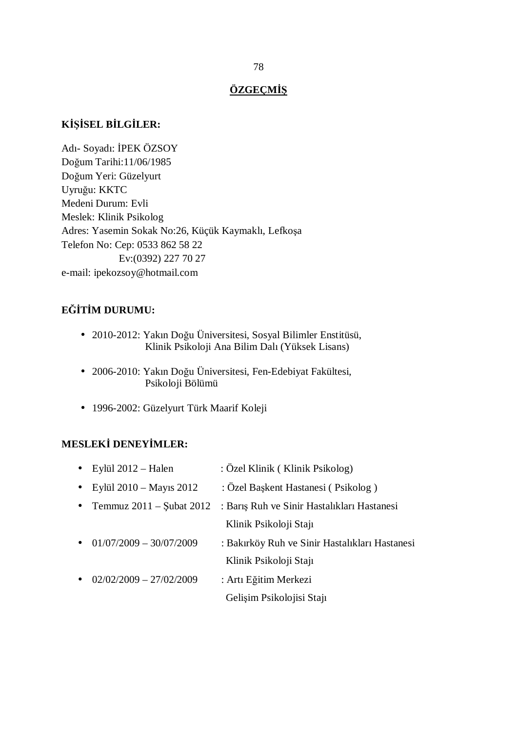## **ÖZGEÇMİŞ**

## **KİŞİSEL BİLGİLER:**

Adı- Soyadı: İPEK ÖZSOY Doğum Tarihi:11/06/1985 Doğum Yeri: Güzelyurt Uyruğu: KKTC Medeni Durum: Evli Meslek: Klinik Psikolog Adres: Yasemin Sokak No:26, Küçük Kaymaklı, Lefkoşa Telefon No: Cep: 0533 862 58 22 Ev:(0392) 227 70 27 e-mail: ipekozsoy@hotmail.com

## **EĞİTİM DURUMU:**

- 2010-2012: Yakın Doğu Üniversitesi, Sosyal Bilimler Enstitüsü, Klinik Psikoloji Ana Bilim Dalı (Yüksek Lisans)
- 2006-2010: Yakın Doğu Üniversitesi, Fen-Edebiyat Fakültesi, Psikoloji Bölümü
- 1996-2002: Güzelyurt Türk Maarif Koleji

## **MESLEKİ DENEYİMLER:**

| Eylül $2012$ – Halen<br>$\bullet$         | : Özel Klinik (Klinik Psikolog)                |
|-------------------------------------------|------------------------------------------------|
| Eylül 2010 – Mayıs 2012<br>$\bullet$      | : Özel Başkent Hastanesi (Psikolog)            |
| Temmuz $2011 -$ Subat $2012$<br>$\bullet$ | : Barış Ruh ve Sinir Hastalıkları Hastanesi    |
|                                           | Klinik Psikoloji Staji                         |
| $01/07/2009 - 30/07/2009$<br>$\bullet$    | : Bakırköy Ruh ve Sinir Hastalıkları Hastanesi |
|                                           | Klinik Psikoloji Staji                         |
| $02/02/2009 - 27/02/2009$<br>$\bullet$    | : Artı Eğitim Merkezi                          |
|                                           | Gelişim Psikolojisi Stajı                      |
|                                           |                                                |

#### 78